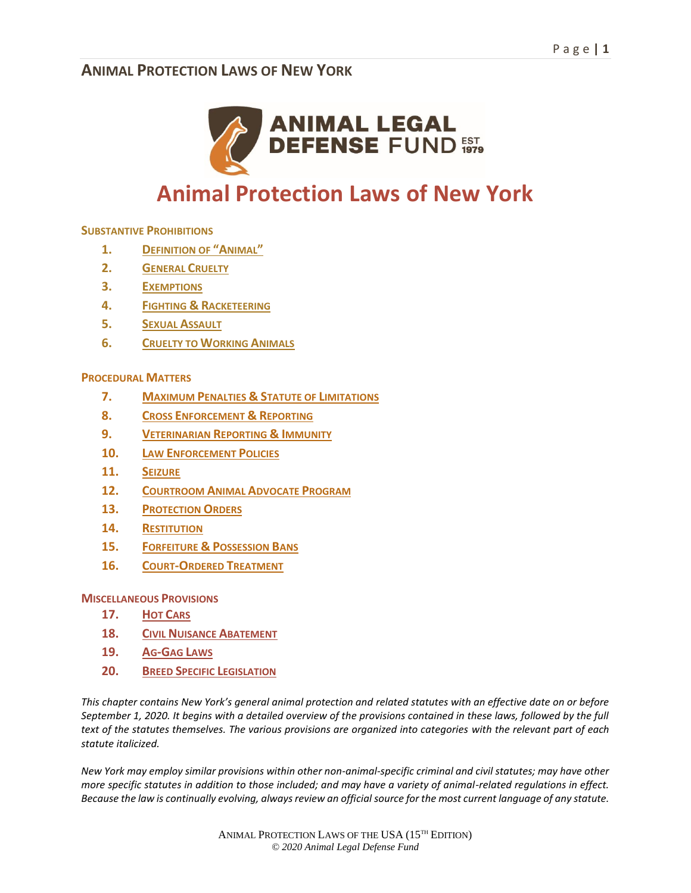

# **Animal Protection Laws of New York**

#### **SUBSTANTIVE PROHIBITIONS**

- **1. DEFINITION OF "ANIMAL"**
- **2. GENERAL CRUELTY**
- **3. EXEMPTIONS**
- **4. FIGHTING & RACKETEERING**
- **5. SEXUAL ASSAULT**
- **6. CRUELTY TO WORKING ANIMALS**

#### **PROCEDURAL MATTERS**

- **7. MAXIMUM PENALTIES & STATUTE OF LIMITATIONS**
- **8. CROSS ENFORCEMENT & REPORTING**
- **9. VETERINARIAN REPORTING & IMMUNITY**
- **10. LAW ENFORCEMENT POLICIES**
- **11. SEIZURE**
- **12. COURTROOM ANIMAL ADVOCATE PROGRAM**
- **13. PROTECTION ORDERS**
- **14. RESTITUTION**
- **15. FORFEITURE & POSSESSION BANS**
- **16. COURT-ORDERED TREATMENT**

#### **MISCELLANEOUS PROVISIONS**

- **17. HOT CARS**
- **18. CIVIL NUISANCE ABATEMENT**
- **19. AG-GAG LAWS**
- **20. BREED SPECIFIC LEGISLATION**

*This chapter contains New York's general animal protection and related statutes with an effective date on or before September 1, 2020. It begins with a detailed overview of the provisions contained in these laws, followed by the full text of the statutes themselves. The various provisions are organized into categories with the relevant part of each statute italicized.* 

*New York may employ similar provisions within other non-animal-specific criminal and civil statutes; may have other more specific statutes in addition to those included; and may have a variety of animal-related regulations in effect. Because the law is continually evolving, always review an official source for the most current language of any statute.*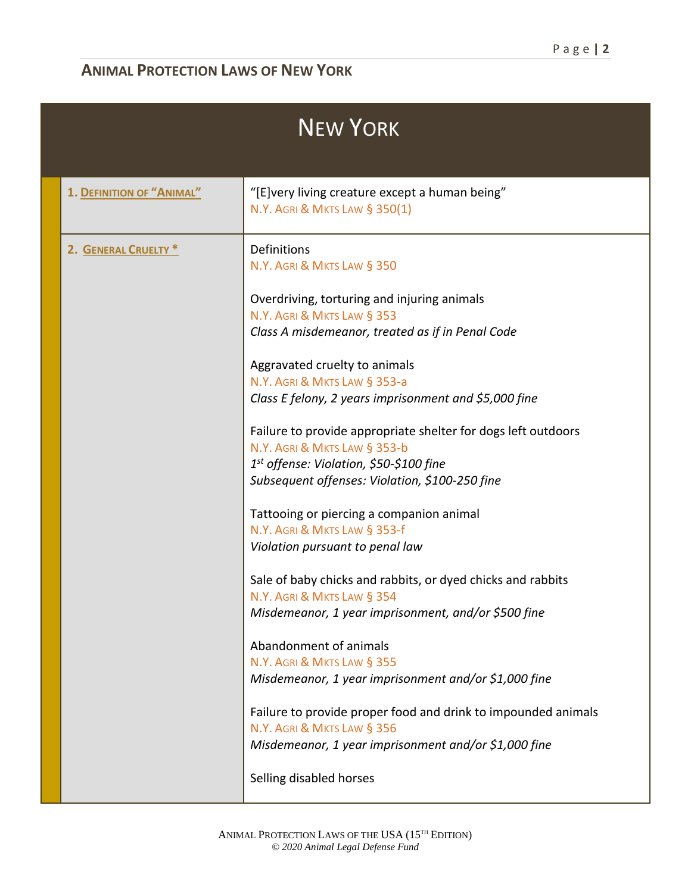| <b>NEW YORK</b>           |                                                                                                                                                                                                                                                                                                                                                                                                                                                                                                                                                                                                                                                                                                                                                                                                                                                                                                                                                                                                                                                                           |  |
|---------------------------|---------------------------------------------------------------------------------------------------------------------------------------------------------------------------------------------------------------------------------------------------------------------------------------------------------------------------------------------------------------------------------------------------------------------------------------------------------------------------------------------------------------------------------------------------------------------------------------------------------------------------------------------------------------------------------------------------------------------------------------------------------------------------------------------------------------------------------------------------------------------------------------------------------------------------------------------------------------------------------------------------------------------------------------------------------------------------|--|
| 1. DEFINITION OF "ANIMAL" | "[E]very living creature except a human being"<br>N.Y. AGRI & MKTS LAW § 350(1)                                                                                                                                                                                                                                                                                                                                                                                                                                                                                                                                                                                                                                                                                                                                                                                                                                                                                                                                                                                           |  |
| 2. GENERAL CRUELTY *      | Definitions<br>N.Y. AGRI & MKTS LAW § 350<br>Overdriving, torturing and injuring animals<br>N.Y. AGRI & MKTS LAW § 353<br>Class A misdemeanor, treated as if in Penal Code<br>Aggravated cruelty to animals<br>N.Y. AGRI & MKTS LAW § 353-a<br>Class E felony, 2 years imprisonment and \$5,000 fine<br>Failure to provide appropriate shelter for dogs left outdoors<br>N.Y. AGRI & MKTS LAW § 353-b<br>$1st$ offense: Violation, \$50-\$100 fine<br>Subsequent offenses: Violation, \$100-250 fine<br>Tattooing or piercing a companion animal<br>N.Y. AGRI & MKTS LAW § 353-f<br>Violation pursuant to penal law<br>Sale of baby chicks and rabbits, or dyed chicks and rabbits<br>N.Y. AGRI & MKTS LAW § 354<br>Misdemeanor, 1 year imprisonment, and/or \$500 fine<br>Abandonment of animals<br>N.Y. AGRI & MKTS LAW § 355<br>Misdemeanor, 1 year imprisonment and/or \$1,000 fine<br>Failure to provide proper food and drink to impounded animals<br>N.Y. AGRI & MKTS LAW § 356<br>Misdemeanor, 1 year imprisonment and/or \$1,000 fine<br>Selling disabled horses |  |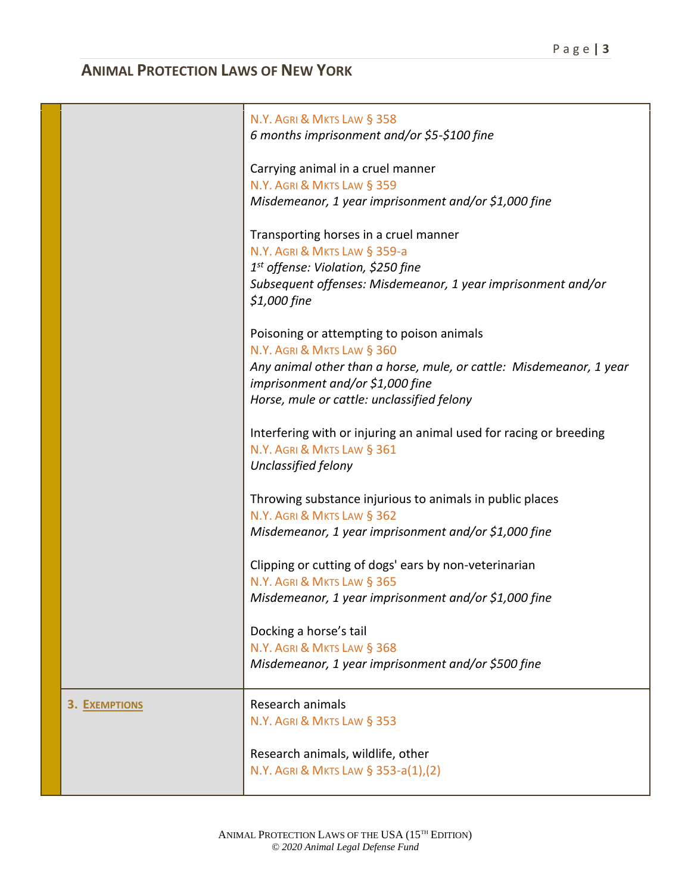|                      | N.Y. AGRI & MKTS LAW § 358<br>6 months imprisonment and/or \$5-\$100 fine                                                                                                                                                        |
|----------------------|----------------------------------------------------------------------------------------------------------------------------------------------------------------------------------------------------------------------------------|
|                      | Carrying animal in a cruel manner<br>N.Y. AGRI & MKTS LAW § 359<br>Misdemeanor, 1 year imprisonment and/or \$1,000 fine                                                                                                          |
|                      | Transporting horses in a cruel manner<br>N.Y. AGRI & MKTS LAW § 359-a<br>1 <sup>st</sup> offense: Violation, \$250 fine<br>Subsequent offenses: Misdemeanor, 1 year imprisonment and/or<br>\$1,000 fine                          |
|                      | Poisoning or attempting to poison animals<br>N.Y. AGRI & MKTS LAW § 360<br>Any animal other than a horse, mule, or cattle: Misdemeanor, 1 year<br>imprisonment and/or \$1,000 fine<br>Horse, mule or cattle: unclassified felony |
|                      | Interfering with or injuring an animal used for racing or breeding<br>N.Y. AGRI & MKTS LAW § 361<br>Unclassified felony                                                                                                          |
|                      | Throwing substance injurious to animals in public places<br>N.Y. AGRI & MKTS LAW § 362<br>Misdemeanor, 1 year imprisonment and/or \$1,000 fine                                                                                   |
|                      | Clipping or cutting of dogs' ears by non-veterinarian<br>N.Y. AGRI & MKTS LAW § 365<br>Misdemeanor, 1 year imprisonment and/or \$1,000 fine                                                                                      |
|                      | Docking a horse's tail<br>N.Y. AGRI & MKTS LAW § 368<br>Misdemeanor, 1 year imprisonment and/or \$500 fine                                                                                                                       |
| <b>3. EXEMPTIONS</b> | Research animals<br><b>N.Y. AGRI &amp; MKTS LAW § 353</b>                                                                                                                                                                        |
|                      | Research animals, wildlife, other<br>N.Y. AGRI & MKTS LAW § 353-a(1),(2)                                                                                                                                                         |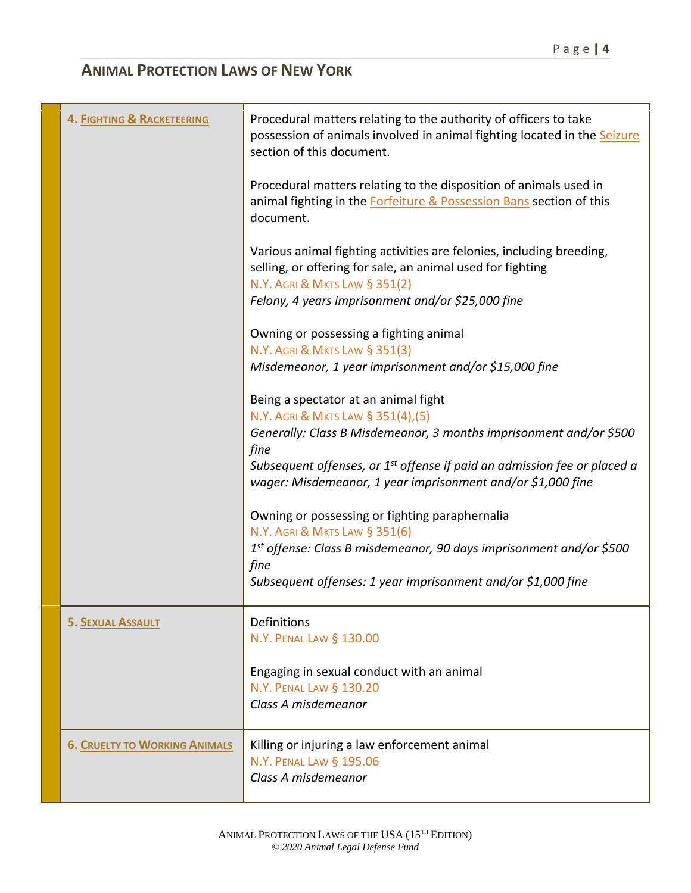| <b>4. FIGHTING &amp; RACKETEERING</b> | Procedural matters relating to the authority of officers to take<br>possession of animals involved in animal fighting located in the Seizure<br>section of this document.                                                |
|---------------------------------------|--------------------------------------------------------------------------------------------------------------------------------------------------------------------------------------------------------------------------|
|                                       | Procedural matters relating to the disposition of animals used in<br>animal fighting in the <b>Forfeiture &amp; Possession Bans</b> section of this<br>document.                                                         |
|                                       | Various animal fighting activities are felonies, including breeding,<br>selling, or offering for sale, an animal used for fighting<br>N.Y. AGRI & MKTS LAW § 351(2)<br>Felony, 4 years imprisonment and/or \$25,000 fine |
|                                       |                                                                                                                                                                                                                          |
|                                       | Owning or possessing a fighting animal<br>N.Y. AGRI & MKTS LAW § 351(3)                                                                                                                                                  |
|                                       | Misdemeanor, 1 year imprisonment and/or \$15,000 fine                                                                                                                                                                    |
|                                       | Being a spectator at an animal fight<br>N.Y. AGRI & MKTS LAW § 351(4),(5)                                                                                                                                                |
|                                       | Generally: Class B Misdemeanor, 3 months imprisonment and/or \$500                                                                                                                                                       |
|                                       | fine<br>Subsequent offenses, or 1 <sup>st</sup> offense if paid an admission fee or placed a<br>wager: Misdemeanor, 1 year imprisonment and/or \$1,000 fine                                                              |
|                                       | Owning or possessing or fighting paraphernalia<br>N.Y. AGRI & MKTS LAW § 351(6)                                                                                                                                          |
|                                       | $1st$ offense: Class B misdemeanor, 90 days imprisonment and/or \$500                                                                                                                                                    |
|                                       | fine<br>Subsequent offenses: 1 year imprisonment and/or \$1,000 fine                                                                                                                                                     |
| <b>5. SEXUAL ASSAULT</b>              | Definitions<br>N.Y. PENAL LAW § 130.00                                                                                                                                                                                   |
|                                       | Engaging in sexual conduct with an animal<br>N.Y. PENAL LAW § 130.20<br>Class A misdemeanor                                                                                                                              |
| <b>6. CRUELTY TO WORKING ANIMALS</b>  | Killing or injuring a law enforcement animal<br>N.Y. PENAL LAW § 195.06<br>Class A misdemeanor                                                                                                                           |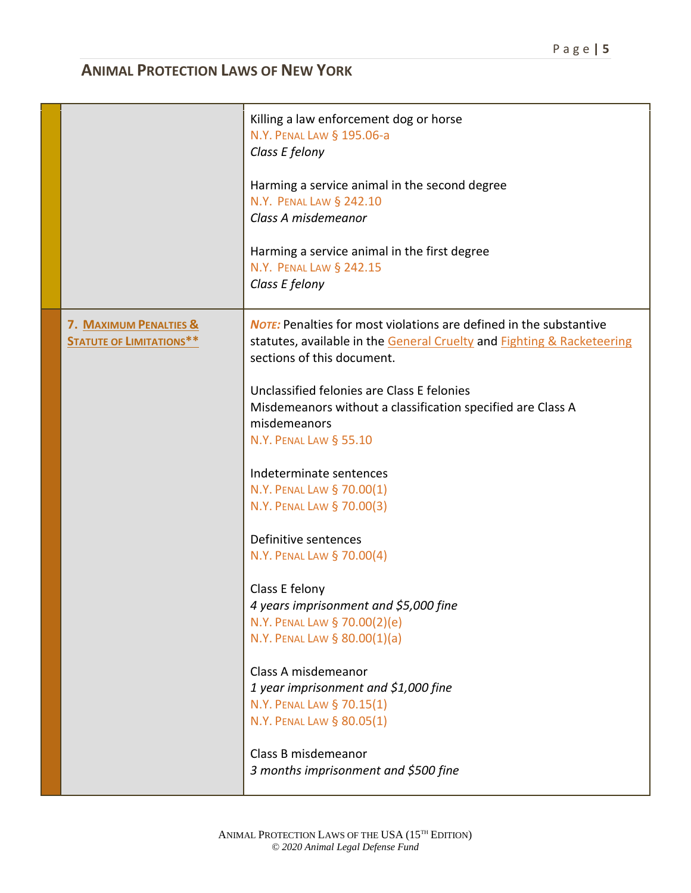|                                                           | Killing a law enforcement dog or horse<br>N.Y. PENAL LAW § 195.06-a<br>Class E felony<br>Harming a service animal in the second degree<br>N.Y. PENAL LAW § 242.10<br>Class A misdemeanor<br>Harming a service animal in the first degree<br>N.Y. PENAL LAW § 242.15<br>Class E felony                                                                                                                                                                                                                                                                                                                                                                                                                                                                                                                 |
|-----------------------------------------------------------|-------------------------------------------------------------------------------------------------------------------------------------------------------------------------------------------------------------------------------------------------------------------------------------------------------------------------------------------------------------------------------------------------------------------------------------------------------------------------------------------------------------------------------------------------------------------------------------------------------------------------------------------------------------------------------------------------------------------------------------------------------------------------------------------------------|
| 7. MAXIMUM PENALTIES &<br><b>STATUTE OF LIMITATIONS**</b> | <b>NOTE:</b> Penalties for most violations are defined in the substantive<br>statutes, available in the General Cruelty and Fighting & Racketeering<br>sections of this document.<br>Unclassified felonies are Class E felonies<br>Misdemeanors without a classification specified are Class A<br>misdemeanors<br>N.Y. PENAL LAW § 55.10<br>Indeterminate sentences<br>N.Y. PENAL LAW § 70.00(1)<br>N.Y. PENAL LAW § 70.00(3)<br>Definitive sentences<br>N.Y. PENAL LAW § 70.00(4)<br>Class E felony<br>4 years imprisonment and \$5,000 fine<br>N.Y. PENAL LAW § 70.00(2)(e)<br>N.Y. PENAL LAW § 80.00(1)(a)<br>Class A misdemeanor<br>1 year imprisonment and \$1,000 fine<br>N.Y. PENAL LAW § 70.15(1)<br>N.Y. PENAL LAW § 80.05(1)<br>Class B misdemeanor<br>3 months imprisonment and \$500 fine |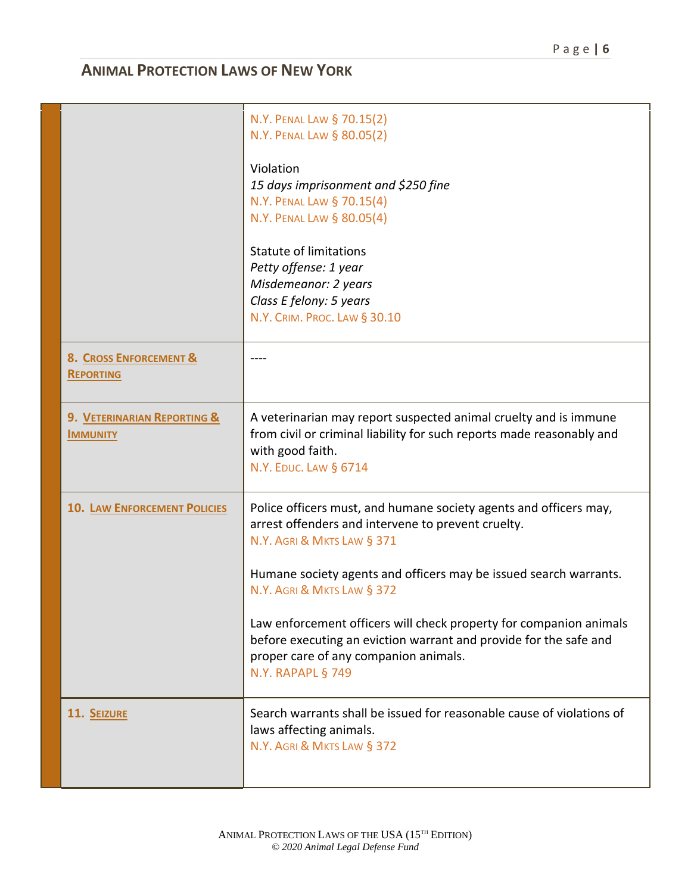|                                                | N.Y. PENAL LAW § 70.15(2)<br>N.Y. PENAL LAW § 80.05(2)<br>Violation<br>15 days imprisonment and \$250 fine<br>N.Y. PENAL LAW § 70.15(4)<br>N.Y. PENAL LAW § 80.05(4)<br><b>Statute of limitations</b><br>Petty offense: 1 year<br>Misdemeanor: 2 years<br>Class E felony: 5 years<br>N.Y. CRIM. PROC. LAW § 30.10                                                                                                                                                        |
|------------------------------------------------|--------------------------------------------------------------------------------------------------------------------------------------------------------------------------------------------------------------------------------------------------------------------------------------------------------------------------------------------------------------------------------------------------------------------------------------------------------------------------|
| 8. CROSS ENFORCEMENT &<br><b>REPORTING</b>     |                                                                                                                                                                                                                                                                                                                                                                                                                                                                          |
| 9. VETERINARIAN REPORTING &<br><b>IMMUNITY</b> | A veterinarian may report suspected animal cruelty and is immune<br>from civil or criminal liability for such reports made reasonably and<br>with good faith.<br>N.Y. EDUC. LAW § 6714                                                                                                                                                                                                                                                                                   |
| <b>10. LAW ENFORCEMENT POLICIES</b>            | Police officers must, and humane society agents and officers may,<br>arrest offenders and intervene to prevent cruelty.<br>N.Y. AGRI & MKTS LAW § 371<br>Humane society agents and officers may be issued search warrants.<br>N.Y. AGRI & MKTS LAW § 372<br>Law enforcement officers will check property for companion animals<br>before executing an eviction warrant and provide for the safe and<br>proper care of any companion animals.<br><b>N.Y. RAPAPL § 749</b> |
| 11. SEIZURE                                    | Search warrants shall be issued for reasonable cause of violations of<br>laws affecting animals.<br>N.Y. AGRI & MKTS LAW § 372                                                                                                                                                                                                                                                                                                                                           |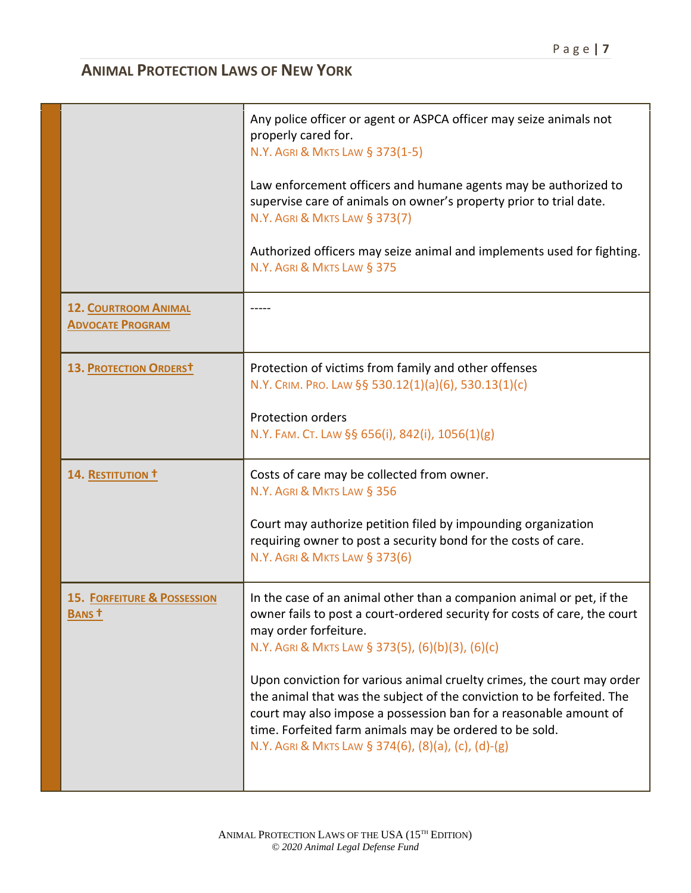|                                                         | Any police officer or agent or ASPCA officer may seize animals not<br>properly cared for.<br>N.Y. AGRI & MKTS LAW § 373(1-5)<br>Law enforcement officers and humane agents may be authorized to<br>supervise care of animals on owner's property prior to trial date.<br>N.Y. AGRI & MKTS LAW § 373(7)                                                                                                                                                                                                                                                                     |
|---------------------------------------------------------|----------------------------------------------------------------------------------------------------------------------------------------------------------------------------------------------------------------------------------------------------------------------------------------------------------------------------------------------------------------------------------------------------------------------------------------------------------------------------------------------------------------------------------------------------------------------------|
|                                                         | Authorized officers may seize animal and implements used for fighting.<br><b>N.Y. AGRI &amp; MKTS LAW § 375</b>                                                                                                                                                                                                                                                                                                                                                                                                                                                            |
| <b>12. COURTROOM ANIMAL</b><br><b>ADVOCATE PROGRAM</b>  |                                                                                                                                                                                                                                                                                                                                                                                                                                                                                                                                                                            |
| 13. PROTECTION ORDERST                                  | Protection of victims from family and other offenses<br>N.Y. CRIM. PRO. LAW §§ 530.12(1)(a)(6), 530.13(1)(c)<br>Protection orders<br>N.Y. FAM. CT. LAW §§ 656(i), 842(i), 1056(1)(g)                                                                                                                                                                                                                                                                                                                                                                                       |
| 14. RESTITUTION +                                       | Costs of care may be collected from owner.<br>N.Y. AGRI & MKTS LAW § 356<br>Court may authorize petition filed by impounding organization<br>requiring owner to post a security bond for the costs of care.<br>N.Y. AGRI & MKTS LAW § 373(6)                                                                                                                                                                                                                                                                                                                               |
| <b>15. FORFEITURE &amp; POSSESSION</b><br><u>Bans t</u> | In the case of an animal other than a companion animal or pet, if the<br>owner fails to post a court-ordered security for costs of care, the court<br>may order forfeiture.<br>N.Y. AGRI & MKTS LAW § 373(5), (6)(b)(3), (6)(c)<br>Upon conviction for various animal cruelty crimes, the court may order<br>the animal that was the subject of the conviction to be forfeited. The<br>court may also impose a possession ban for a reasonable amount of<br>time. Forfeited farm animals may be ordered to be sold.<br>N.Y. AGRI & MKTS LAW § 374(6), (8)(a), (c), (d)-(g) |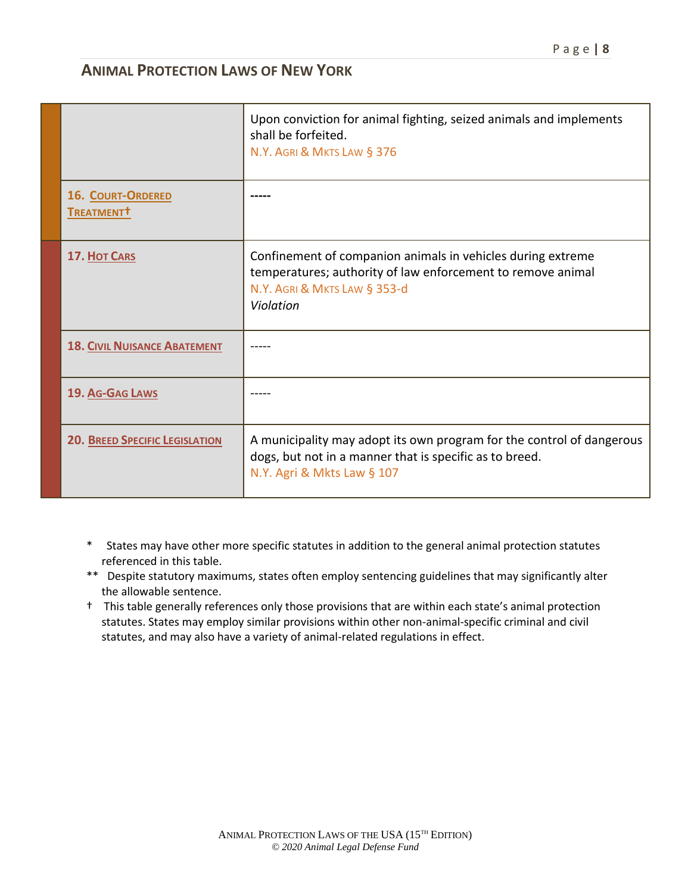|                                             | Upon conviction for animal fighting, seized animals and implements<br>shall be forfeited.<br>N.Y. AGRI & MKTS LAW § 376                                                 |
|---------------------------------------------|-------------------------------------------------------------------------------------------------------------------------------------------------------------------------|
| 16. COURT-ORDERED<br>TREATMENT <sup>†</sup> |                                                                                                                                                                         |
| <b>17. HOT CARS</b>                         | Confinement of companion animals in vehicles during extreme<br>temperatures; authority of law enforcement to remove animal<br>N.Y. AGRI & MKTS LAW § 353-d<br>Violation |
| <b>18. CIVIL NUISANCE ABATEMENT</b>         |                                                                                                                                                                         |
| 19. AG-GAG LAWS                             |                                                                                                                                                                         |
| <b>20. BREED SPECIFIC LEGISLATION</b>       | A municipality may adopt its own program for the control of dangerous<br>dogs, but not in a manner that is specific as to breed.<br>N.Y. Agri & Mkts Law § 107          |

- \* States may have other more specific statutes in addition to the general animal protection statutes referenced in this table.
- \*\* Despite statutory maximums, states often employ sentencing guidelines that may significantly alter the allowable sentence.
- † This table generally references only those provisions that are within each state's animal protection statutes. States may employ similar provisions within other non-animal-specific criminal and civil statutes, and may also have a variety of animal-related regulations in effect.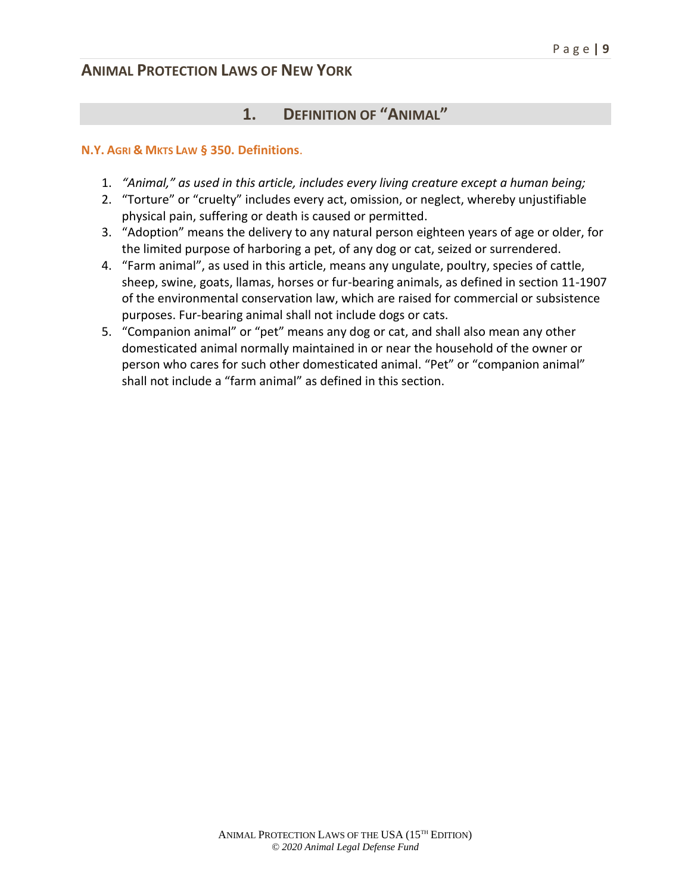# **1. DEFINITION OF "ANIMAL"**

#### **N.Y. AGRI & MKTS LAW § 350. Definitions**.

- 1. *"Animal," as used in this article, includes every living creature except a human being;*
- 2. "Torture" or "cruelty" includes every act, omission, or neglect, whereby unjustifiable physical pain, suffering or death is caused or permitted.
- 3. "Adoption" means the delivery to any natural person eighteen years of age or older, for the limited purpose of harboring a pet, of any dog or cat, seized or surrendered.
- 4. "Farm animal", as used in this article, means any ungulate, poultry, species of cattle, sheep, swine, goats, llamas, horses or fur-bearing animals, as defined in section 11-1907 of the environmental conservation law, which are raised for commercial or subsistence purposes. Fur-bearing animal shall not include dogs or cats.
- 5. "Companion animal" or "pet" means any dog or cat, and shall also mean any other domesticated animal normally maintained in or near the household of the owner or person who cares for such other domesticated animal. "Pet" or "companion animal" shall not include a "farm animal" as defined in this section.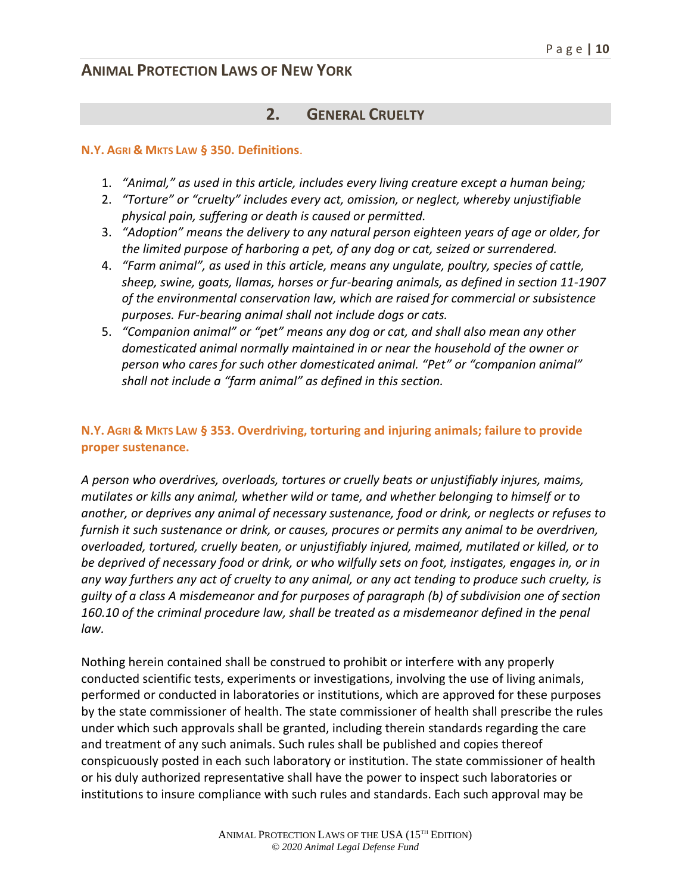## **2. GENERAL CRUELTY**

#### **N.Y. AGRI & MKTS LAW § 350. Definitions**.

- 1. *"Animal," as used in this article, includes every living creature except a human being;*
- 2. *"Torture" or "cruelty" includes every act, omission, or neglect, whereby unjustifiable physical pain, suffering or death is caused or permitted.*
- 3. *"Adoption" means the delivery to any natural person eighteen years of age or older, for the limited purpose of harboring a pet, of any dog or cat, seized or surrendered.*
- 4. *"Farm animal", as used in this article, means any ungulate, poultry, species of cattle, sheep, swine, goats, llamas, horses or fur-bearing animals, as defined in section 11-1907 of the environmental conservation law, which are raised for commercial or subsistence purposes. Fur-bearing animal shall not include dogs or cats.*
- 5. *"Companion animal" or "pet" means any dog or cat, and shall also mean any other domesticated animal normally maintained in or near the household of the owner or person who cares for such other domesticated animal. "Pet" or "companion animal" shall not include a "farm animal" as defined in this section.*

## **N.Y. AGRI & MKTS LAW § 353. Overdriving, torturing and injuring animals; failure to provide proper sustenance.**

*A person who overdrives, overloads, tortures or cruelly beats or unjustifiably injures, maims, mutilates or kills any animal, whether wild or tame, and whether belonging to himself or to another, or deprives any animal of necessary sustenance, food or drink, or neglects or refuses to furnish it such sustenance or drink, or causes, procures or permits any animal to be overdriven, overloaded, tortured, cruelly beaten, or unjustifiably injured, maimed, mutilated or killed, or to be deprived of necessary food or drink, or who wilfully sets on foot, instigates, engages in, or in any way furthers any act of cruelty to any animal, or any act tending to produce such cruelty, is guilty of a class A misdemeanor and for purposes of paragraph (b) of subdivision one of section 160.10 of the criminal procedure law, shall be treated as a misdemeanor defined in the penal law.*

Nothing herein contained shall be construed to prohibit or interfere with any properly conducted scientific tests, experiments or investigations, involving the use of living animals, performed or conducted in laboratories or institutions, which are approved for these purposes by the state commissioner of health. The state commissioner of health shall prescribe the rules under which such approvals shall be granted, including therein standards regarding the care and treatment of any such animals. Such rules shall be published and copies thereof conspicuously posted in each such laboratory or institution. The state commissioner of health or his duly authorized representative shall have the power to inspect such laboratories or institutions to insure compliance with such rules and standards. Each such approval may be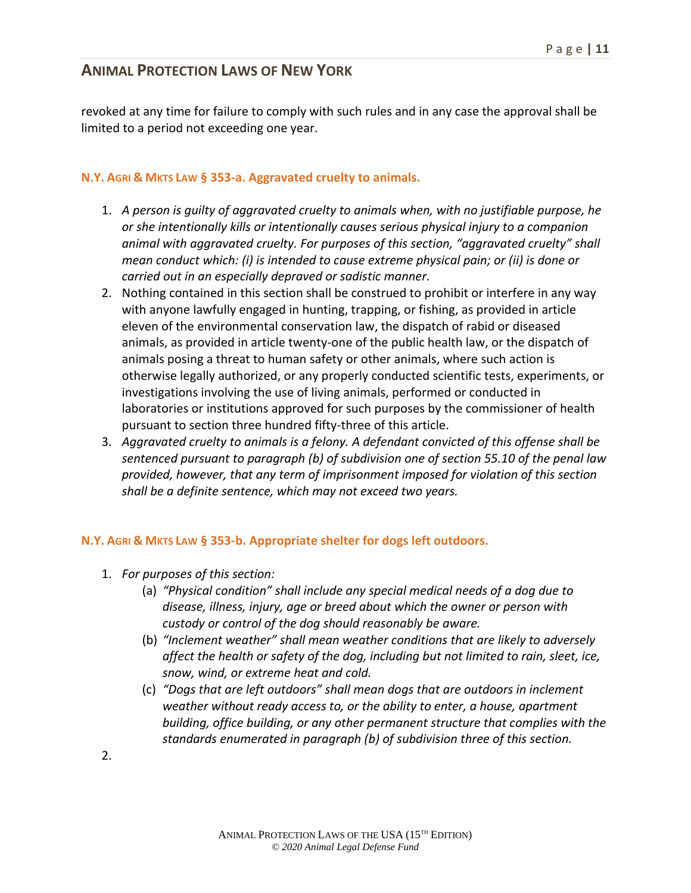revoked at any time for failure to comply with such rules and in any case the approval shall be limited to a period not exceeding one year.

## **N.Y. AGRI & MKTS LAW § 353-a. Aggravated cruelty to animals.**

- 1. *A person is guilty of aggravated cruelty to animals when, with no justifiable purpose, he or she intentionally kills or intentionally causes serious physical injury to a companion animal with aggravated cruelty. For purposes of this section, "aggravated cruelty" shall mean conduct which: (i) is intended to cause extreme physical pain; or (ii) is done or carried out in an especially depraved or sadistic manner.*
- 2. Nothing contained in this section shall be construed to prohibit or interfere in any way with anyone lawfully engaged in hunting, trapping, or fishing, as provided in article eleven of the environmental conservation law, the dispatch of rabid or diseased animals, as provided in article twenty-one of the public health law, or the dispatch of animals posing a threat to human safety or other animals, where such action is otherwise legally authorized, or any properly conducted scientific tests, experiments, or investigations involving the use of living animals, performed or conducted in laboratories or institutions approved for such purposes by the commissioner of health pursuant to section three hundred fifty-three of this article.
- 3. *Aggravated cruelty to animals is a felony. A defendant convicted of this offense shall be sentenced pursuant to paragraph (b) of subdivision one of section 55.10 of the penal law provided, however, that any term of imprisonment imposed for violation of this section shall be a definite sentence, which may not exceed two years.*

### **N.Y. AGRI & MKTS LAW § 353-b. Appropriate shelter for dogs left outdoors.**

- 1. *For purposes of this section:*
	- (a) *"Physical condition" shall include any special medical needs of a dog due to disease, illness, injury, age or breed about which the owner or person with custody or control of the dog should reasonably be aware.*
	- (b) *"Inclement weather" shall mean weather conditions that are likely to adversely affect the health or safety of the dog, including but not limited to rain, sleet, ice, snow, wind, or extreme heat and cold.*
	- (c) *"Dogs that are left outdoors" shall mean dogs that are outdoors in inclement weather without ready access to, or the ability to enter, a house, apartment building, office building, or any other permanent structure that complies with the standards enumerated in paragraph (b) of subdivision three of this section.*

2.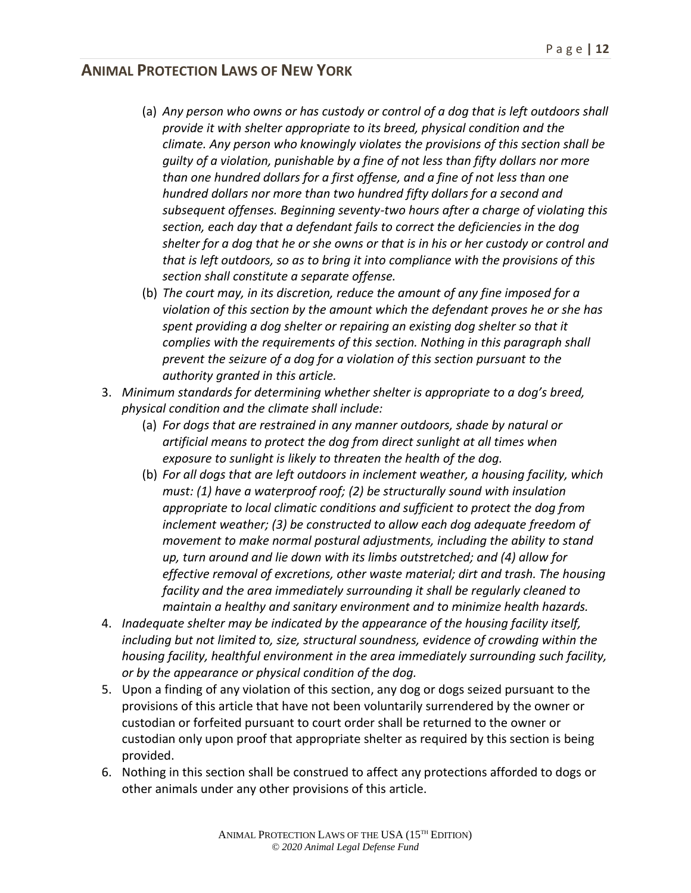- (a) *Any person who owns or has custody or control of a dog that is left outdoors shall provide it with shelter appropriate to its breed, physical condition and the climate. Any person who knowingly violates the provisions of this section shall be guilty of a violation, punishable by a fine of not less than fifty dollars nor more than one hundred dollars for a first offense, and a fine of not less than one hundred dollars nor more than two hundred fifty dollars for a second and subsequent offenses. Beginning seventy-two hours after a charge of violating this section, each day that a defendant fails to correct the deficiencies in the dog shelter for a dog that he or she owns or that is in his or her custody or control and that is left outdoors, so as to bring it into compliance with the provisions of this section shall constitute a separate offense.*
- (b) *The court may, in its discretion, reduce the amount of any fine imposed for a violation of this section by the amount which the defendant proves he or she has spent providing a dog shelter or repairing an existing dog shelter so that it complies with the requirements of this section. Nothing in this paragraph shall prevent the seizure of a dog for a violation of this section pursuant to the authority granted in this article.*
- 3. *Minimum standards for determining whether shelter is appropriate to a dog's breed, physical condition and the climate shall include:*
	- (a) *For dogs that are restrained in any manner outdoors, shade by natural or artificial means to protect the dog from direct sunlight at all times when exposure to sunlight is likely to threaten the health of the dog.*
	- (b) *For all dogs that are left outdoors in inclement weather, a housing facility, which must: (1) have a waterproof roof; (2) be structurally sound with insulation appropriate to local climatic conditions and sufficient to protect the dog from inclement weather; (3) be constructed to allow each dog adequate freedom of movement to make normal postural adjustments, including the ability to stand up, turn around and lie down with its limbs outstretched; and (4) allow for effective removal of excretions, other waste material; dirt and trash. The housing facility and the area immediately surrounding it shall be regularly cleaned to maintain a healthy and sanitary environment and to minimize health hazards.*
- 4. *Inadequate shelter may be indicated by the appearance of the housing facility itself, including but not limited to, size, structural soundness, evidence of crowding within the housing facility, healthful environment in the area immediately surrounding such facility, or by the appearance or physical condition of the dog.*
- 5. Upon a finding of any violation of this section, any dog or dogs seized pursuant to the provisions of this article that have not been voluntarily surrendered by the owner or custodian or forfeited pursuant to court order shall be returned to the owner or custodian only upon proof that appropriate shelter as required by this section is being provided.
- 6. Nothing in this section shall be construed to affect any protections afforded to dogs or other animals under any other provisions of this article.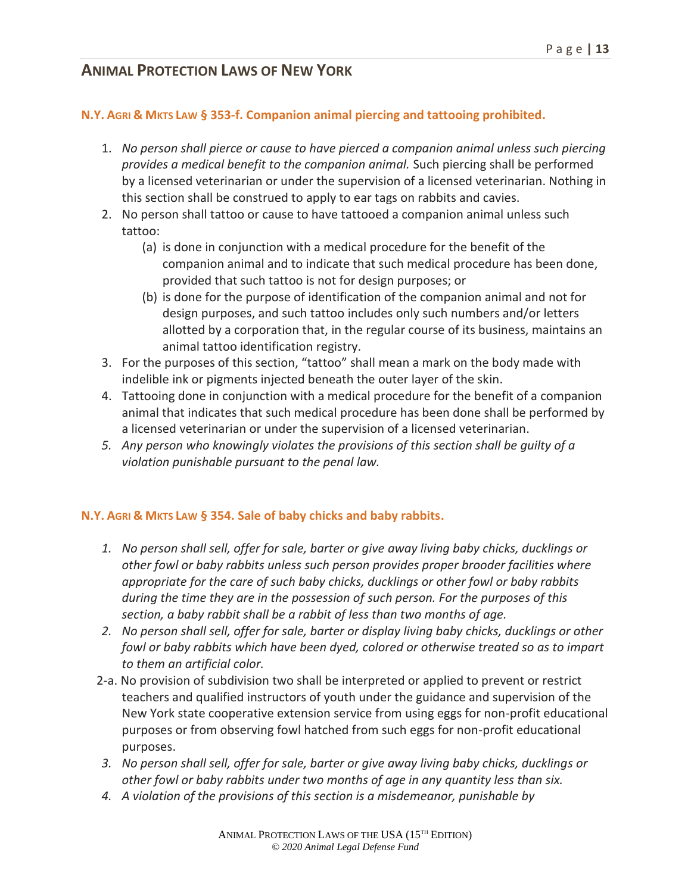# **N.Y. AGRI & MKTS LAW § 353-f. Companion animal piercing and tattooing prohibited.**

- 1. *No person shall pierce or cause to have pierced a companion animal unless such piercing provides a medical benefit to the companion animal.* Such piercing shall be performed by a licensed veterinarian or under the supervision of a licensed veterinarian. Nothing in this section shall be construed to apply to ear tags on rabbits and cavies.
- 2. No person shall tattoo or cause to have tattooed a companion animal unless such tattoo:
	- (a) is done in conjunction with a medical procedure for the benefit of the companion animal and to indicate that such medical procedure has been done, provided that such tattoo is not for design purposes; or
	- (b) is done for the purpose of identification of the companion animal and not for design purposes, and such tattoo includes only such numbers and/or letters allotted by a corporation that, in the regular course of its business, maintains an animal tattoo identification registry.
- 3. For the purposes of this section, "tattoo" shall mean a mark on the body made with indelible ink or pigments injected beneath the outer layer of the skin.
- 4. Tattooing done in conjunction with a medical procedure for the benefit of a companion animal that indicates that such medical procedure has been done shall be performed by a licensed veterinarian or under the supervision of a licensed veterinarian.
- *5. Any person who knowingly violates the provisions of this section shall be guilty of a violation punishable pursuant to the penal law.*

# **N.Y. AGRI & MKTS LAW § 354. Sale of baby chicks and baby rabbits.**

- *1. No person shall sell, offer for sale, barter or give away living baby chicks, ducklings or other fowl or baby rabbits unless such person provides proper brooder facilities where appropriate for the care of such baby chicks, ducklings or other fowl or baby rabbits during the time they are in the possession of such person. For the purposes of this section, a baby rabbit shall be a rabbit of less than two months of age.*
- *2. No person shall sell, offer for sale, barter or display living baby chicks, ducklings or other fowl or baby rabbits which have been dyed, colored or otherwise treated so as to impart to them an artificial color.*
- 2-a. No provision of subdivision two shall be interpreted or applied to prevent or restrict teachers and qualified instructors of youth under the guidance and supervision of the New York state cooperative extension service from using eggs for non-profit educational purposes or from observing fowl hatched from such eggs for non-profit educational purposes.
- *3. No person shall sell, offer for sale, barter or give away living baby chicks, ducklings or other fowl or baby rabbits under two months of age in any quantity less than six.*
- *4. A violation of the provisions of this section is a misdemeanor, punishable by*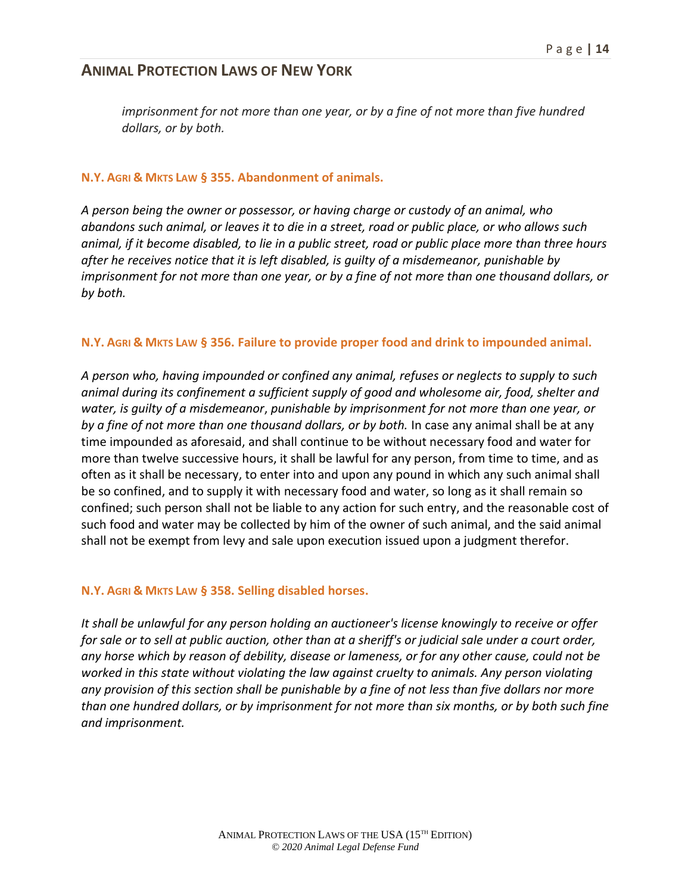*imprisonment for not more than one year, or by a fine of not more than five hundred dollars, or by both.*

#### **N.Y. AGRI & MKTS LAW § 355. Abandonment of animals.**

*A person being the owner or possessor, or having charge or custody of an animal, who abandons such animal, or leaves it to die in a street, road or public place, or who allows such animal, if it become disabled, to lie in a public street, road or public place more than three hours after he receives notice that it is left disabled, is guilty of a misdemeanor, punishable by imprisonment for not more than one year, or by a fine of not more than one thousand dollars, or by both.* 

#### **N.Y. AGRI & MKTS LAW § 356. Failure to provide proper food and drink to impounded animal.**

*A person who, having impounded or confined any animal, refuses or neglects to supply to such animal during its confinement a sufficient supply of good and wholesome air, food, shelter and water, is guilty of a misdemeanor*, *punishable by imprisonment for not more than one year, or by a fine of not more than one thousand dollars, or by both.* In case any animal shall be at any time impounded as aforesaid, and shall continue to be without necessary food and water for more than twelve successive hours, it shall be lawful for any person, from time to time, and as often as it shall be necessary, to enter into and upon any pound in which any such animal shall be so confined, and to supply it with necessary food and water, so long as it shall remain so confined; such person shall not be liable to any action for such entry, and the reasonable cost of such food and water may be collected by him of the owner of such animal, and the said animal shall not be exempt from levy and sale upon execution issued upon a judgment therefor.

### **N.Y. AGRI & MKTS LAW § 358. Selling disabled horses.**

*It shall be unlawful for any person holding an auctioneer's license knowingly to receive or offer for sale or to sell at public auction, other than at a sheriff's or judicial sale under a court order, any horse which by reason of debility, disease or lameness, or for any other cause, could not be worked in this state without violating the law against cruelty to animals. Any person violating any provision of this section shall be punishable by a fine of not less than five dollars nor more than one hundred dollars, or by imprisonment for not more than six months, or by both such fine and imprisonment.*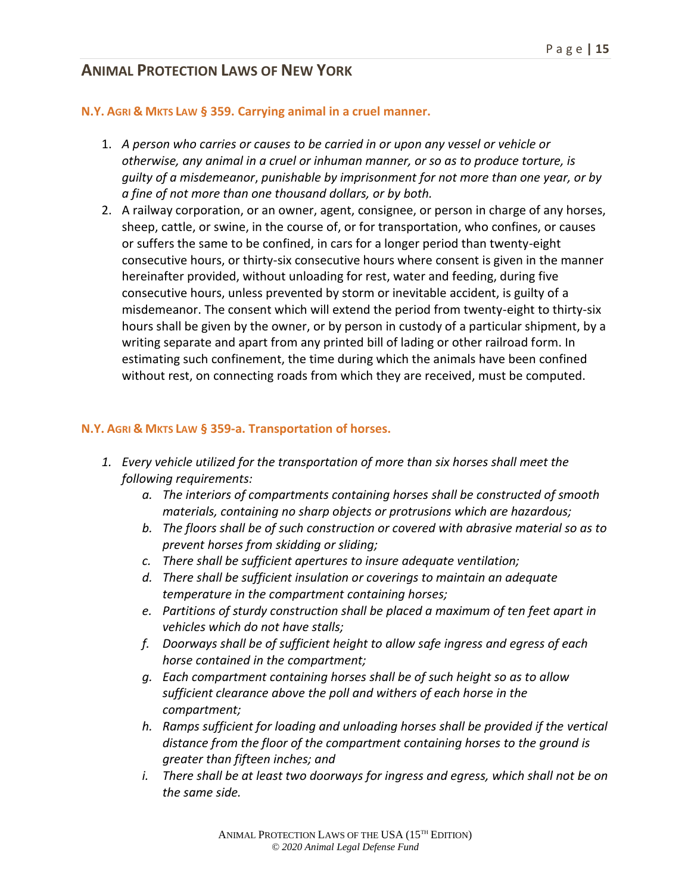#### **N.Y. AGRI & MKTS LAW § 359. Carrying animal in a cruel manner.**

- 1. *A person who carries or causes to be carried in or upon any vessel or vehicle or otherwise, any animal in a cruel or inhuman manner, or so as to produce torture, is guilty of a misdemeanor*, *punishable by imprisonment for not more than one year, or by a fine of not more than one thousand dollars, or by both.*
- 2. A railway corporation, or an owner, agent, consignee, or person in charge of any horses, sheep, cattle, or swine, in the course of, or for transportation, who confines, or causes or suffers the same to be confined, in cars for a longer period than twenty-eight consecutive hours, or thirty-six consecutive hours where consent is given in the manner hereinafter provided, without unloading for rest, water and feeding, during five consecutive hours, unless prevented by storm or inevitable accident, is guilty of a misdemeanor. The consent which will extend the period from twenty-eight to thirty-six hours shall be given by the owner, or by person in custody of a particular shipment, by a writing separate and apart from any printed bill of lading or other railroad form. In estimating such confinement, the time during which the animals have been confined without rest, on connecting roads from which they are received, must be computed.

#### **N.Y. AGRI & MKTS LAW § 359-a. Transportation of horses.**

- *1. Every vehicle utilized for the transportation of more than six horses shall meet the following requirements:*
	- *a. The interiors of compartments containing horses shall be constructed of smooth materials, containing no sharp objects or protrusions which are hazardous;*
	- *b. The floors shall be of such construction or covered with abrasive material so as to prevent horses from skidding or sliding;*
	- *c. There shall be sufficient apertures to insure adequate ventilation;*
	- *d. There shall be sufficient insulation or coverings to maintain an adequate temperature in the compartment containing horses;*
	- *e. Partitions of sturdy construction shall be placed a maximum of ten feet apart in vehicles which do not have stalls;*
	- *f. Doorways shall be of sufficient height to allow safe ingress and egress of each horse contained in the compartment;*
	- *g. Each compartment containing horses shall be of such height so as to allow sufficient clearance above the poll and withers of each horse in the compartment;*
	- *h. Ramps sufficient for loading and unloading horses shall be provided if the vertical distance from the floor of the compartment containing horses to the ground is greater than fifteen inches; and*
	- *i. There shall be at least two doorways for ingress and egress, which shall not be on the same side.*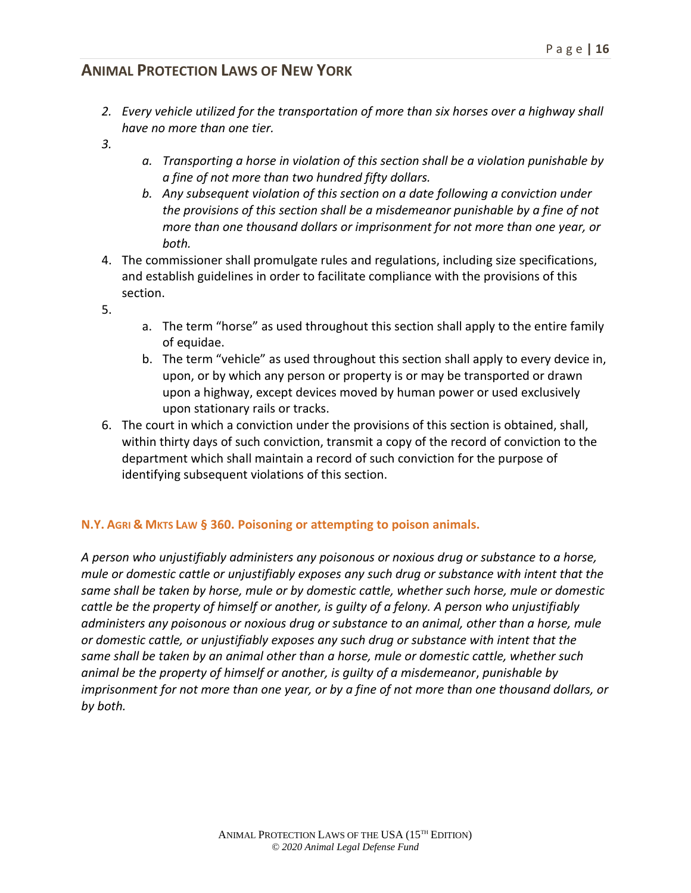- *2. Every vehicle utilized for the transportation of more than six horses over a highway shall have no more than one tier.*
- *3.*
- *a. Transporting a horse in violation of this section shall be a violation punishable by a fine of not more than two hundred fifty dollars.*
- *b. Any subsequent violation of this section on a date following a conviction under the provisions of this section shall be a misdemeanor punishable by a fine of not more than one thousand dollars or imprisonment for not more than one year, or both.*
- 4. The commissioner shall promulgate rules and regulations, including size specifications, and establish guidelines in order to facilitate compliance with the provisions of this section.
- 5.
- a. The term "horse" as used throughout this section shall apply to the entire family of equidae.
- b. The term "vehicle" as used throughout this section shall apply to every device in, upon, or by which any person or property is or may be transported or drawn upon a highway, except devices moved by human power or used exclusively upon stationary rails or tracks.
- 6. The court in which a conviction under the provisions of this section is obtained, shall, within thirty days of such conviction, transmit a copy of the record of conviction to the department which shall maintain a record of such conviction for the purpose of identifying subsequent violations of this section.

## **N.Y. AGRI & MKTS LAW § 360. Poisoning or attempting to poison animals.**

*A person who unjustifiably administers any poisonous or noxious drug or substance to a horse, mule or domestic cattle or unjustifiably exposes any such drug or substance with intent that the same shall be taken by horse, mule or by domestic cattle, whether such horse, mule or domestic cattle be the property of himself or another, is guilty of a felony. A person who unjustifiably administers any poisonous or noxious drug or substance to an animal, other than a horse, mule or domestic cattle, or unjustifiably exposes any such drug or substance with intent that the same shall be taken by an animal other than a horse, mule or domestic cattle, whether such animal be the property of himself or another, is guilty of a misdemeanor*, *punishable by imprisonment for not more than one year, or by a fine of not more than one thousand dollars, or by both.*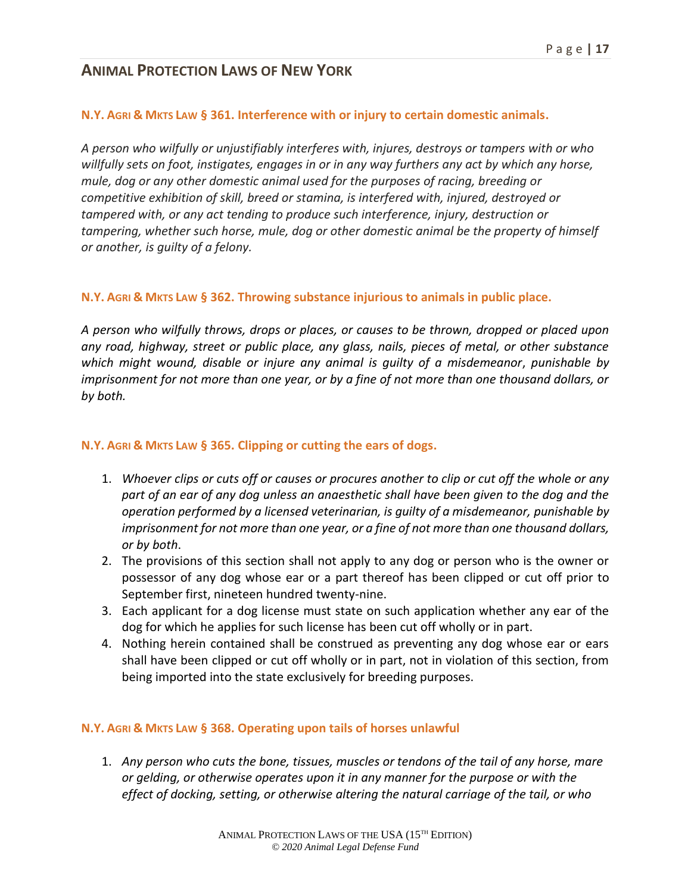### **N.Y. AGRI & MKTS LAW § 361. Interference with or injury to certain domestic animals.**

*A person who wilfully or unjustifiably interferes with, injures, destroys or tampers with or who willfully sets on foot, instigates, engages in or in any way furthers any act by which any horse, mule, dog or any other domestic animal used for the purposes of racing, breeding or competitive exhibition of skill, breed or stamina, is interfered with, injured, destroyed or tampered with, or any act tending to produce such interference, injury, destruction or tampering, whether such horse, mule, dog or other domestic animal be the property of himself or another, is guilty of a felony.*

#### **N.Y. AGRI & MKTS LAW § 362. Throwing substance injurious to animals in public place.**

*A person who wilfully throws, drops or places, or causes to be thrown, dropped or placed upon any road, highway, street or public place, any glass, nails, pieces of metal, or other substance which might wound, disable or injure any animal is guilty of a misdemeanor*, *punishable by imprisonment for not more than one year, or by a fine of not more than one thousand dollars, or by both.* 

#### **N.Y. AGRI & MKTS LAW § 365. Clipping or cutting the ears of dogs.**

- 1. *Whoever clips or cuts off or causes or procures another to clip or cut off the whole or any part of an ear of any dog unless an anaesthetic shall have been given to the dog and the operation performed by a licensed veterinarian, is guilty of a misdemeanor, punishable by imprisonment for not more than one year, or a fine of not more than one thousand dollars, or by both*.
- 2. The provisions of this section shall not apply to any dog or person who is the owner or possessor of any dog whose ear or a part thereof has been clipped or cut off prior to September first, nineteen hundred twenty-nine.
- 3. Each applicant for a dog license must state on such application whether any ear of the dog for which he applies for such license has been cut off wholly or in part.
- 4. Nothing herein contained shall be construed as preventing any dog whose ear or ears shall have been clipped or cut off wholly or in part, not in violation of this section, from being imported into the state exclusively for breeding purposes.

#### **N.Y. AGRI & MKTS LAW § 368. Operating upon tails of horses unlawful**

1. *Any person who cuts the bone, tissues, muscles or tendons of the tail of any horse, mare or gelding, or otherwise operates upon it in any manner for the purpose or with the effect of docking, setting, or otherwise altering the natural carriage of the tail, or who*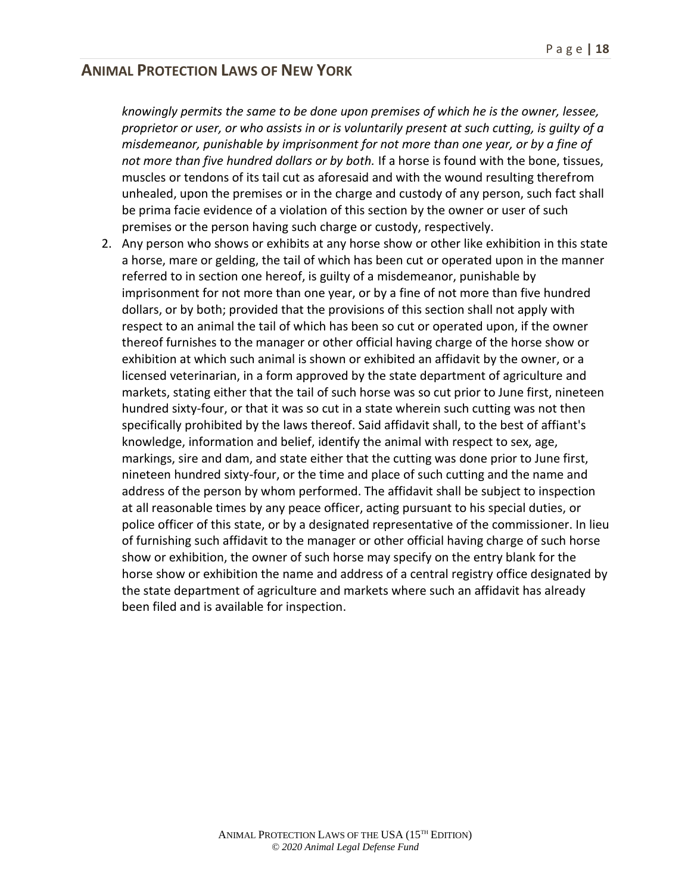*knowingly permits the same to be done upon premises of which he is the owner, lessee, proprietor or user, or who assists in or is voluntarily present at such cutting, is guilty of a misdemeanor, punishable by imprisonment for not more than one year, or by a fine of not more than five hundred dollars or by both.* If a horse is found with the bone, tissues, muscles or tendons of its tail cut as aforesaid and with the wound resulting therefrom unhealed, upon the premises or in the charge and custody of any person, such fact shall be prima facie evidence of a violation of this section by the owner or user of such premises or the person having such charge or custody, respectively.

2. Any person who shows or exhibits at any horse show or other like exhibition in this state a horse, mare or gelding, the tail of which has been cut or operated upon in the manner referred to in section one hereof, is guilty of a misdemeanor, punishable by imprisonment for not more than one year, or by a fine of not more than five hundred dollars, or by both; provided that the provisions of this section shall not apply with respect to an animal the tail of which has been so cut or operated upon, if the owner thereof furnishes to the manager or other official having charge of the horse show or exhibition at which such animal is shown or exhibited an affidavit by the owner, or a licensed veterinarian, in a form approved by the state department of agriculture and markets, stating either that the tail of such horse was so cut prior to June first, nineteen hundred sixty-four, or that it was so cut in a state wherein such cutting was not then specifically prohibited by the laws thereof. Said affidavit shall, to the best of affiant's knowledge, information and belief, identify the animal with respect to sex, age, markings, sire and dam, and state either that the cutting was done prior to June first, nineteen hundred sixty-four, or the time and place of such cutting and the name and address of the person by whom performed. The affidavit shall be subject to inspection at all reasonable times by any peace officer, acting pursuant to his special duties, or police officer of this state, or by a designated representative of the commissioner. In lieu of furnishing such affidavit to the manager or other official having charge of such horse show or exhibition, the owner of such horse may specify on the entry blank for the horse show or exhibition the name and address of a central registry office designated by the state department of agriculture and markets where such an affidavit has already been filed and is available for inspection.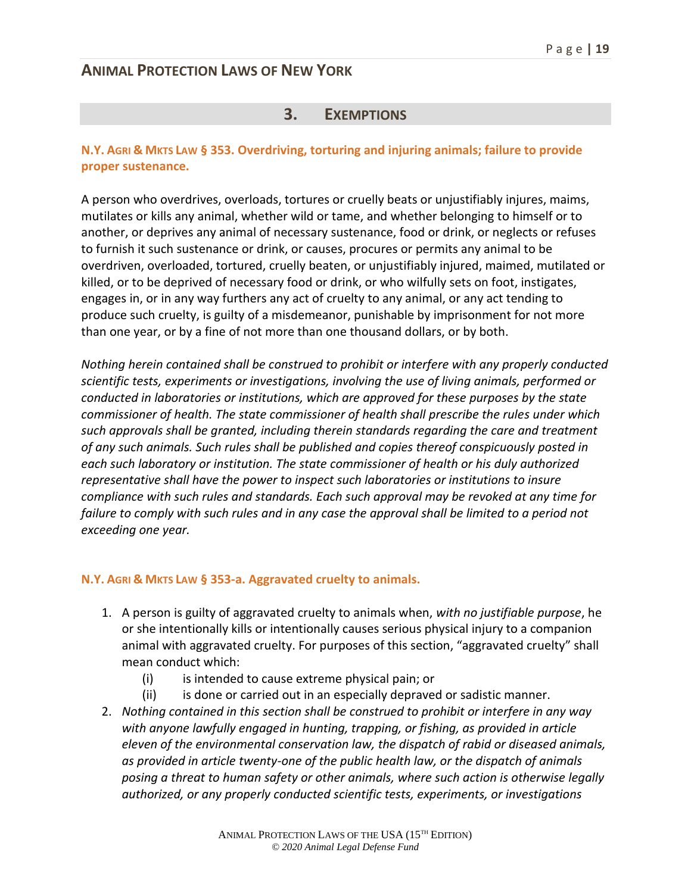## **3. EXEMPTIONS**

## **N.Y. AGRI & MKTS LAW § 353. Overdriving, torturing and injuring animals; failure to provide proper sustenance.**

A person who overdrives, overloads, tortures or cruelly beats or unjustifiably injures, maims, mutilates or kills any animal, whether wild or tame, and whether belonging to himself or to another, or deprives any animal of necessary sustenance, food or drink, or neglects or refuses to furnish it such sustenance or drink, or causes, procures or permits any animal to be overdriven, overloaded, tortured, cruelly beaten, or unjustifiably injured, maimed, mutilated or killed, or to be deprived of necessary food or drink, or who wilfully sets on foot, instigates, engages in, or in any way furthers any act of cruelty to any animal, or any act tending to produce such cruelty, is guilty of a misdemeanor, punishable by imprisonment for not more than one year, or by a fine of not more than one thousand dollars, or by both.

*Nothing herein contained shall be construed to prohibit or interfere with any properly conducted scientific tests, experiments or investigations, involving the use of living animals, performed or conducted in laboratories or institutions, which are approved for these purposes by the state commissioner of health. The state commissioner of health shall prescribe the rules under which such approvals shall be granted, including therein standards regarding the care and treatment of any such animals. Such rules shall be published and copies thereof conspicuously posted in each such laboratory or institution. The state commissioner of health or his duly authorized representative shall have the power to inspect such laboratories or institutions to insure compliance with such rules and standards. Each such approval may be revoked at any time for*  failure to comply with such rules and in any case the approval shall be limited to a period not *exceeding one year.*

#### **N.Y. AGRI & MKTS LAW § 353-a. Aggravated cruelty to animals.**

- 1. A person is guilty of aggravated cruelty to animals when, *with no justifiable purpose*, he or she intentionally kills or intentionally causes serious physical injury to a companion animal with aggravated cruelty. For purposes of this section, "aggravated cruelty" shall mean conduct which:
	- (i) is intended to cause extreme physical pain; or
	- (ii) is done or carried out in an especially depraved or sadistic manner.
- 2. *Nothing contained in this section shall be construed to prohibit or interfere in any way with anyone lawfully engaged in hunting, trapping, or fishing, as provided in article eleven of the environmental conservation law, the dispatch of rabid or diseased animals, as provided in article twenty-one of the public health law, or the dispatch of animals posing a threat to human safety or other animals, where such action is otherwise legally authorized, or any properly conducted scientific tests, experiments, or investigations*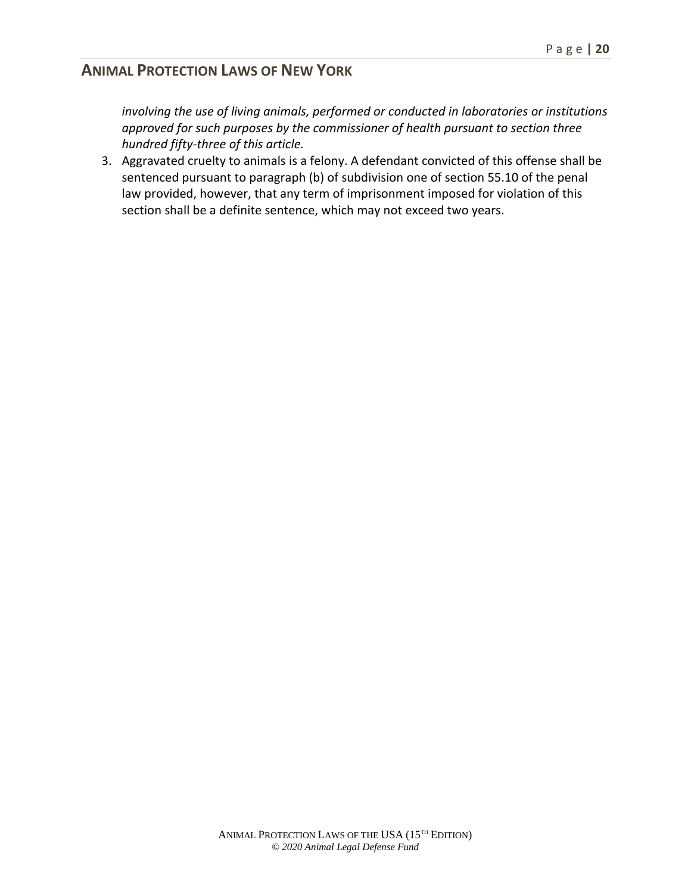*involving the use of living animals, performed or conducted in laboratories or institutions approved for such purposes by the commissioner of health pursuant to section three hundred fifty-three of this article.*

3. Aggravated cruelty to animals is a felony. A defendant convicted of this offense shall be sentenced pursuant to paragraph (b) of subdivision one of section 55.10 of the penal law provided, however, that any term of imprisonment imposed for violation of this section shall be a definite sentence, which may not exceed two years.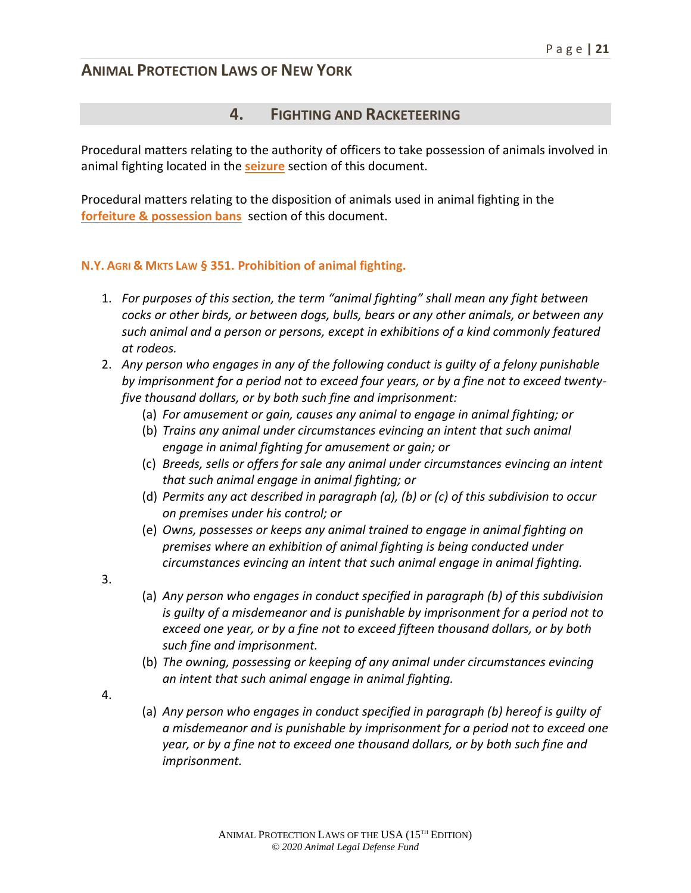## **4. FIGHTING AND RACKETEERING**

Procedural matters relating to the authority of officers to take possession of animals involved in animal fighting located in the **seizure** section of this document.

Procedural matters relating to the disposition of animals used in animal fighting in the **forfeiture & possession bans** section of this document.

#### **N.Y. AGRI & MKTS LAW § 351. Prohibition of animal fighting.**

- 1. *For purposes of this section, the term "animal fighting" shall mean any fight between cocks or other birds, or between dogs, bulls, bears or any other animals, or between any such animal and a person or persons, except in exhibitions of a kind commonly featured at rodeos.*
- 2. *Any person who engages in any of the following conduct is guilty of a felony punishable by imprisonment for a period not to exceed four years, or by a fine not to exceed twentyfive thousand dollars, or by both such fine and imprisonment:*
	- (a) *For amusement or gain, causes any animal to engage in animal fighting; or*
	- (b) *Trains any animal under circumstances evincing an intent that such animal engage in animal fighting for amusement or gain; or*
	- (c) *Breeds, sells or offers for sale any animal under circumstances evincing an intent that such animal engage in animal fighting; or*
	- (d) *Permits any act described in paragraph (a), (b) or (c) of this subdivision to occur on premises under his control; or*
	- (e) *Owns, possesses or keeps any animal trained to engage in animal fighting on premises where an exhibition of animal fighting is being conducted under circumstances evincing an intent that such animal engage in animal fighting.*
- 3.
- (a) *Any person who engages in conduct specified in paragraph (b) of this subdivision is guilty of a misdemeanor and is punishable by imprisonment for a period not to exceed one year, or by a fine not to exceed fifteen thousand dollars, or by both such fine and imprisonment.*
- (b) *The owning, possessing or keeping of any animal under circumstances evincing an intent that such animal engage in animal fighting.*
- 4.
- (a) *Any person who engages in conduct specified in paragraph (b) hereof is guilty of a misdemeanor and is punishable by imprisonment for a period not to exceed one year, or by a fine not to exceed one thousand dollars, or by both such fine and imprisonment.*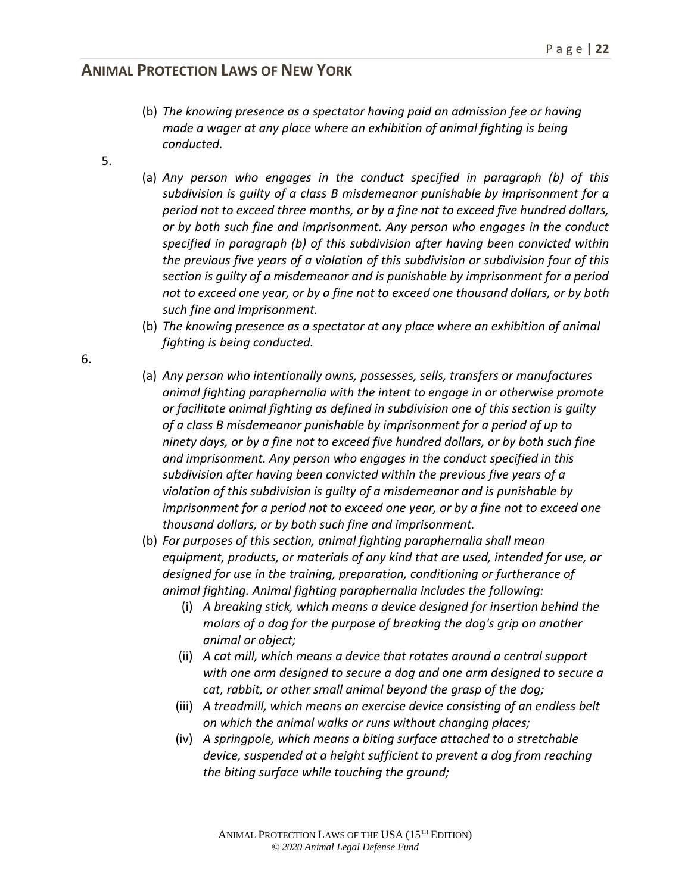- (b) *The knowing presence as a spectator having paid an admission fee or having made a wager at any place where an exhibition of animal fighting is being conducted.*
- 5.
- (a) *Any person who engages in the conduct specified in paragraph (b) of this subdivision is guilty of a class B misdemeanor punishable by imprisonment for a period not to exceed three months, or by a fine not to exceed five hundred dollars, or by both such fine and imprisonment. Any person who engages in the conduct specified in paragraph (b) of this subdivision after having been convicted within the previous five years of a violation of this subdivision or subdivision four of this section is guilty of a misdemeanor and is punishable by imprisonment for a period not to exceed one year, or by a fine not to exceed one thousand dollars, or by both such fine and imprisonment.*
- (b) *The knowing presence as a spectator at any place where an exhibition of animal fighting is being conducted.*
- (a) *Any person who intentionally owns, possesses, sells, transfers or manufactures animal fighting paraphernalia with the intent to engage in or otherwise promote or facilitate animal fighting as defined in subdivision one of this section is guilty of a class B misdemeanor punishable by imprisonment for a period of up to ninety days, or by a fine not to exceed five hundred dollars, or by both such fine and imprisonment. Any person who engages in the conduct specified in this subdivision after having been convicted within the previous five years of a violation of this subdivision is guilty of a misdemeanor and is punishable by imprisonment for a period not to exceed one year, or by a fine not to exceed one thousand dollars, or by both such fine and imprisonment.*
- (b) *For purposes of this section, animal fighting paraphernalia shall mean equipment, products, or materials of any kind that are used, intended for use, or designed for use in the training, preparation, conditioning or furtherance of animal fighting. Animal fighting paraphernalia includes the following:*
	- (i) *A breaking stick, which means a device designed for insertion behind the molars of a dog for the purpose of breaking the dog's grip on another animal or object;*
	- (ii) *A cat mill, which means a device that rotates around a central support with one arm designed to secure a dog and one arm designed to secure a cat, rabbit, or other small animal beyond the grasp of the dog;*
	- (iii) *A treadmill, which means an exercise device consisting of an endless belt on which the animal walks or runs without changing places;*
	- (iv) *A springpole, which means a biting surface attached to a stretchable device, suspended at a height sufficient to prevent a dog from reaching the biting surface while touching the ground;*

6.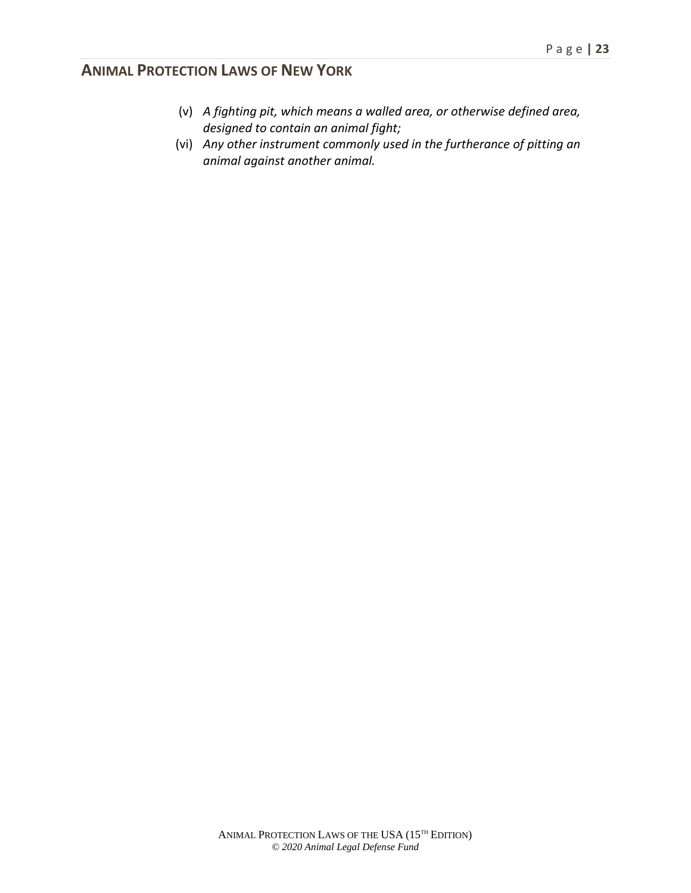- (v) *A fighting pit, which means a walled area, or otherwise defined area, designed to contain an animal fight;*
- (vi) *Any other instrument commonly used in the furtherance of pitting an animal against another animal.*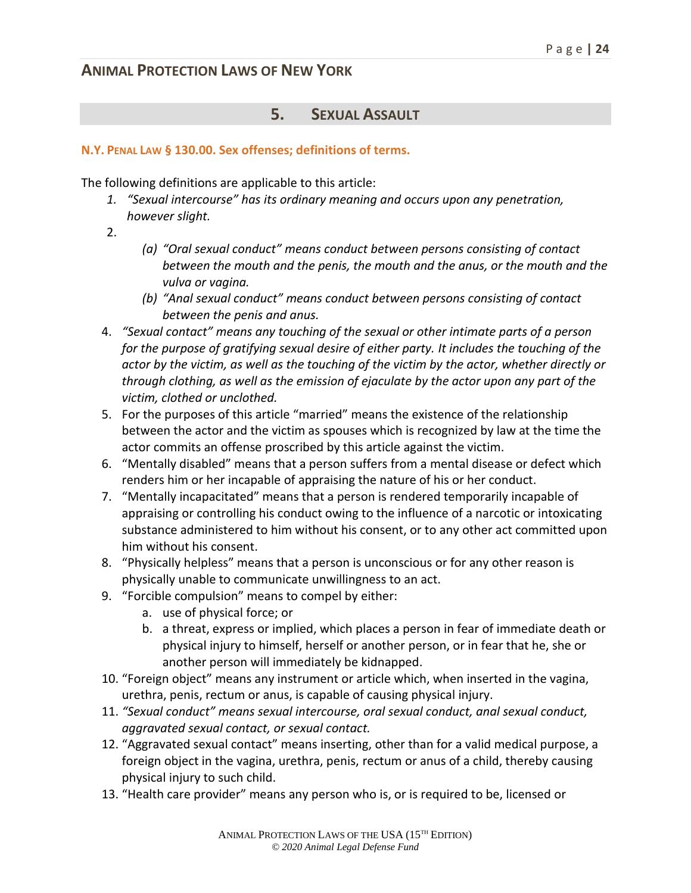## **5. SEXUAL ASSAULT**

#### **N.Y. PENAL LAW § 130.00. Sex offenses; definitions of terms.**

The following definitions are applicable to this article:

- *1. "Sexual intercourse" has its ordinary meaning and occurs upon any penetration, however slight.*
- 2.
- *(a) "Oral sexual conduct" means conduct between persons consisting of contact between the mouth and the penis, the mouth and the anus, or the mouth and the vulva or vagina.*
- *(b) "Anal sexual conduct" means conduct between persons consisting of contact between the penis and anus.*
- 4. *"Sexual contact" means any touching of the sexual or other intimate parts of a person for the purpose of gratifying sexual desire of either party. It includes the touching of the actor by the victim, as well as the touching of the victim by the actor, whether directly or through clothing, as well as the emission of ejaculate by the actor upon any part of the victim, clothed or unclothed.*
- 5. For the purposes of this article "married" means the existence of the relationship between the actor and the victim as spouses which is recognized by law at the time the actor commits an offense proscribed by this article against the victim.
- 6. "Mentally disabled" means that a person suffers from a mental disease or defect which renders him or her incapable of appraising the nature of his or her conduct.
- 7. "Mentally incapacitated" means that a person is rendered temporarily incapable of appraising or controlling his conduct owing to the influence of a narcotic or intoxicating substance administered to him without his consent, or to any other act committed upon him without his consent.
- 8. "Physically helpless" means that a person is unconscious or for any other reason is physically unable to communicate unwillingness to an act.
- 9. "Forcible compulsion" means to compel by either:
	- a. use of physical force; or
	- b. a threat, express or implied, which places a person in fear of immediate death or physical injury to himself, herself or another person, or in fear that he, she or another person will immediately be kidnapped.
- 10. "Foreign object" means any instrument or article which, when inserted in the vagina, urethra, penis, rectum or anus, is capable of causing physical injury.
- 11. *"Sexual conduct" means sexual intercourse, oral sexual conduct, anal sexual conduct, aggravated sexual contact, or sexual contact.*
- 12. "Aggravated sexual contact" means inserting, other than for a valid medical purpose, a foreign object in the vagina, urethra, penis, rectum or anus of a child, thereby causing physical injury to such child.
- 13. "Health care provider" means any person who is, or is required to be, licensed or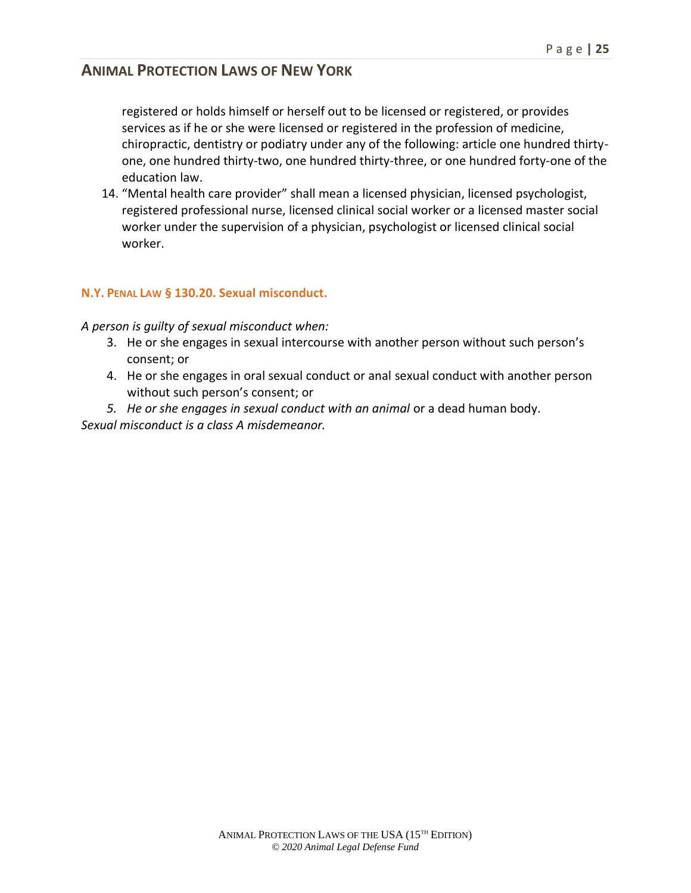registered or holds himself or herself out to be licensed or registered, or provides services as if he or she were licensed or registered in the profession of medicine, chiropractic, dentistry or podiatry under any of the following: article one hundred thirtyone, one hundred thirty-two, one hundred thirty-three, or one hundred forty-one of the education law.

14. "Mental health care provider" shall mean a licensed physician, licensed psychologist, registered professional nurse, licensed clinical social worker or a licensed master social worker under the supervision of a physician, psychologist or licensed clinical social worker.

### **N.Y. PENAL LAW § 130.20. Sexual misconduct.**

*A person is guilty of sexual misconduct when:*

- 3. He or she engages in sexual intercourse with another person without such person's consent; or
- 4. He or she engages in oral sexual conduct or anal sexual conduct with another person without such person's consent; or
- *5. He or she engages in sexual conduct with an animal* or a dead human body.

*Sexual misconduct is a class A misdemeanor.*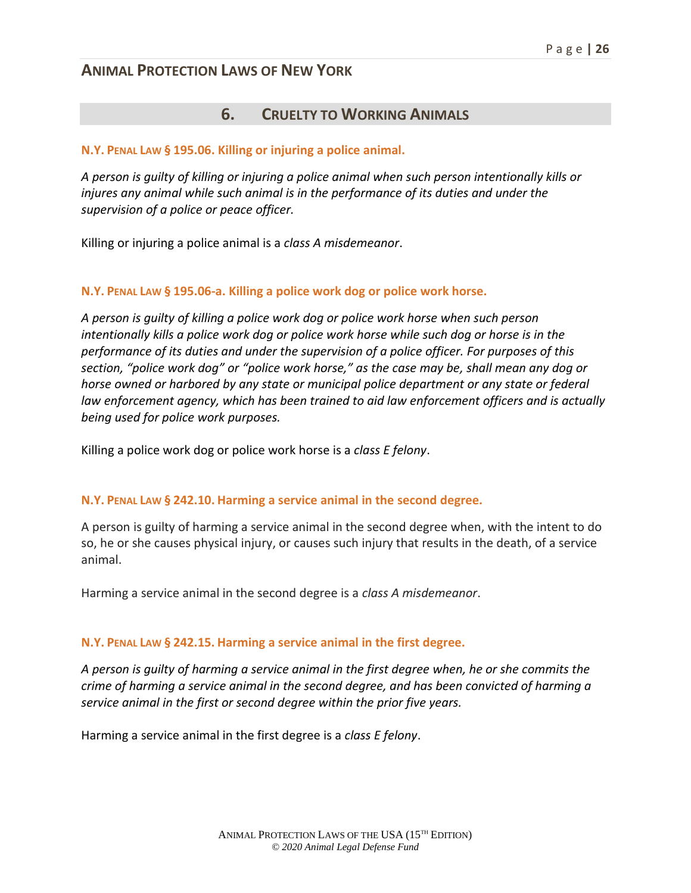## **6. CRUELTY TO WORKING ANIMALS**

#### **N.Y. PENAL LAW § 195.06. Killing or injuring a police animal.**

*A person is guilty of killing or injuring a police animal when such person intentionally kills or injures any animal while such animal is in the performance of its duties and under the supervision of a police or peace officer.*

Killing or injuring a police animal is a *class A misdemeanor*.

#### **N.Y. PENAL LAW § 195.06-a. Killing a police work dog or police work horse.**

*A person is guilty of killing a police work dog or police work horse when such person intentionally kills a police work dog or police work horse while such dog or horse is in the performance of its duties and under the supervision of a police officer. For purposes of this section, "police work dog" or "police work horse," as the case may be, shall mean any dog or horse owned or harbored by any state or municipal police department or any state or federal law enforcement agency, which has been trained to aid law enforcement officers and is actually being used for police work purposes.*

Killing a police work dog or police work horse is a *class E felony*.

#### **N.Y. PENAL LAW § 242.10. Harming a service animal in the second degree.**

A person is guilty of harming a service animal in the second degree when, with the intent to do so, he or she causes physical injury, or causes such injury that results in the death, of a service animal.

Harming a service animal in the second degree is a *class A misdemeanor*.

#### **N.Y. PENAL LAW § 242.15. Harming a service animal in the first degree.**

*A person is guilty of harming a service animal in the first degree when, he or she commits the crime of harming a service animal in the second degree, and has been convicted of harming a service animal in the first or second degree within the prior five years.*

Harming a service animal in the first degree is a *class E felony*.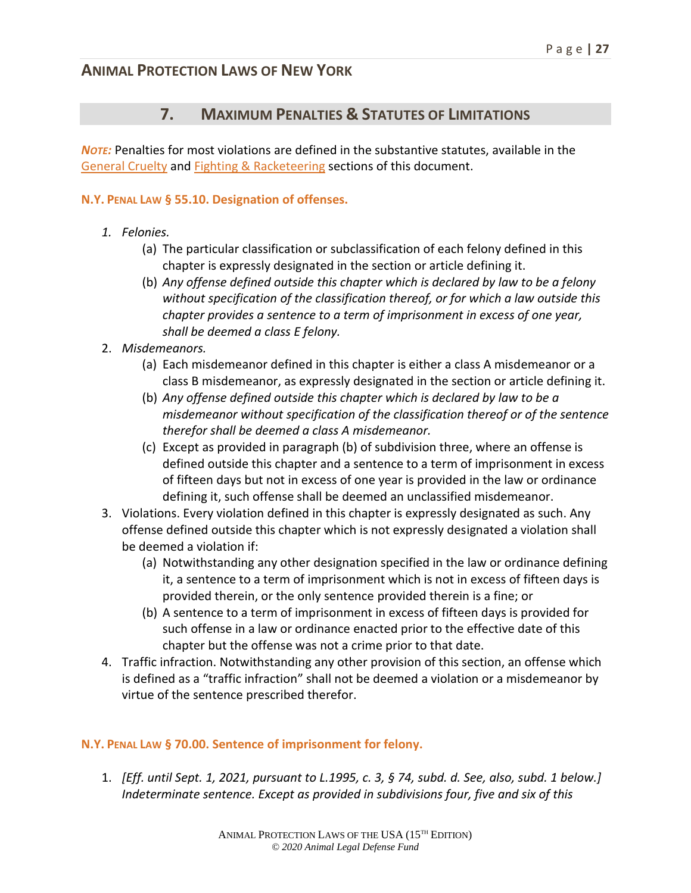## **7. MAXIMUM PENALTIES & STATUTES OF LIMITATIONS**

*NOTE:* Penalties for most violations are defined in the substantive statutes, available in the General Cruelty and Fighting & Racketeering sections of this document.

### **N.Y. PENAL LAW § 55.10. Designation of offenses.**

- *1. Felonies.* 
	- (a) The particular classification or subclassification of each felony defined in this chapter is expressly designated in the section or article defining it.
	- (b) *Any offense defined outside this chapter which is declared by law to be a felony without specification of the classification thereof, or for which a law outside this chapter provides a sentence to a term of imprisonment in excess of one year, shall be deemed a class E felony.*
- 2. *Misdemeanors.* 
	- (a) Each misdemeanor defined in this chapter is either a class A misdemeanor or a class B misdemeanor, as expressly designated in the section or article defining it.
	- (b) *Any offense defined outside this chapter which is declared by law to be a misdemeanor without specification of the classification thereof or of the sentence therefor shall be deemed a class A misdemeanor.*
	- (c) Except as provided in paragraph (b) of subdivision three, where an offense is defined outside this chapter and a sentence to a term of imprisonment in excess of fifteen days but not in excess of one year is provided in the law or ordinance defining it, such offense shall be deemed an unclassified misdemeanor.
- 3. Violations. Every violation defined in this chapter is expressly designated as such. Any offense defined outside this chapter which is not expressly designated a violation shall be deemed a violation if:
	- (a) Notwithstanding any other designation specified in the law or ordinance defining it, a sentence to a term of imprisonment which is not in excess of fifteen days is provided therein, or the only sentence provided therein is a fine; or
	- (b) A sentence to a term of imprisonment in excess of fifteen days is provided for such offense in a law or ordinance enacted prior to the effective date of this chapter but the offense was not a crime prior to that date.
- 4. Traffic infraction. Notwithstanding any other provision of this section, an offense which is defined as a "traffic infraction" shall not be deemed a violation or a misdemeanor by virtue of the sentence prescribed therefor.

## **N.Y. PENAL LAW § 70.00. Sentence of imprisonment for felony.**

1. *[Eff. until Sept. 1, 2021, pursuant to L.1995, c. 3, § 74, subd. d. See, also, subd. 1 below.] Indeterminate sentence. Except as provided in subdivisions four, five and six of this*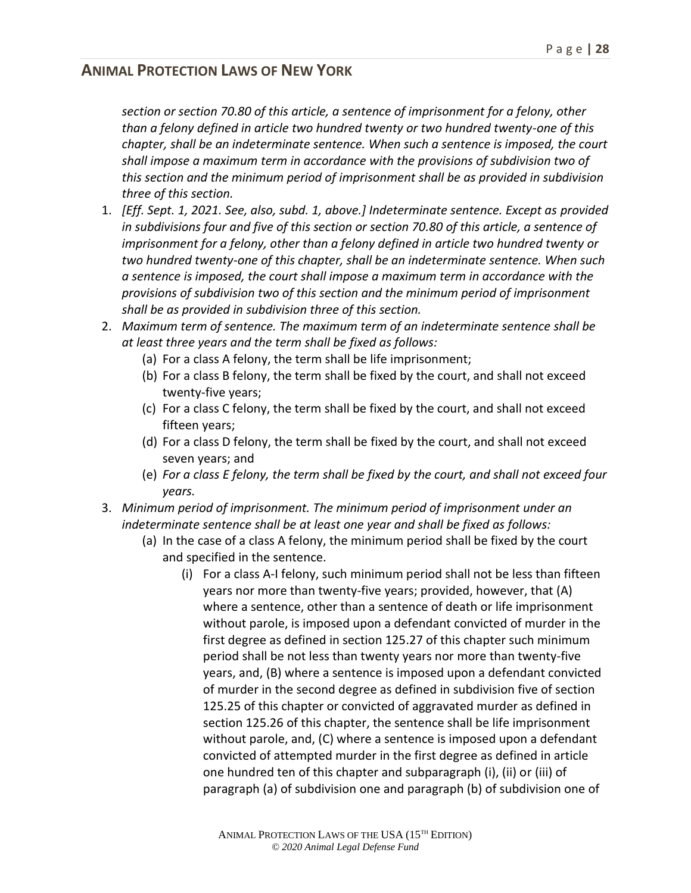*section or section 70.80 of this article, a sentence of imprisonment for a felony, other than a felony defined in article two hundred twenty or two hundred twenty-one of this chapter, shall be an indeterminate sentence. When such a sentence is imposed, the court shall impose a maximum term in accordance with the provisions of subdivision two of this section and the minimum period of imprisonment shall be as provided in subdivision three of this section.*

- 1. *[Eff. Sept. 1, 2021. See, also, subd. 1, above.] Indeterminate sentence. Except as provided in subdivisions four and five of this section or section 70.80 of this article, a sentence of imprisonment for a felony, other than a felony defined in article two hundred twenty or two hundred twenty-one of this chapter, shall be an indeterminate sentence. When such a sentence is imposed, the court shall impose a maximum term in accordance with the provisions of subdivision two of this section and the minimum period of imprisonment shall be as provided in subdivision three of this section.*
- 2. *Maximum term of sentence. The maximum term of an indeterminate sentence shall be at least three years and the term shall be fixed as follows:*
	- (a) For a class A felony, the term shall be life imprisonment;
	- (b) For a class B felony, the term shall be fixed by the court, and shall not exceed twenty-five years;
	- (c) For a class C felony, the term shall be fixed by the court, and shall not exceed fifteen years;
	- (d) For a class D felony, the term shall be fixed by the court, and shall not exceed seven years; and
	- (e) *For a class E felony, the term shall be fixed by the court, and shall not exceed four years.*
- 3. *Minimum period of imprisonment. The minimum period of imprisonment under an indeterminate sentence shall be at least one year and shall be fixed as follows:*
	- (a) In the case of a class A felony, the minimum period shall be fixed by the court and specified in the sentence.
		- (i) For a class A-I felony, such minimum period shall not be less than fifteen years nor more than twenty-five years; provided, however, that (A) where a sentence, other than a sentence of death or life imprisonment without parole, is imposed upon a defendant convicted of murder in the first degree as defined in section 125.27 of this chapter such minimum period shall be not less than twenty years nor more than twenty-five years, and, (B) where a sentence is imposed upon a defendant convicted of murder in the second degree as defined in subdivision five of section 125.25 of this chapter or convicted of aggravated murder as defined in section 125.26 of this chapter, the sentence shall be life imprisonment without parole, and, (C) where a sentence is imposed upon a defendant convicted of attempted murder in the first degree as defined in article one hundred ten of this chapter and subparagraph (i), (ii) or (iii) of paragraph (a) of subdivision one and paragraph (b) of subdivision one of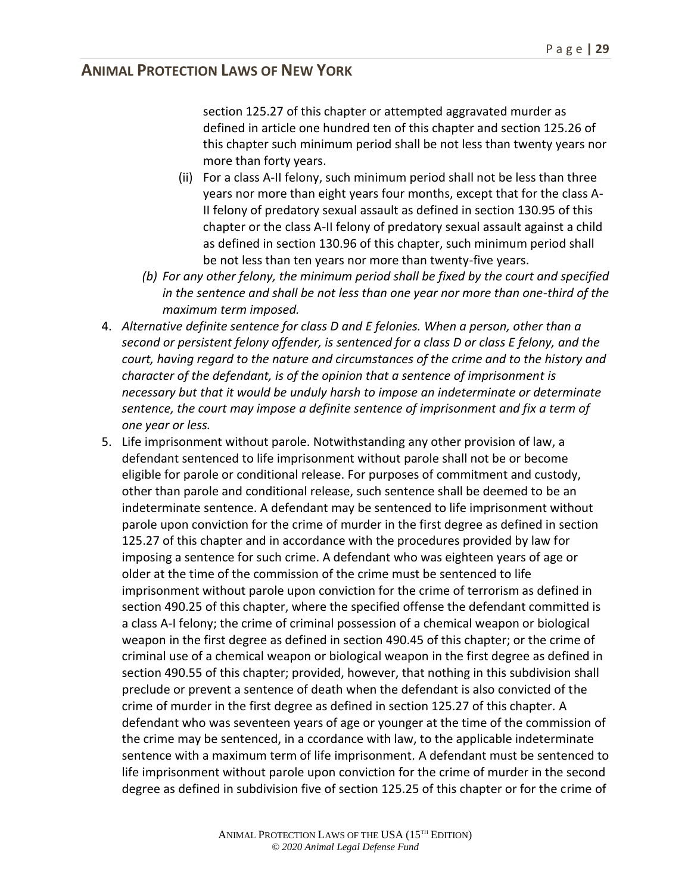section 125.27 of this chapter or attempted aggravated murder as defined in article one hundred ten of this chapter and section 125.26 of this chapter such minimum period shall be not less than twenty years nor more than forty years.

- (ii) For a class A-II felony, such minimum period shall not be less than three years nor more than eight years four months, except that for the class A-II felony of predatory sexual assault as defined in section 130.95 of this chapter or the class A-II felony of predatory sexual assault against a child as defined in section 130.96 of this chapter, such minimum period shall be not less than ten years nor more than twenty-five years.
- *(b) For any other felony, the minimum period shall be fixed by the court and specified in the sentence and shall be not less than one year nor more than one-third of the maximum term imposed.*
- 4. *Alternative definite sentence for class D and E felonies. When a person, other than a second or persistent felony offender, is sentenced for a class D or class E felony, and the court, having regard to the nature and circumstances of the crime and to the history and character of the defendant, is of the opinion that a sentence of imprisonment is necessary but that it would be unduly harsh to impose an indeterminate or determinate sentence, the court may impose a definite sentence of imprisonment and fix a term of one year or less.*
- 5. Life imprisonment without parole. Notwithstanding any other provision of law, a defendant sentenced to life imprisonment without parole shall not be or become eligible for parole or conditional release. For purposes of commitment and custody, other than parole and conditional release, such sentence shall be deemed to be an indeterminate sentence. A defendant may be sentenced to life imprisonment without parole upon conviction for the crime of murder in the first degree as defined in section 125.27 of this chapter and in accordance with the procedures provided by law for imposing a sentence for such crime. A defendant who was eighteen years of age or older at the time of the commission of the crime must be sentenced to life imprisonment without parole upon conviction for the crime of terrorism as defined in section 490.25 of this chapter, where the specified offense the defendant committed is a class A-I felony; the crime of criminal possession of a chemical weapon or biological weapon in the first degree as defined in section 490.45 of this chapter; or the crime of criminal use of a chemical weapon or biological weapon in the first degree as defined in section 490.55 of this chapter; provided, however, that nothing in this subdivision shall preclude or prevent a sentence of death when the defendant is also convicted of the crime of murder in the first degree as defined in section 125.27 of this chapter. A defendant who was seventeen years of age or younger at the time of the commission of the crime may be sentenced, in a ccordance with law, to the applicable indeterminate sentence with a maximum term of life imprisonment. A defendant must be sentenced to life imprisonment without parole upon conviction for the crime of murder in the second degree as defined in subdivision five of section 125.25 of this chapter or for the crime of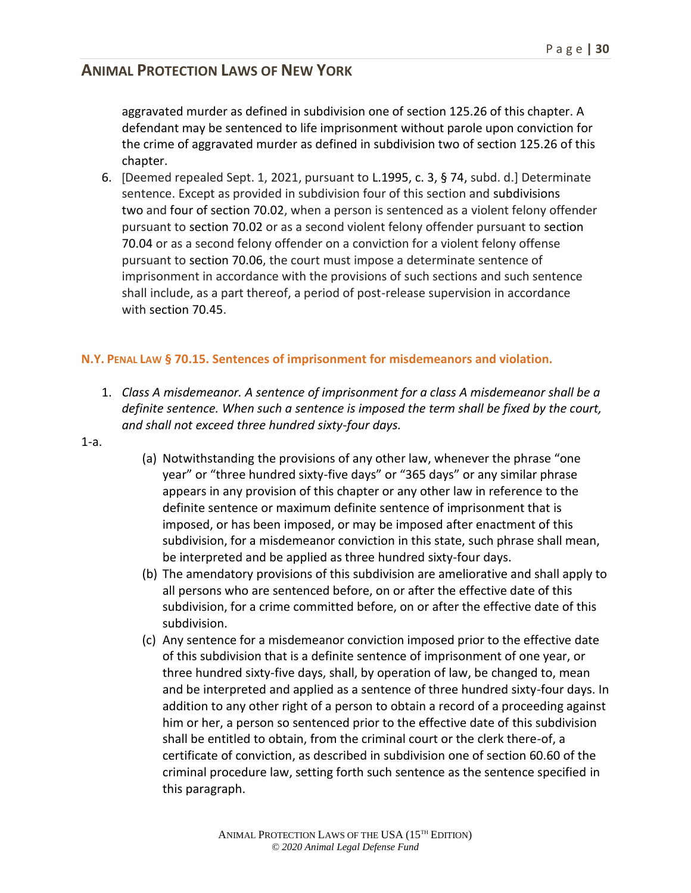aggravated murder as defined in subdivision one of section 125.26 of this chapter. A defendant may be sentenced to life imprisonment without parole upon conviction for the crime of aggravated murder as defined in subdivision two of section 125.26 of this chapter.

6. [Deemed repealed Sept. 1, 2021, pursuant to L.1995, c. 3,  $\S$  74, subd. d.] Determinate sentence. Except as provided in subdivision four of this section and subdivisions two and four of section 70.02, when a person is sentenced as a violent felony offender pursuant to section 70.02 or as a second violent felony offender pursuant to section 70.04 or as a second felony offender on a conviction for a violent felony offense pursuant to section 70.06, the court must impose a determinate sentence of imprisonment in accordance with the provisions of such sections and such sentence shall include, as a part thereof, a period of post-release supervision in accordance with section 70.45.

### **N.Y. PENAL LAW § 70.15. Sentences of imprisonment for misdemeanors and violation.**

- 1. *Class A misdemeanor. A sentence of imprisonment for a class A misdemeanor shall be a definite sentence. When such a sentence is imposed the term shall be fixed by the court, and shall not exceed three hundred sixty-four days.*
- 1-a.
- (a) Notwithstanding the provisions of any other law, whenever the phrase "one year" or "three hundred sixty-five days" or "365 days" or any similar phrase appears in any provision of this chapter or any other law in reference to the definite sentence or maximum definite sentence of imprisonment that is imposed, or has been imposed, or may be imposed after enactment of this subdivision, for a misdemeanor conviction in this state, such phrase shall mean, be interpreted and be applied as three hundred sixty-four days.
- (b) The amendatory provisions of this subdivision are ameliorative and shall apply to all persons who are sentenced before, on or after the effective date of this subdivision, for a crime committed before, on or after the effective date of this subdivision.
- (c) Any sentence for a misdemeanor conviction imposed prior to the effective date of this subdivision that is a definite sentence of imprisonment of one year, or three hundred sixty-five days, shall, by operation of law, be changed to, mean and be interpreted and applied as a sentence of three hundred sixty-four days. In addition to any other right of a person to obtain a record of a proceeding against him or her, a person so sentenced prior to the effective date of this subdivision shall be entitled to obtain, from the criminal court or the clerk there-of, a certificate of conviction, as described in subdivision one of section 60.60 of the criminal procedure law, setting forth such sentence as the sentence specified in this paragraph.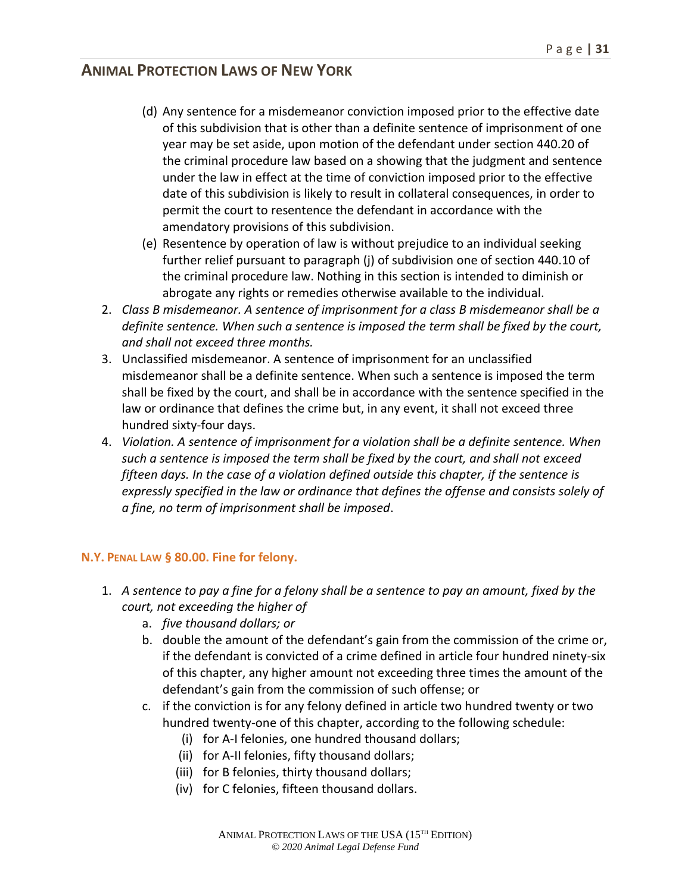- (d) Any sentence for a misdemeanor conviction imposed prior to the effective date of this subdivision that is other than a definite sentence of imprisonment of one year may be set aside, upon motion of the defendant under section 440.20 of the criminal procedure law based on a showing that the judgment and sentence under the law in effect at the time of conviction imposed prior to the effective date of this subdivision is likely to result in collateral consequences, in order to permit the court to resentence the defendant in accordance with the amendatory provisions of this subdivision.
- (e) Resentence by operation of law is without prejudice to an individual seeking further relief pursuant to paragraph (j) of subdivision one of section 440.10 of the criminal procedure law. Nothing in this section is intended to diminish or abrogate any rights or remedies otherwise available to the individual.
- 2. *Class B misdemeanor. A sentence of imprisonment for a class B misdemeanor shall be a definite sentence. When such a sentence is imposed the term shall be fixed by the court, and shall not exceed three months.*
- 3. Unclassified misdemeanor. A sentence of imprisonment for an unclassified misdemeanor shall be a definite sentence. When such a sentence is imposed the term shall be fixed by the court, and shall be in accordance with the sentence specified in the law or ordinance that defines the crime but, in any event, it shall not exceed three hundred sixty-four days.
- 4. *Violation. A sentence of imprisonment for a violation shall be a definite sentence. When such a sentence is imposed the term shall be fixed by the court, and shall not exceed fifteen days. In the case of a violation defined outside this chapter, if the sentence is expressly specified in the law or ordinance that defines the offense and consists solely of a fine, no term of imprisonment shall be imposed*.

## **N.Y. PENAL LAW § 80.00. Fine for felony.**

- 1. *A sentence to pay a fine for a felony shall be a sentence to pay an amount, fixed by the court, not exceeding the higher of* 
	- a. *five thousand dollars; or*
	- b. double the amount of the defendant's gain from the commission of the crime or, if the defendant is convicted of a crime defined in article four hundred ninety-six of this chapter, any higher amount not exceeding three times the amount of the defendant's gain from the commission of such offense; or
	- c. if the conviction is for any felony defined in article two hundred twenty or two hundred twenty-one of this chapter, according to the following schedule:
		- (i) for A-I felonies, one hundred thousand dollars;
		- (ii) for A-II felonies, fifty thousand dollars;
		- (iii) for B felonies, thirty thousand dollars;
		- (iv) for C felonies, fifteen thousand dollars.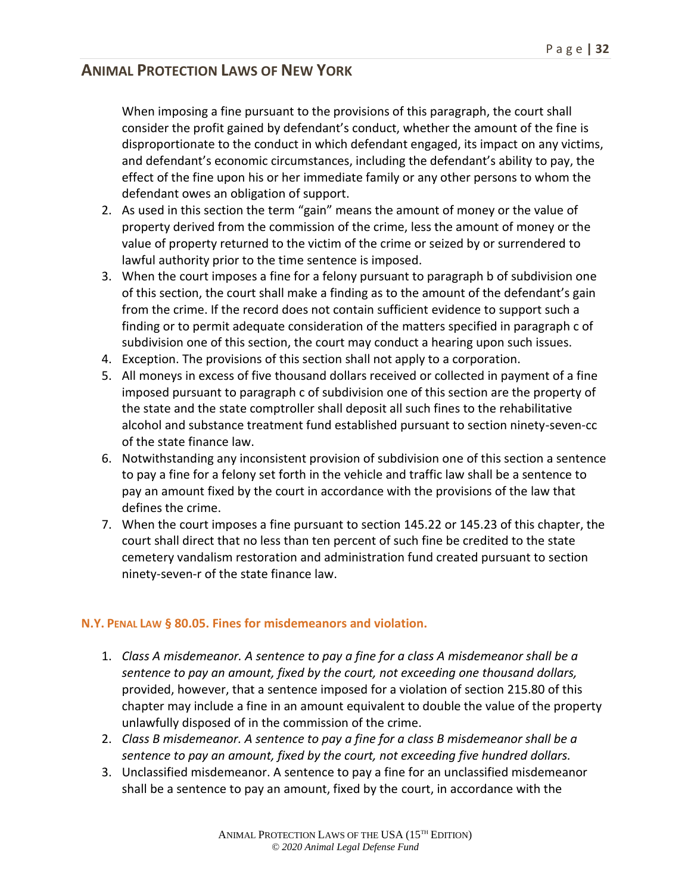When imposing a fine pursuant to the provisions of this paragraph, the court shall consider the profit gained by defendant's conduct, whether the amount of the fine is disproportionate to the conduct in which defendant engaged, its impact on any victims, and defendant's economic circumstances, including the defendant's ability to pay, the effect of the fine upon his or her immediate family or any other persons to whom the defendant owes an obligation of support.

- 2. As used in this section the term "gain" means the amount of money or the value of property derived from the commission of the crime, less the amount of money or the value of property returned to the victim of the crime or seized by or surrendered to lawful authority prior to the time sentence is imposed.
- 3. When the court imposes a fine for a felony pursuant to paragraph b of subdivision one of this section, the court shall make a finding as to the amount of the defendant's gain from the crime. If the record does not contain sufficient evidence to support such a finding or to permit adequate consideration of the matters specified in paragraph c of subdivision one of this section, the court may conduct a hearing upon such issues.
- 4. Exception. The provisions of this section shall not apply to a corporation.
- 5. All moneys in excess of five thousand dollars received or collected in payment of a fine imposed pursuant to paragraph c of subdivision one of this section are the property of the state and the state comptroller shall deposit all such fines to the rehabilitative alcohol and substance treatment fund established pursuant to section ninety-seven-cc of the state finance law.
- 6. Notwithstanding any inconsistent provision of subdivision one of this section a sentence to pay a fine for a felony set forth in the vehicle and traffic law shall be a sentence to pay an amount fixed by the court in accordance with the provisions of the law that defines the crime.
- 7. When the court imposes a fine pursuant to section 145.22 or 145.23 of this chapter, the court shall direct that no less than ten percent of such fine be credited to the state cemetery vandalism restoration and administration fund created pursuant to section ninety-seven-r of the state finance law.

## **N.Y. PENAL LAW § 80.05. Fines for misdemeanors and violation.**

- 1. *Class A misdemeanor. A sentence to pay a fine for a class A misdemeanor shall be a sentence to pay an amount, fixed by the court, not exceeding one thousand dollars,* provided, however, that a sentence imposed for a violation of section 215.80 of this chapter may include a fine in an amount equivalent to double the value of the property unlawfully disposed of in the commission of the crime.
- 2. *Class B misdemeanor. A sentence to pay a fine for a class B misdemeanor shall be a sentence to pay an amount, fixed by the court, not exceeding five hundred dollars.*
- 3. Unclassified misdemeanor. A sentence to pay a fine for an unclassified misdemeanor shall be a sentence to pay an amount, fixed by the court, in accordance with the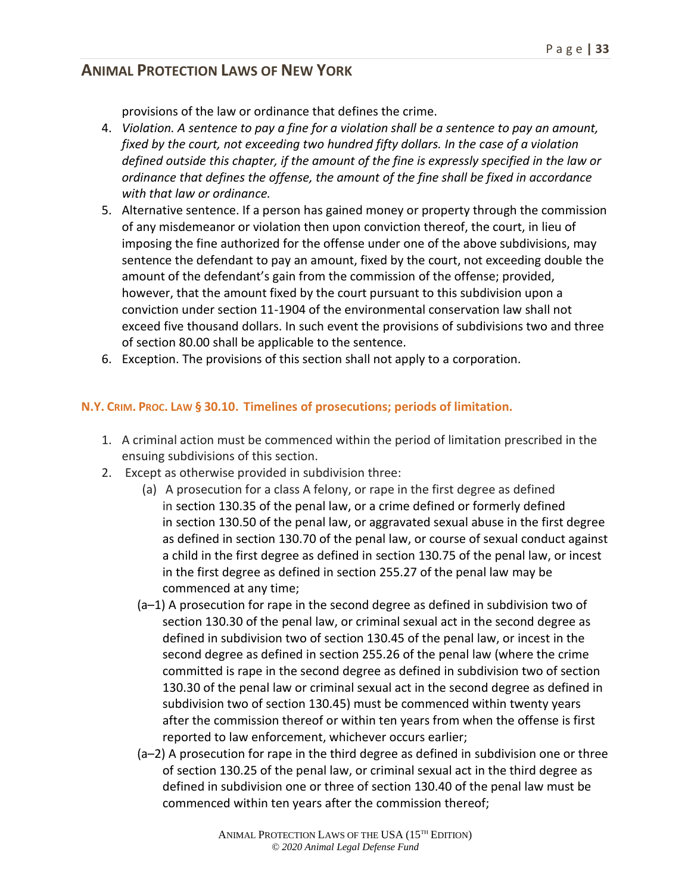provisions of the law or ordinance that defines the crime.

- 4. *Violation. A sentence to pay a fine for a violation shall be a sentence to pay an amount, fixed by the court, not exceeding two hundred fifty dollars. In the case of a violation defined outside this chapter, if the amount of the fine is expressly specified in the law or ordinance that defines the offense, the amount of the fine shall be fixed in accordance with that law or ordinance.*
- 5. Alternative sentence. If a person has gained money or property through the commission of any misdemeanor or violation then upon conviction thereof, the court, in lieu of imposing the fine authorized for the offense under one of the above subdivisions, may sentence the defendant to pay an amount, fixed by the court, not exceeding double the amount of the defendant's gain from the commission of the offense; provided, however, that the amount fixed by the court pursuant to this subdivision upon a conviction under section 11-1904 of the environmental conservation law shall not exceed five thousand dollars. In such event the provisions of subdivisions two and three of section 80.00 shall be applicable to the sentence.
- 6. Exception. The provisions of this section shall not apply to a corporation.

## **N.Y. CRIM. PROC. LAW § 30.10. Timelines of prosecutions; periods of limitation.**

- 1. A criminal action must be commenced within the period of limitation prescribed in the ensuing subdivisions of this section.
- 2. Except as otherwise provided in subdivision three:
	- (a) A prosecution for a class A felony, or rape in the first degree as defined in section 130.35 of the penal law, or a crime defined or formerly defined in section 130.50 of the penal law, or aggravated sexual abuse in the first degree as defined in section 130.70 of the penal law, or course of sexual conduct against a child in the first degree as defined in section 130.75 of the penal law, or incest in the first degree as defined in section 255.27 of the penal law may be commenced at any time;
	- (a–1) A prosecution for rape in the second degree as defined in subdivision two of section 130.30 of the penal law, or criminal sexual act in the second degree as defined in subdivision two of section 130.45 of the penal law, or incest in the second degree as defined in section 255.26 of the penal law (where the crime committed is rape in the second degree as defined in subdivision two of section 130.30 of the penal law or criminal sexual act in the second degree as defined in subdivision two of section 130.45) must be commenced within twenty years after the commission thereof or within ten years from when the offense is first reported to law enforcement, whichever occurs earlier;
	- (a–2) A prosecution for rape in the third degree as defined in subdivision one or three of section 130.25 of the penal law, or criminal sexual act in the third degree as defined in subdivision one or three of section 130.40 of the penal law must be commenced within ten years after the commission thereof;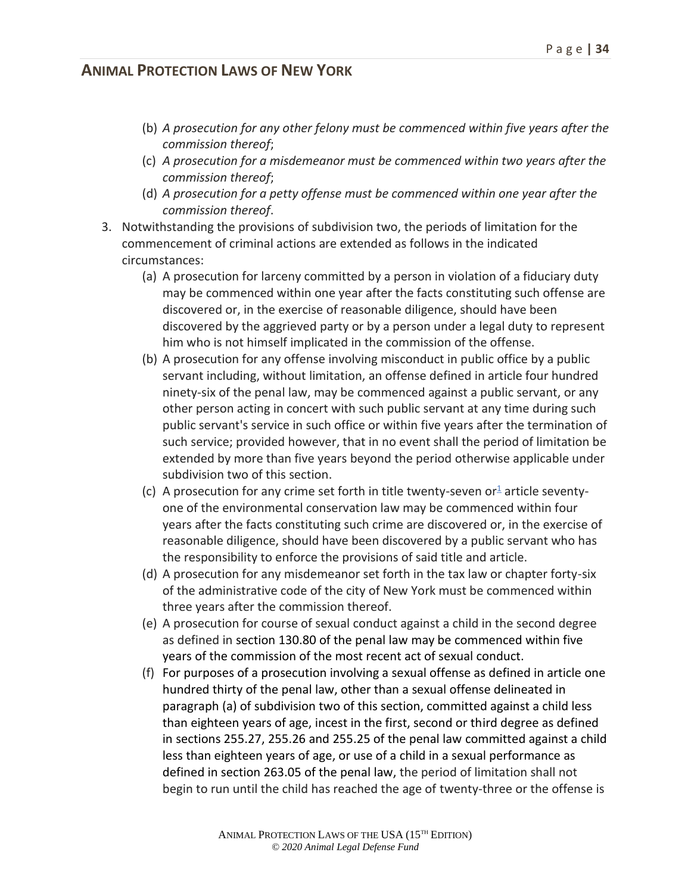- (b) *A prosecution for any other felony must be commenced within five years after the commission thereof*;
- (c) *A prosecution for a misdemeanor must be commenced within two years after the commission thereof*;
- (d) *A prosecution for a petty offense must be commenced within one year after the commission thereof*.
- 3. Notwithstanding the provisions of subdivision two, the periods of limitation for the commencement of criminal actions are extended as follows in the indicated circumstances:
	- (a) A prosecution for larceny committed by a person in violation of a fiduciary duty may be commenced within one year after the facts constituting such offense are discovered or, in the exercise of reasonable diligence, should have been discovered by the aggrieved party or by a person under a legal duty to represent him who is not himself implicated in the commission of the offense.
	- (b) A prosecution for any offense involving misconduct in public office by a public servant including, without limitation, an offense defined in article four hundred ninety-six of the penal law, may be commenced against a public servant, or any other person acting in concert with such public servant at any time during such public servant's service in such office or within five years after the termination of such service; provided however, that in no event shall the period of limitation be extended by more than five years beyond the period otherwise applicable under subdivision two of this section.
	- (c) A prosecution for any crime set forth in title twenty-seven or<sup>1</sup> article seventyone of the environmental conservation law may be commenced within four years after the facts constituting such crime are discovered or, in the exercise of reasonable diligence, should have been discovered by a public servant who has the responsibility to enforce the provisions of said title and article.
	- (d) A prosecution for any misdemeanor set forth in the tax law or chapter forty-six of the administrative code of the city of New York must be commenced within three years after the commission thereof.
	- (e) A prosecution for course of sexual conduct against a child in the second degree as defined in section 130.80 of the penal law may be commenced within five years of the commission of the most recent act of sexual conduct.
	- (f) For purposes of a prosecution involving a sexual offense as defined in article one hundred thirty of the penal law, other than a sexual offense delineated in paragraph (a) of subdivision two of this section, committed against a child less than eighteen years of age, incest in the first, second or third degree as defined in sections 255.27, 255.26 and 255.25 of the penal law committed against a child less than eighteen years of age, or use of a child in a sexual performance as defined in section 263.05 of the penal law, the period of limitation shall not begin to run until the child has reached the age of twenty-three or the offense is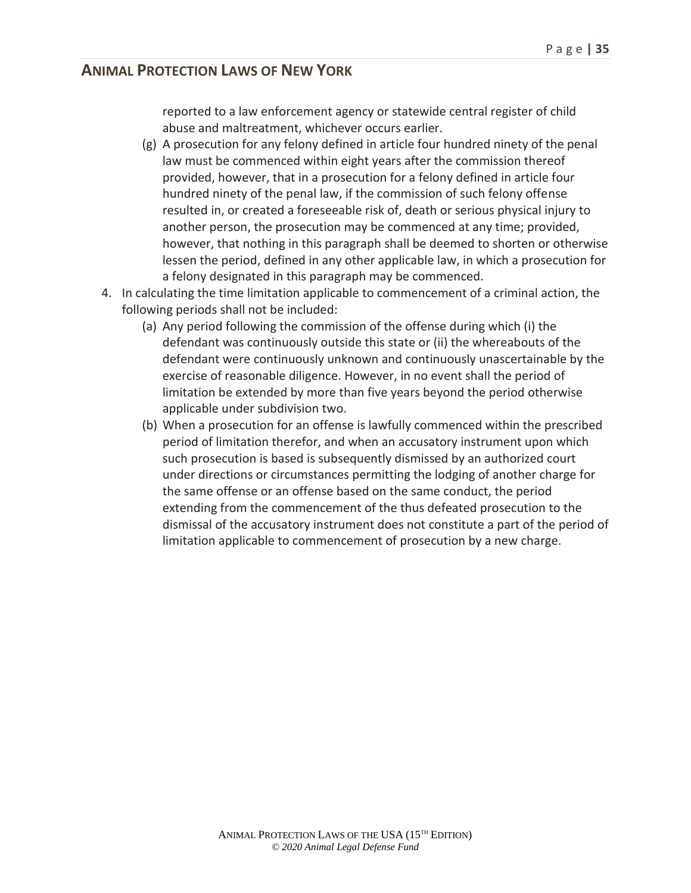reported to a law enforcement agency or statewide central register of child abuse and maltreatment, whichever occurs earlier.

- (g) A prosecution for any felony defined in article four hundred ninety of the penal law must be commenced within eight years after the commission thereof provided, however, that in a prosecution for a felony defined in article four hundred ninety of the penal law, if the commission of such felony offense resulted in, or created a foreseeable risk of, death or serious physical injury to another person, the prosecution may be commenced at any time; provided, however, that nothing in this paragraph shall be deemed to shorten or otherwise lessen the period, defined in any other applicable law, in which a prosecution for a felony designated in this paragraph may be commenced.
- 4. In calculating the time limitation applicable to commencement of a criminal action, the following periods shall not be included:
	- (a) Any period following the commission of the offense during which (i) the defendant was continuously outside this state or (ii) the whereabouts of the defendant were continuously unknown and continuously unascertainable by the exercise of reasonable diligence. However, in no event shall the period of limitation be extended by more than five years beyond the period otherwise applicable under subdivision two.
	- (b) When a prosecution for an offense is lawfully commenced within the prescribed period of limitation therefor, and when an accusatory instrument upon which such prosecution is based is subsequently dismissed by an authorized court under directions or circumstances permitting the lodging of another charge for the same offense or an offense based on the same conduct, the period extending from the commencement of the thus defeated prosecution to the dismissal of the accusatory instrument does not constitute a part of the period of limitation applicable to commencement of prosecution by a new charge.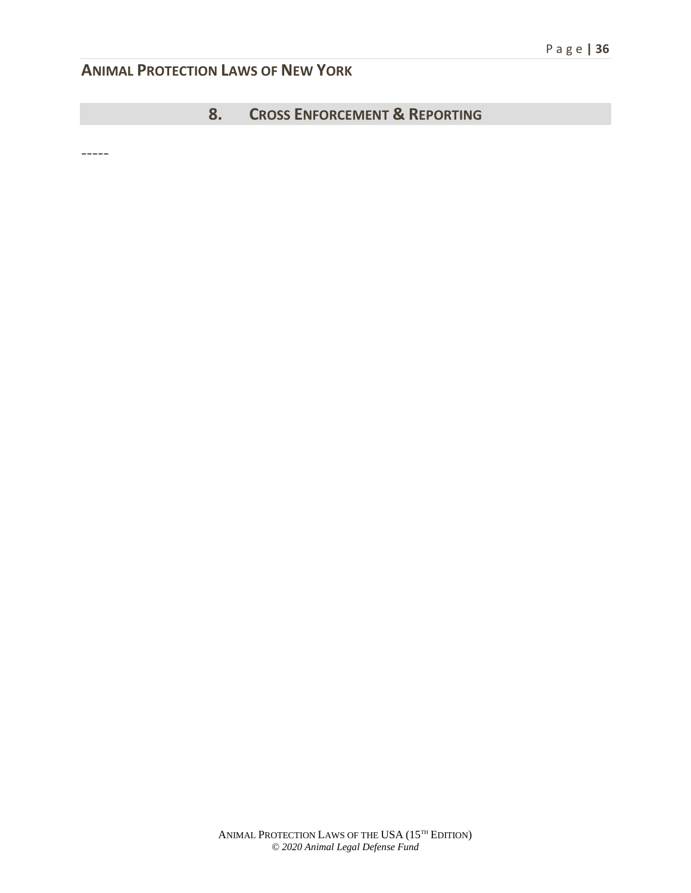**8. CROSS ENFORCEMENT & REPORTING**

-----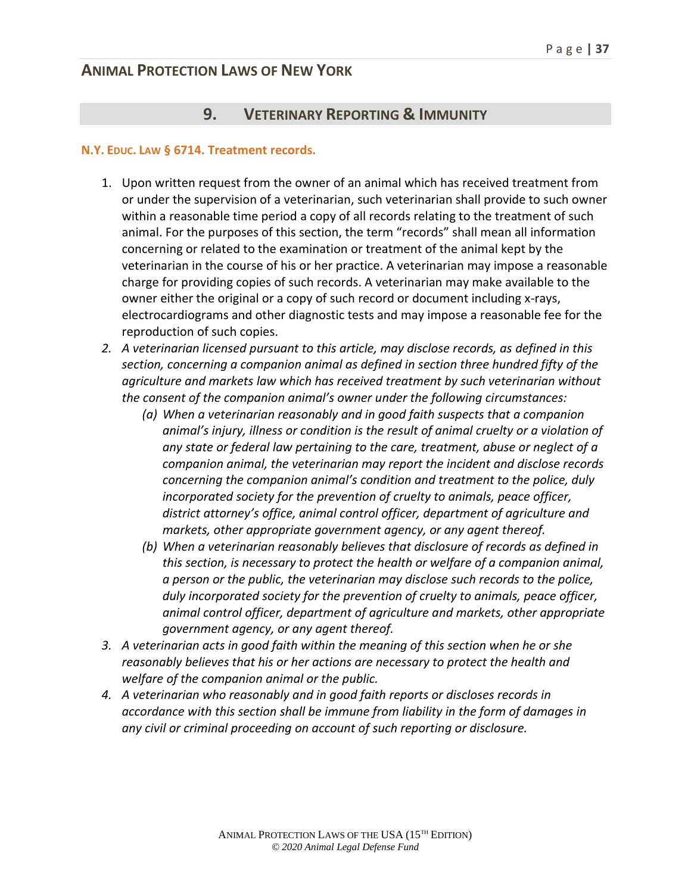#### **9. VETERINARY REPORTING & IMMUNITY**

#### **N.Y. EDUC. LAW § 6714. Treatment records.**

- 1. Upon written request from the owner of an animal which has received treatment from or under the supervision of a veterinarian, such veterinarian shall provide to such owner within a reasonable time period a copy of all records relating to the treatment of such animal. For the purposes of this section, the term "records" shall mean all information concerning or related to the examination or treatment of the animal kept by the veterinarian in the course of his or her practice. A veterinarian may impose a reasonable charge for providing copies of such records. A veterinarian may make available to the owner either the original or a copy of such record or document including x-rays, electrocardiograms and other diagnostic tests and may impose a reasonable fee for the reproduction of such copies.
- *2. A veterinarian licensed pursuant to this article, may disclose records, as defined in this section, concerning a companion animal as defined in section three hundred fifty of the agriculture and markets law which has received treatment by such veterinarian without the consent of the companion animal's owner under the following circumstances:*
	- *(a) When a veterinarian reasonably and in good faith suspects that a companion animal's injury, illness or condition is the result of animal cruelty or a violation of any state or federal law pertaining to the care, treatment, abuse or neglect of a companion animal, the veterinarian may report the incident and disclose records concerning the companion animal's condition and treatment to the police, duly incorporated society for the prevention of cruelty to animals, peace officer, district attorney's office, animal control officer, department of agriculture and markets, other appropriate government agency, or any agent thereof.*
	- *(b) When a veterinarian reasonably believes that disclosure of records as defined in this section, is necessary to protect the health or welfare of a companion animal, a person or the public, the veterinarian may disclose such records to the police, duly incorporated society for the prevention of cruelty to animals, peace officer, animal control officer, department of agriculture and markets, other appropriate government agency, or any agent thereof.*
- *3. A veterinarian acts in good faith within the meaning of this section when he or she reasonably believes that his or her actions are necessary to protect the health and welfare of the companion animal or the public.*
- *4. A veterinarian who reasonably and in good faith reports or discloses records in accordance with this section shall be immune from liability in the form of damages in any civil or criminal proceeding on account of such reporting or disclosure.*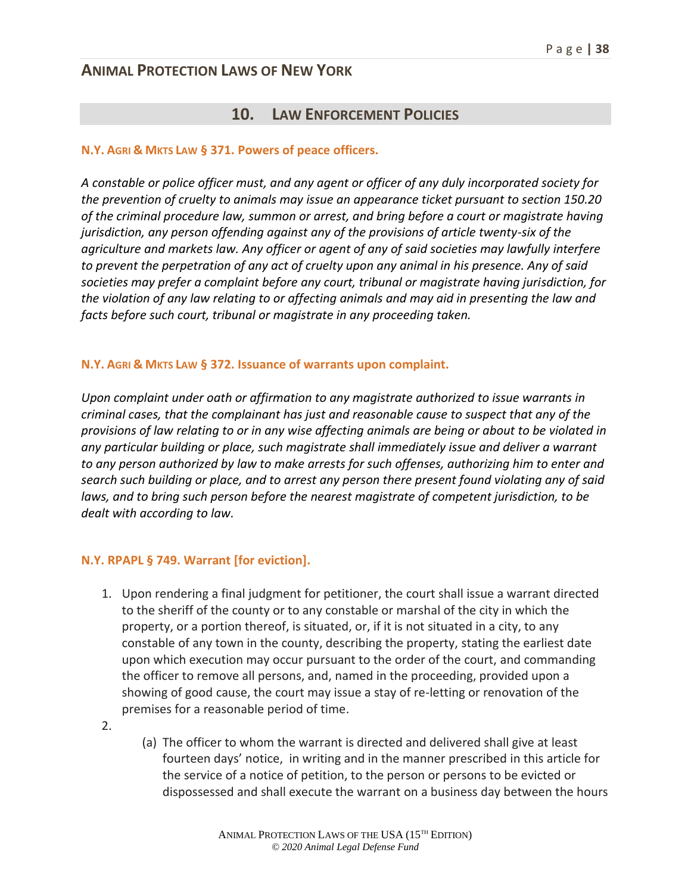### **10. LAW ENFORCEMENT POLICIES**

#### **N.Y. AGRI & MKTS LAW § 371. Powers of peace officers.**

*A constable or police officer must, and any agent or officer of any duly incorporated society for the prevention of cruelty to animals may issue an appearance ticket pursuant to section 150.20 of the criminal procedure law, summon or arrest, and bring before a court or magistrate having jurisdiction, any person offending against any of the provisions of article twenty-six of the agriculture and markets law. Any officer or agent of any of said societies may lawfully interfere to prevent the perpetration of any act of cruelty upon any animal in his presence. Any of said societies may prefer a complaint before any court, tribunal or magistrate having jurisdiction, for the violation of any law relating to or affecting animals and may aid in presenting the law and facts before such court, tribunal or magistrate in any proceeding taken.*

#### **N.Y. AGRI & MKTS LAW § 372. Issuance of warrants upon complaint.**

*Upon complaint under oath or affirmation to any magistrate authorized to issue warrants in criminal cases, that the complainant has just and reasonable cause to suspect that any of the provisions of law relating to or in any wise affecting animals are being or about to be violated in any particular building or place, such magistrate shall immediately issue and deliver a warrant to any person authorized by law to make arrests for such offenses, authorizing him to enter and search such building or place, and to arrest any person there present found violating any of said laws, and to bring such person before the nearest magistrate of competent jurisdiction, to be dealt with according to law.*

#### **N.Y. RPAPL § 749. Warrant [for eviction].**

- 1. Upon rendering a final judgment for petitioner, the court shall issue a warrant directed to the sheriff of the county or to any constable or marshal of the city in which the property, or a portion thereof, is situated, or, if it is not situated in a city, to any constable of any town in the county, describing the property, stating the earliest date upon which execution may occur pursuant to the order of the court, and commanding the officer to remove all persons, and, named in the proceeding, provided upon a showing of good cause, the court may issue a stay of re-letting or renovation of the premises for a reasonable period of time.
- 2.
- (a) The officer to whom the warrant is directed and delivered shall give at least fourteen days' notice, in writing and in the manner prescribed in this article for the service of a notice of petition, to the person or persons to be evicted or dispossessed and shall execute the warrant on a business day between the hours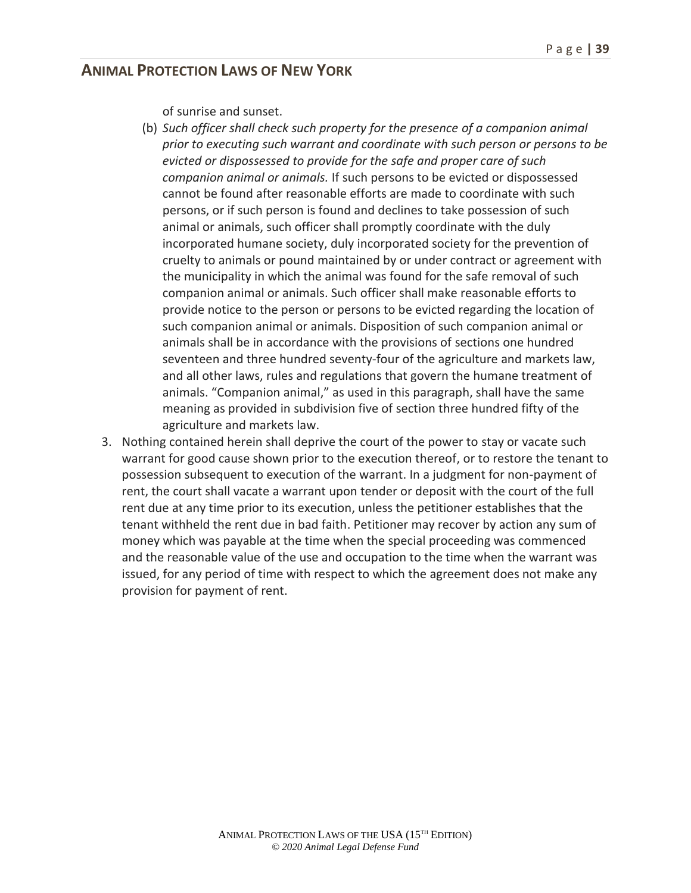of sunrise and sunset.

- (b) *Such officer shall check such property for the presence of a companion animal prior to executing such warrant and coordinate with such person or persons to be evicted or dispossessed to provide for the safe and proper care of such companion animal or animals.* If such persons to be evicted or dispossessed cannot be found after reasonable efforts are made to coordinate with such persons, or if such person is found and declines to take possession of such animal or animals, such officer shall promptly coordinate with the duly incorporated humane society, duly incorporated society for the prevention of cruelty to animals or pound maintained by or under contract or agreement with the municipality in which the animal was found for the safe removal of such companion animal or animals. Such officer shall make reasonable efforts to provide notice to the person or persons to be evicted regarding the location of such companion animal or animals. Disposition of such companion animal or animals shall be in accordance with the provisions of sections one hundred seventeen and three hundred seventy-four of the agriculture and markets law, and all other laws, rules and regulations that govern the humane treatment of animals. "Companion animal," as used in this paragraph, shall have the same meaning as provided in subdivision five of section three hundred fifty of the agriculture and markets law.
- 3. Nothing contained herein shall deprive the court of the power to stay or vacate such warrant for good cause shown prior to the execution thereof, or to restore the tenant to possession subsequent to execution of the warrant. In a judgment for non-payment of rent, the court shall vacate a warrant upon tender or deposit with the court of the full rent due at any time prior to its execution, unless the petitioner establishes that the tenant withheld the rent due in bad faith. Petitioner may recover by action any sum of money which was payable at the time when the special proceeding was commenced and the reasonable value of the use and occupation to the time when the warrant was issued, for any period of time with respect to which the agreement does not make any provision for payment of rent.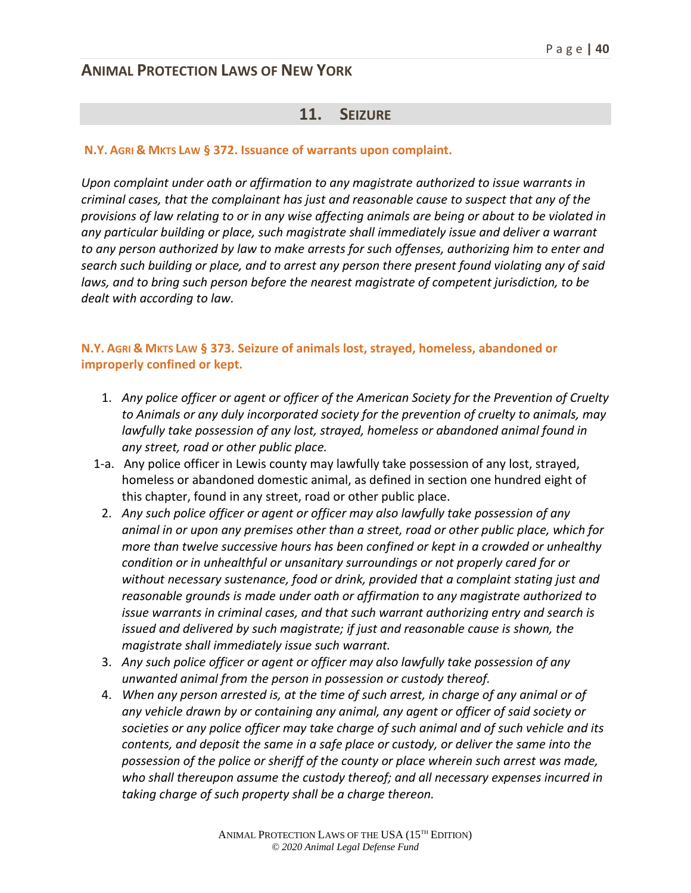# **11. SEIZURE**

#### **N.Y. AGRI & MKTS LAW § 372. Issuance of warrants upon complaint.**

*Upon complaint under oath or affirmation to any magistrate authorized to issue warrants in criminal cases, that the complainant has just and reasonable cause to suspect that any of the provisions of law relating to or in any wise affecting animals are being or about to be violated in any particular building or place, such magistrate shall immediately issue and deliver a warrant to any person authorized by law to make arrests for such offenses, authorizing him to enter and search such building or place, and to arrest any person there present found violating any of said laws, and to bring such person before the nearest magistrate of competent jurisdiction, to be dealt with according to law.*

#### **N.Y. AGRI & MKTS LAW § 373. Seizure of animals lost, strayed, homeless, abandoned or improperly confined or kept.**

- 1. *Any police officer or agent or officer of the American Society for the Prevention of Cruelty to Animals or any duly incorporated society for the prevention of cruelty to animals, may lawfully take possession of any lost, strayed, homeless or abandoned animal found in any street, road or other public place.*
- 1-a. Any police officer in Lewis county may lawfully take possession of any lost, strayed, homeless or abandoned domestic animal, as defined in section one hundred eight of this chapter, found in any street, road or other public place.
	- 2. *Any such police officer or agent or officer may also lawfully take possession of any animal in or upon any premises other than a street, road or other public place, which for more than twelve successive hours has been confined or kept in a crowded or unhealthy condition or in unhealthful or unsanitary surroundings or not properly cared for or without necessary sustenance, food or drink, provided that a complaint stating just and reasonable grounds is made under oath or affirmation to any magistrate authorized to issue warrants in criminal cases, and that such warrant authorizing entry and search is issued and delivered by such magistrate; if just and reasonable cause is shown, the magistrate shall immediately issue such warrant.*
	- 3. *Any such police officer or agent or officer may also lawfully take possession of any unwanted animal from the person in possession or custody thereof.*
	- 4. *When any person arrested is, at the time of such arrest, in charge of any animal or of any vehicle drawn by or containing any animal, any agent or officer of said society or societies or any police officer may take charge of such animal and of such vehicle and its contents, and deposit the same in a safe place or custody, or deliver the same into the possession of the police or sheriff of the county or place wherein such arrest was made, who shall thereupon assume the custody thereof; and all necessary expenses incurred in taking charge of such property shall be a charge thereon.*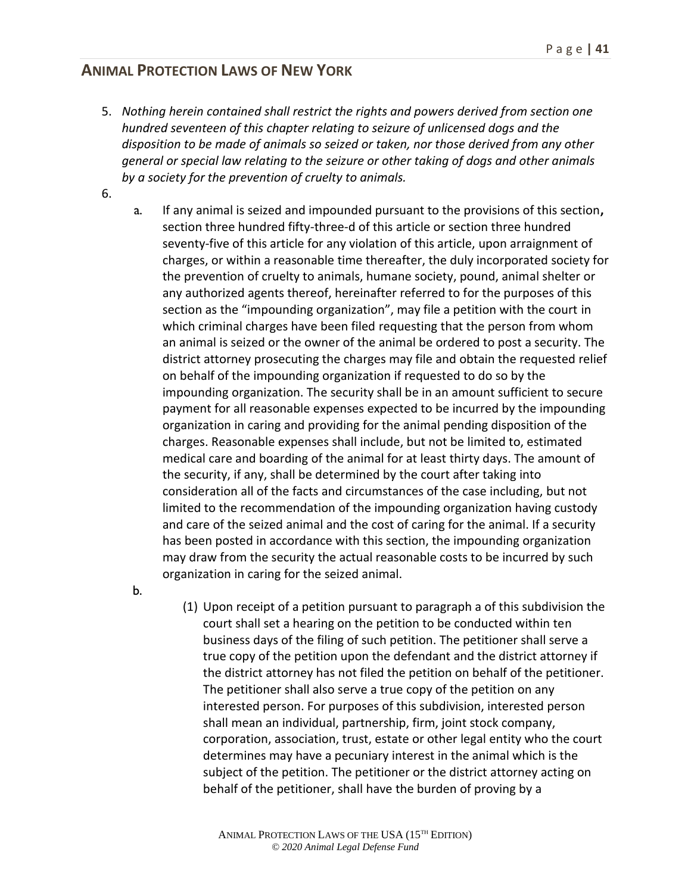- 5. *Nothing herein contained shall restrict the rights and powers derived from section one hundred seventeen of this chapter relating to seizure of unlicensed dogs and the disposition to be made of animals so seized or taken, nor those derived from any other general or special law relating to the seizure or other taking of dogs and other animals by a society for the prevention of cruelty to animals.*
- 6.
- a. If any animal is seized and impounded pursuant to the provisions of this section**,**  section three hundred fifty-three-d of this article or section three hundred seventy-five of this article for any violation of this article, upon arraignment of charges, or within a reasonable time thereafter, the duly incorporated society for the prevention of cruelty to animals, humane society, pound, animal shelter or any authorized agents thereof, hereinafter referred to for the purposes of this section as the "impounding organization", may file a petition with the court in which criminal charges have been filed requesting that the person from whom an animal is seized or the owner of the animal be ordered to post a security. The district attorney prosecuting the charges may file and obtain the requested relief on behalf of the impounding organization if requested to do so by the impounding organization. The security shall be in an amount sufficient to secure payment for all reasonable expenses expected to be incurred by the impounding organization in caring and providing for the animal pending disposition of the charges. Reasonable expenses shall include, but not be limited to, estimated medical care and boarding of the animal for at least thirty days. The amount of the security, if any, shall be determined by the court after taking into consideration all of the facts and circumstances of the case including, but not limited to the recommendation of the impounding organization having custody and care of the seized animal and the cost of caring for the animal. If a security has been posted in accordance with this section, the impounding organization may draw from the security the actual reasonable costs to be incurred by such organization in caring for the seized animal.
- b.
- (1) Upon receipt of a petition pursuant to paragraph a of this subdivision the court shall set a hearing on the petition to be conducted within ten business days of the filing of such petition. The petitioner shall serve a true copy of the petition upon the defendant and the district attorney if the district attorney has not filed the petition on behalf of the petitioner. The petitioner shall also serve a true copy of the petition on any interested person. For purposes of this subdivision, interested person shall mean an individual, partnership, firm, joint stock company, corporation, association, trust, estate or other legal entity who the court determines may have a pecuniary interest in the animal which is the subject of the petition. The petitioner or the district attorney acting on behalf of the petitioner, shall have the burden of proving by a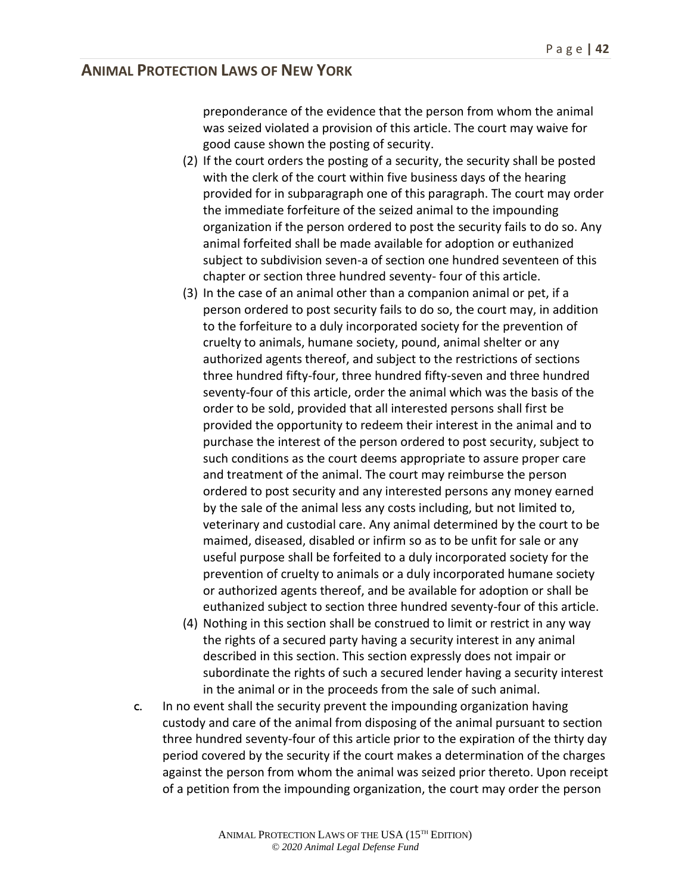preponderance of the evidence that the person from whom the animal was seized violated a provision of this article. The court may waive for good cause shown the posting of security.

- (2) If the court orders the posting of a security, the security shall be posted with the clerk of the court within five business days of the hearing provided for in subparagraph one of this paragraph. The court may order the immediate forfeiture of the seized animal to the impounding organization if the person ordered to post the security fails to do so. Any animal forfeited shall be made available for adoption or euthanized subject to subdivision seven-a of section one hundred seventeen of this chapter or section three hundred seventy- four of this article.
- (3) In the case of an animal other than a companion animal or pet, if a person ordered to post security fails to do so, the court may, in addition to the forfeiture to a duly incorporated society for the prevention of cruelty to animals, humane society, pound, animal shelter or any authorized agents thereof, and subject to the restrictions of sections three hundred fifty-four, three hundred fifty-seven and three hundred seventy-four of this article, order the animal which was the basis of the order to be sold, provided that all interested persons shall first be provided the opportunity to redeem their interest in the animal and to purchase the interest of the person ordered to post security, subject to such conditions as the court deems appropriate to assure proper care and treatment of the animal. The court may reimburse the person ordered to post security and any interested persons any money earned by the sale of the animal less any costs including, but not limited to, veterinary and custodial care. Any animal determined by the court to be maimed, diseased, disabled or infirm so as to be unfit for sale or any useful purpose shall be forfeited to a duly incorporated society for the prevention of cruelty to animals or a duly incorporated humane society or authorized agents thereof, and be available for adoption or shall be euthanized subject to section three hundred seventy-four of this article.
- (4) Nothing in this section shall be construed to limit or restrict in any way the rights of a secured party having a security interest in any animal described in this section. This section expressly does not impair or subordinate the rights of such a secured lender having a security interest in the animal or in the proceeds from the sale of such animal.
- c. In no event shall the security prevent the impounding organization having custody and care of the animal from disposing of the animal pursuant to section three hundred seventy-four of this article prior to the expiration of the thirty day period covered by the security if the court makes a determination of the charges against the person from whom the animal was seized prior thereto. Upon receipt of a petition from the impounding organization, the court may order the person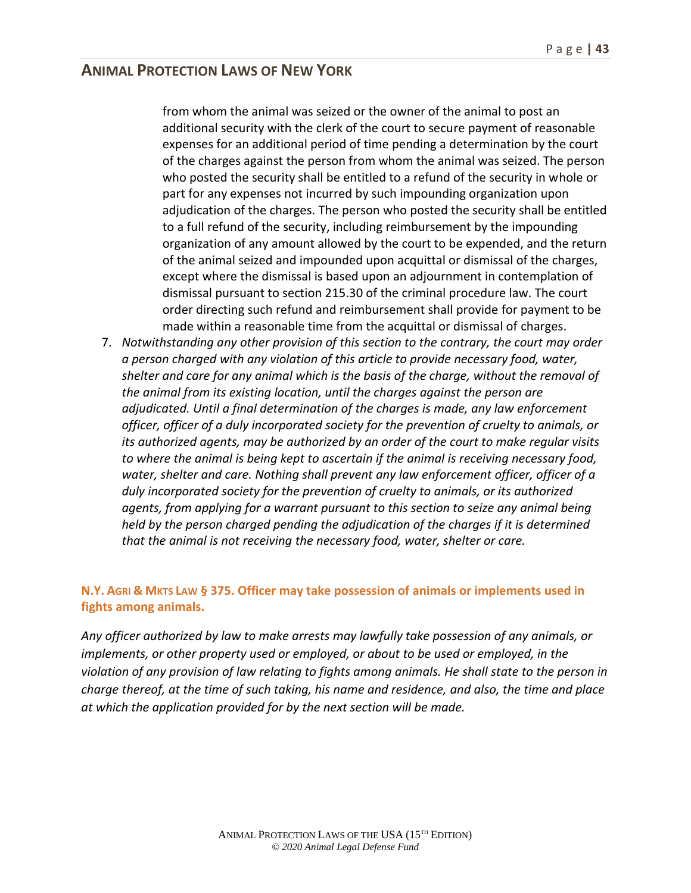from whom the animal was seized or the owner of the animal to post an additional security with the clerk of the court to secure payment of reasonable expenses for an additional period of time pending a determination by the court of the charges against the person from whom the animal was seized. The person who posted the security shall be entitled to a refund of the security in whole or part for any expenses not incurred by such impounding organization upon adjudication of the charges. The person who posted the security shall be entitled to a full refund of the security, including reimbursement by the impounding organization of any amount allowed by the court to be expended, and the return of the animal seized and impounded upon acquittal or dismissal of the charges, except where the dismissal is based upon an adjournment in contemplation of dismissal pursuant to section 215.30 of the criminal procedure law. The court order directing such refund and reimbursement shall provide for payment to be made within a reasonable time from the acquittal or dismissal of charges.

7. *Notwithstanding any other provision of this section to the contrary, the court may order a person charged with any violation of this article to provide necessary food, water, shelter and care for any animal which is the basis of the charge, without the removal of the animal from its existing location, until the charges against the person are adjudicated. Until a final determination of the charges is made, any law enforcement officer, officer of a duly incorporated society for the prevention of cruelty to animals, or its authorized agents, may be authorized by an order of the court to make regular visits to where the animal is being kept to ascertain if the animal is receiving necessary food, water, shelter and care. Nothing shall prevent any law enforcement officer, officer of a duly incorporated society for the prevention of cruelty to animals, or its authorized agents, from applying for a warrant pursuant to this section to seize any animal being held by the person charged pending the adjudication of the charges if it is determined that the animal is not receiving the necessary food, water, shelter or care.*

#### **N.Y. AGRI & MKTS LAW § 375. Officer may take possession of animals or implements used in fights among animals.**

*Any officer authorized by law to make arrests may lawfully take possession of any animals, or implements, or other property used or employed, or about to be used or employed, in the violation of any provision of law relating to fights among animals. He shall state to the person in charge thereof, at the time of such taking, his name and residence, and also, the time and place at which the application provided for by the next section will be made.*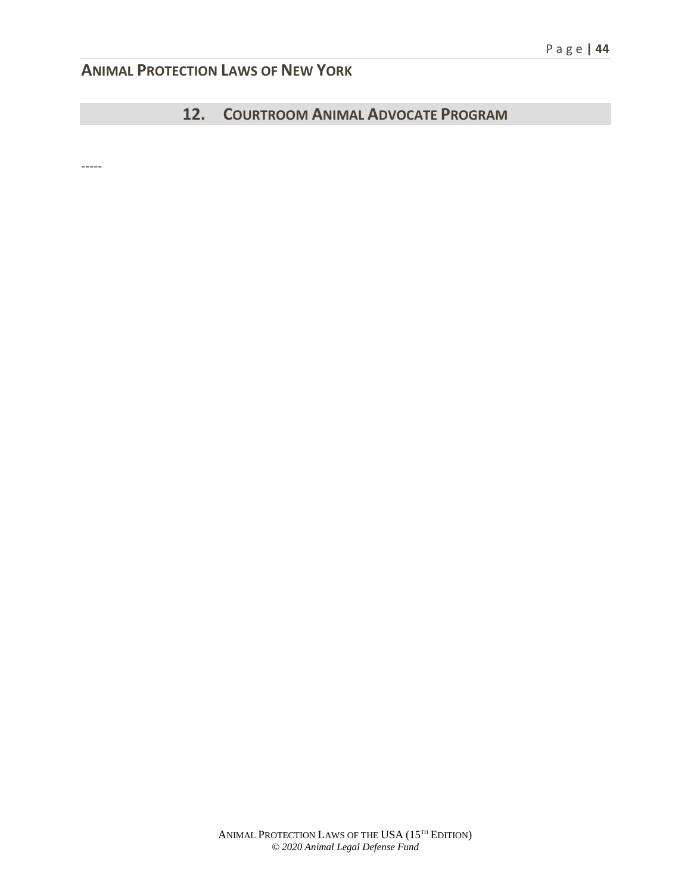# **12. COURTROOM ANIMAL ADVOCATE PROGRAM**

-----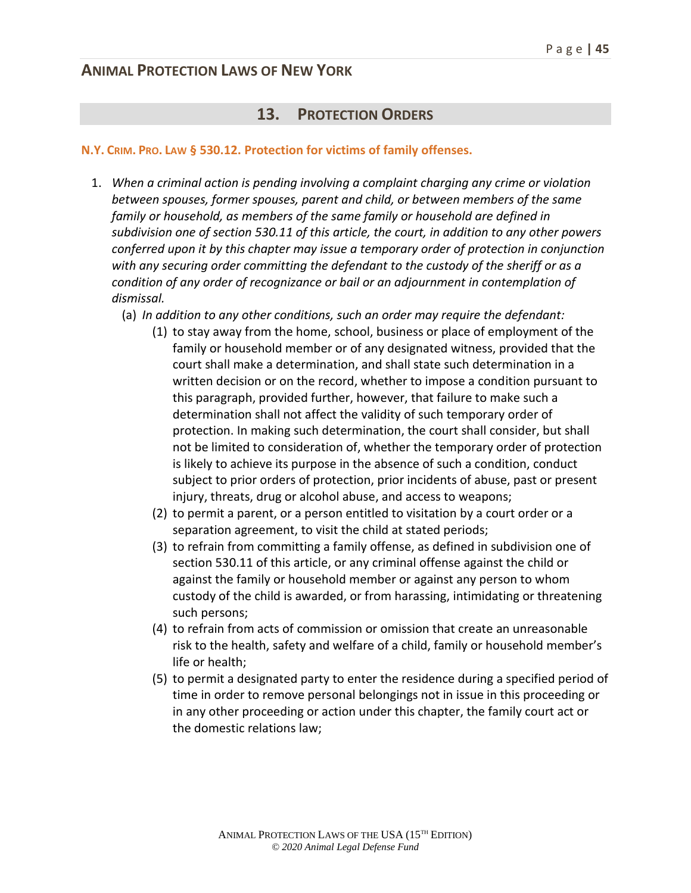#### **13. PROTECTION ORDERS**

#### **N.Y. CRIM. PRO. LAW § 530.12. Protection for victims of family offenses.**

- 1. *When a criminal action is pending involving a complaint charging any crime or violation between spouses, former spouses, parent and child, or between members of the same family or household, as members of the same family or household are defined in subdivision one of section 530.11 of this article, the court, in addition to any other powers conferred upon it by this chapter may issue a temporary order of protection in conjunction with any securing order committing the defendant to the custody of the sheriff or as a condition of any order of recognizance or bail or an adjournment in contemplation of dismissal.*
	- (a) *In addition to any other conditions, such an order may require the defendant:*
		- (1) to stay away from the home, school, business or place of employment of the family or household member or of any designated witness, provided that the court shall make a determination, and shall state such determination in a written decision or on the record, whether to impose a condition pursuant to this paragraph, provided further, however, that failure to make such a determination shall not affect the validity of such temporary order of protection. In making such determination, the court shall consider, but shall not be limited to consideration of, whether the temporary order of protection is likely to achieve its purpose in the absence of such a condition, conduct subject to prior orders of protection, prior incidents of abuse, past or present injury, threats, drug or alcohol abuse, and access to weapons;
		- (2) to permit a parent, or a person entitled to visitation by a court order or a separation agreement, to visit the child at stated periods;
		- (3) to refrain from committing a family offense, as defined in subdivision one of section 530.11 of this article, or any criminal offense against the child or against the family or household member or against any person to whom custody of the child is awarded, or from harassing, intimidating or threatening such persons;
		- (4) to refrain from acts of commission or omission that create an unreasonable risk to the health, safety and welfare of a child, family or household member's life or health;
		- (5) to permit a designated party to enter the residence during a specified period of time in order to remove personal belongings not in issue in this proceeding or in any other proceeding or action under this chapter, the family court act or the domestic relations law;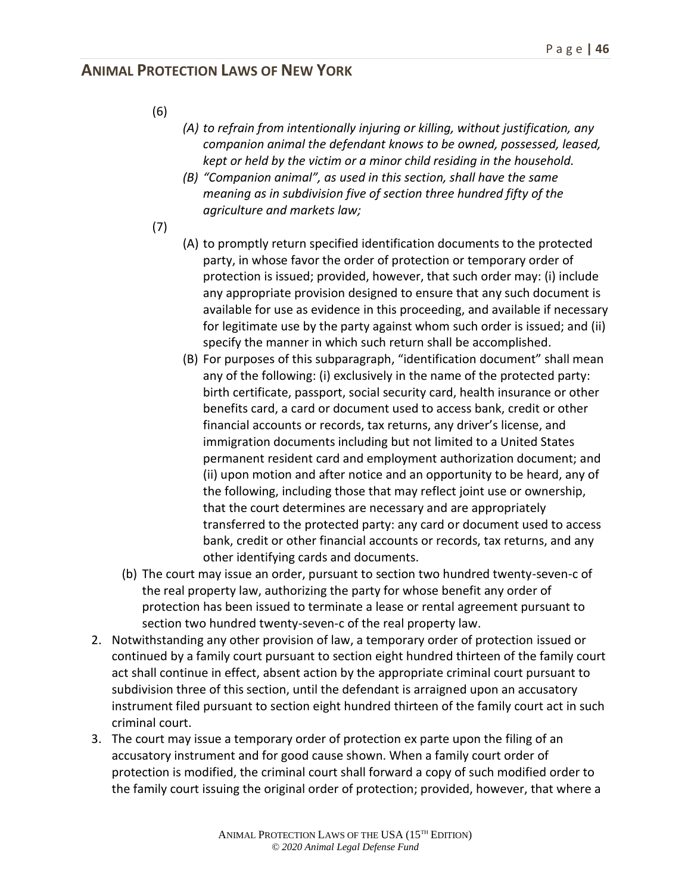(6)

- *(A) to refrain from intentionally injuring or killing, without justification, any companion animal the defendant knows to be owned, possessed, leased, kept or held by the victim or a minor child residing in the household.*
- *(B) "Companion animal", as used in this section, shall have the same meaning as in subdivision five of section three hundred fifty of the agriculture and markets law;*
- (7)
- (A) to promptly return specified identification documents to the protected party, in whose favor the order of protection or temporary order of protection is issued; provided, however, that such order may: (i) include any appropriate provision designed to ensure that any such document is available for use as evidence in this proceeding, and available if necessary for legitimate use by the party against whom such order is issued; and (ii) specify the manner in which such return shall be accomplished.
- (B) For purposes of this subparagraph, "identification document" shall mean any of the following: (i) exclusively in the name of the protected party: birth certificate, passport, social security card, health insurance or other benefits card, a card or document used to access bank, credit or other financial accounts or records, tax returns, any driver's license, and immigration documents including but not limited to a United States permanent resident card and employment authorization document; and (ii) upon motion and after notice and an opportunity to be heard, any of the following, including those that may reflect joint use or ownership, that the court determines are necessary and are appropriately transferred to the protected party: any card or document used to access bank, credit or other financial accounts or records, tax returns, and any other identifying cards and documents.
- (b) The court may issue an order, pursuant to section two hundred twenty-seven-c of the real property law, authorizing the party for whose benefit any order of protection has been issued to terminate a lease or rental agreement pursuant to section two hundred twenty-seven-c of the real property law.
- 2. Notwithstanding any other provision of law, a temporary order of protection issued or continued by a family court pursuant to section eight hundred thirteen of the family court act shall continue in effect, absent action by the appropriate criminal court pursuant to subdivision three of this section, until the defendant is arraigned upon an accusatory instrument filed pursuant to section eight hundred thirteen of the family court act in such criminal court.
- 3. The court may issue a temporary order of protection ex parte upon the filing of an accusatory instrument and for good cause shown. When a family court order of protection is modified, the criminal court shall forward a copy of such modified order to the family court issuing the original order of protection; provided, however, that where a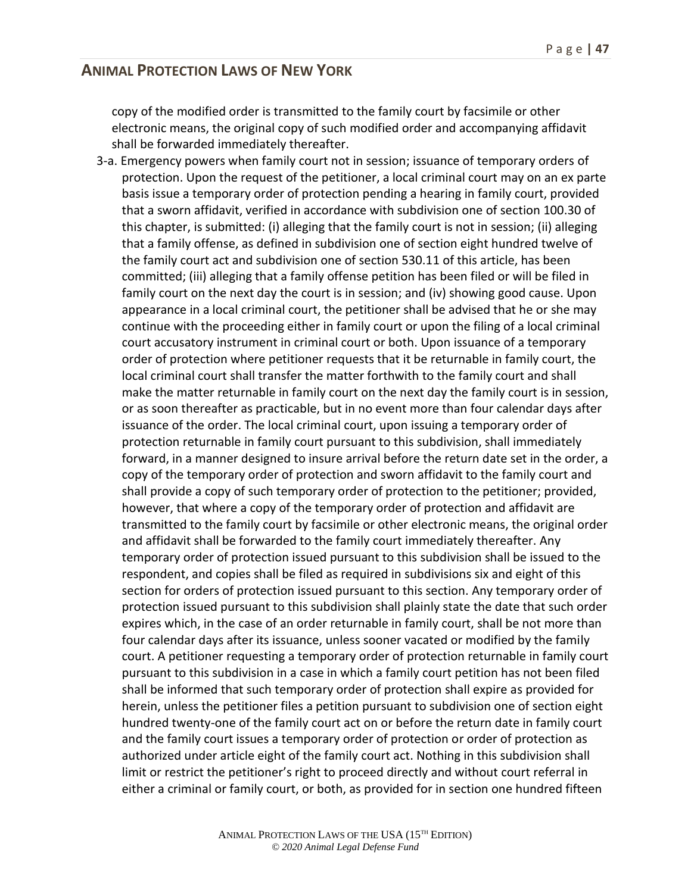copy of the modified order is transmitted to the family court by facsimile or other electronic means, the original copy of such modified order and accompanying affidavit shall be forwarded immediately thereafter.

3-a. Emergency powers when family court not in session; issuance of temporary orders of protection. Upon the request of the petitioner, a local criminal court may on an ex parte basis issue a temporary order of protection pending a hearing in family court, provided that a sworn affidavit, verified in accordance with subdivision one of section 100.30 of this chapter, is submitted: (i) alleging that the family court is not in session; (ii) alleging that a family offense, as defined in subdivision one of section eight hundred twelve of the family court act and subdivision one of section 530.11 of this article, has been committed; (iii) alleging that a family offense petition has been filed or will be filed in family court on the next day the court is in session; and (iv) showing good cause. Upon appearance in a local criminal court, the petitioner shall be advised that he or she may continue with the proceeding either in family court or upon the filing of a local criminal court accusatory instrument in criminal court or both. Upon issuance of a temporary order of protection where petitioner requests that it be returnable in family court, the local criminal court shall transfer the matter forthwith to the family court and shall make the matter returnable in family court on the next day the family court is in session, or as soon thereafter as practicable, but in no event more than four calendar days after issuance of the order. The local criminal court, upon issuing a temporary order of protection returnable in family court pursuant to this subdivision, shall immediately forward, in a manner designed to insure arrival before the return date set in the order, a copy of the temporary order of protection and sworn affidavit to the family court and shall provide a copy of such temporary order of protection to the petitioner; provided, however, that where a copy of the temporary order of protection and affidavit are transmitted to the family court by facsimile or other electronic means, the original order and affidavit shall be forwarded to the family court immediately thereafter. Any temporary order of protection issued pursuant to this subdivision shall be issued to the respondent, and copies shall be filed as required in subdivisions six and eight of this section for orders of protection issued pursuant to this section. Any temporary order of protection issued pursuant to this subdivision shall plainly state the date that such order expires which, in the case of an order returnable in family court, shall be not more than four calendar days after its issuance, unless sooner vacated or modified by the family court. A petitioner requesting a temporary order of protection returnable in family court pursuant to this subdivision in a case in which a family court petition has not been filed shall be informed that such temporary order of protection shall expire as provided for herein, unless the petitioner files a petition pursuant to subdivision one of section eight hundred twenty-one of the family court act on or before the return date in family court and the family court issues a temporary order of protection or order of protection as authorized under article eight of the family court act. Nothing in this subdivision shall limit or restrict the petitioner's right to proceed directly and without court referral in either a criminal or family court, or both, as provided for in section one hundred fifteen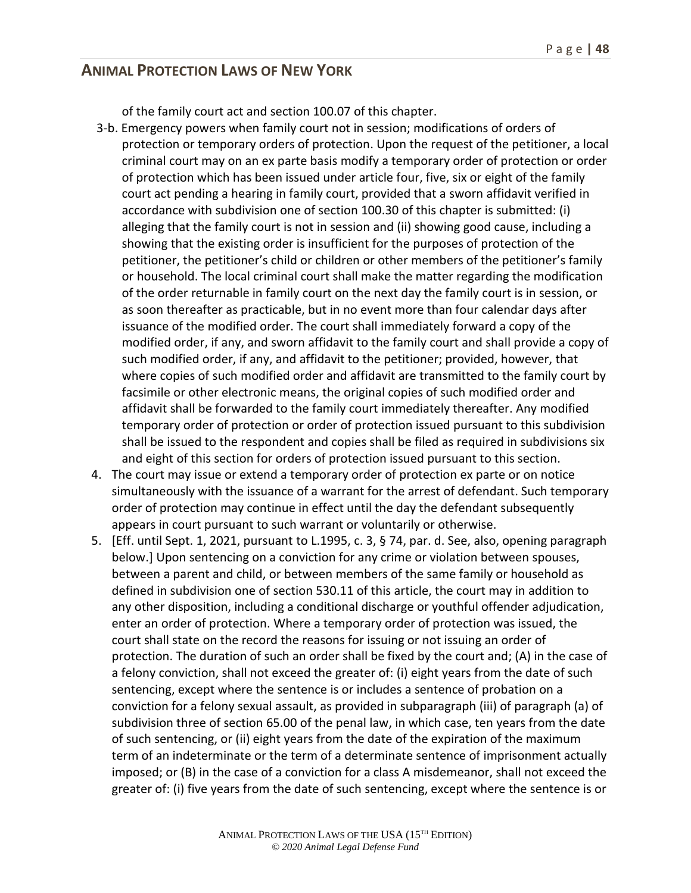of the family court act and section 100.07 of this chapter.

- 3-b. Emergency powers when family court not in session; modifications of orders of protection or temporary orders of protection. Upon the request of the petitioner, a local criminal court may on an ex parte basis modify a temporary order of protection or order of protection which has been issued under article four, five, six or eight of the family court act pending a hearing in family court, provided that a sworn affidavit verified in accordance with subdivision one of section 100.30 of this chapter is submitted: (i) alleging that the family court is not in session and (ii) showing good cause, including a showing that the existing order is insufficient for the purposes of protection of the petitioner, the petitioner's child or children or other members of the petitioner's family or household. The local criminal court shall make the matter regarding the modification of the order returnable in family court on the next day the family court is in session, or as soon thereafter as practicable, but in no event more than four calendar days after issuance of the modified order. The court shall immediately forward a copy of the modified order, if any, and sworn affidavit to the family court and shall provide a copy of such modified order, if any, and affidavit to the petitioner; provided, however, that where copies of such modified order and affidavit are transmitted to the family court by facsimile or other electronic means, the original copies of such modified order and affidavit shall be forwarded to the family court immediately thereafter. Any modified temporary order of protection or order of protection issued pursuant to this subdivision shall be issued to the respondent and copies shall be filed as required in subdivisions six and eight of this section for orders of protection issued pursuant to this section.
- 4. The court may issue or extend a temporary order of protection ex parte or on notice simultaneously with the issuance of a warrant for the arrest of defendant. Such temporary order of protection may continue in effect until the day the defendant subsequently appears in court pursuant to such warrant or voluntarily or otherwise.
- 5. [Eff. until Sept. 1, 2021, pursuant to L.1995, c. 3, § 74, par. d. See, also, opening paragraph below.] Upon sentencing on a conviction for any crime or violation between spouses, between a parent and child, or between members of the same family or household as defined in subdivision one of section 530.11 of this article, the court may in addition to any other disposition, including a conditional discharge or youthful offender adjudication, enter an order of protection. Where a temporary order of protection was issued, the court shall state on the record the reasons for issuing or not issuing an order of protection. The duration of such an order shall be fixed by the court and; (A) in the case of a felony conviction, shall not exceed the greater of: (i) eight years from the date of such sentencing, except where the sentence is or includes a sentence of probation on a conviction for a felony sexual assault, as provided in subparagraph (iii) of paragraph (a) of subdivision three of section 65.00 of the penal law, in which case, ten years from the date of such sentencing, or (ii) eight years from the date of the expiration of the maximum term of an indeterminate or the term of a determinate sentence of imprisonment actually imposed; or (B) in the case of a conviction for a class A misdemeanor, shall not exceed the greater of: (i) five years from the date of such sentencing, except where the sentence is or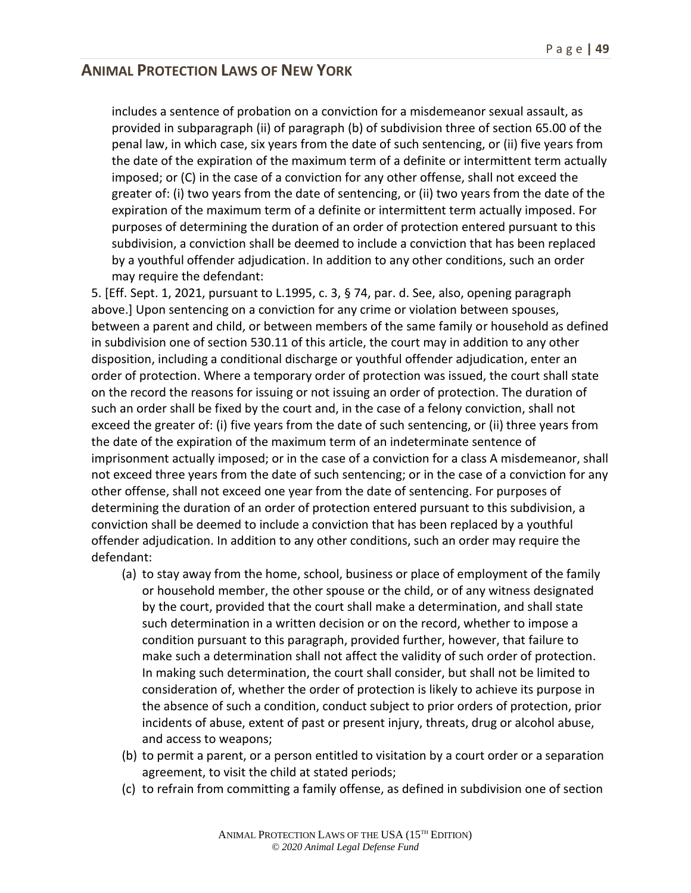includes a sentence of probation on a conviction for a misdemeanor sexual assault, as provided in subparagraph (ii) of paragraph (b) of subdivision three of section 65.00 of the penal law, in which case, six years from the date of such sentencing, or (ii) five years from the date of the expiration of the maximum term of a definite or intermittent term actually imposed; or (C) in the case of a conviction for any other offense, shall not exceed the greater of: (i) two years from the date of sentencing, or (ii) two years from the date of the expiration of the maximum term of a definite or intermittent term actually imposed. For purposes of determining the duration of an order of protection entered pursuant to this subdivision, a conviction shall be deemed to include a conviction that has been replaced by a youthful offender adjudication. In addition to any other conditions, such an order may require the defendant:

5. [Eff. Sept. 1, 2021, pursuant to L.1995, c. 3, § 74, par. d. See, also, opening paragraph above.] Upon sentencing on a conviction for any crime or violation between spouses, between a parent and child, or between members of the same family or household as defined in subdivision one of section 530.11 of this article, the court may in addition to any other disposition, including a conditional discharge or youthful offender adjudication, enter an order of protection. Where a temporary order of protection was issued, the court shall state on the record the reasons for issuing or not issuing an order of protection. The duration of such an order shall be fixed by the court and, in the case of a felony conviction, shall not exceed the greater of: (i) five years from the date of such sentencing, or (ii) three years from the date of the expiration of the maximum term of an indeterminate sentence of imprisonment actually imposed; or in the case of a conviction for a class A misdemeanor, shall not exceed three years from the date of such sentencing; or in the case of a conviction for any other offense, shall not exceed one year from the date of sentencing. For purposes of determining the duration of an order of protection entered pursuant to this subdivision, a conviction shall be deemed to include a conviction that has been replaced by a youthful offender adjudication. In addition to any other conditions, such an order may require the defendant:

- (a) to stay away from the home, school, business or place of employment of the family or household member, the other spouse or the child, or of any witness designated by the court, provided that the court shall make a determination, and shall state such determination in a written decision or on the record, whether to impose a condition pursuant to this paragraph, provided further, however, that failure to make such a determination shall not affect the validity of such order of protection. In making such determination, the court shall consider, but shall not be limited to consideration of, whether the order of protection is likely to achieve its purpose in the absence of such a condition, conduct subject to prior orders of protection, prior incidents of abuse, extent of past or present injury, threats, drug or alcohol abuse, and access to weapons;
- (b) to permit a parent, or a person entitled to visitation by a court order or a separation agreement, to visit the child at stated periods;
- (c) to refrain from committing a family offense, as defined in subdivision one of section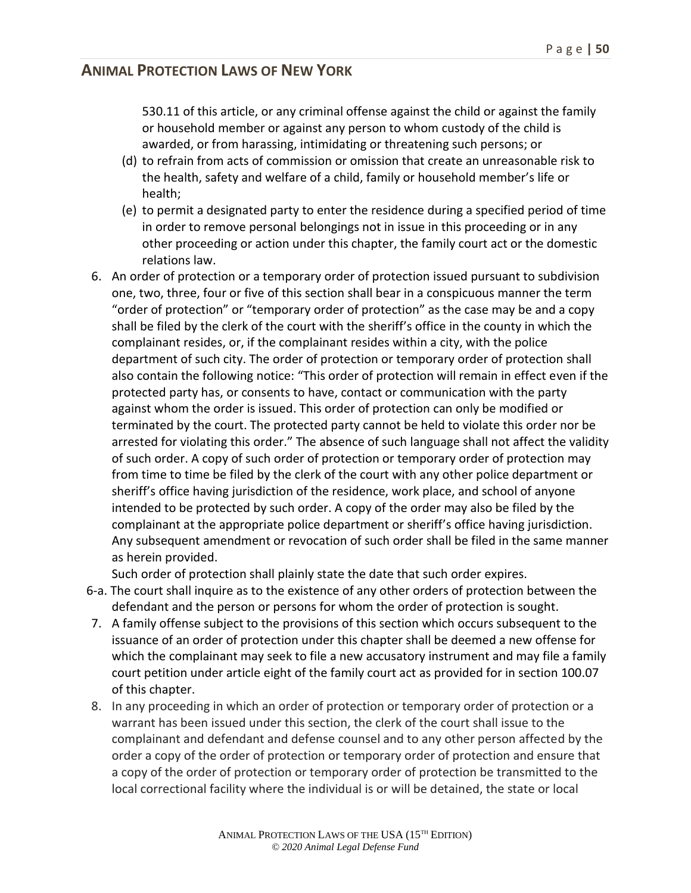530.11 of this article, or any criminal offense against the child or against the family or household member or against any person to whom custody of the child is awarded, or from harassing, intimidating or threatening such persons; or

- (d) to refrain from acts of commission or omission that create an unreasonable risk to the health, safety and welfare of a child, family or household member's life or health;
- (e) to permit a designated party to enter the residence during a specified period of time in order to remove personal belongings not in issue in this proceeding or in any other proceeding or action under this chapter, the family court act or the domestic relations law.
- 6. An order of protection or a temporary order of protection issued pursuant to subdivision one, two, three, four or five of this section shall bear in a conspicuous manner the term "order of protection" or "temporary order of protection" as the case may be and a copy shall be filed by the clerk of the court with the sheriff's office in the county in which the complainant resides, or, if the complainant resides within a city, with the police department of such city. The order of protection or temporary order of protection shall also contain the following notice: "This order of protection will remain in effect even if the protected party has, or consents to have, contact or communication with the party against whom the order is issued. This order of protection can only be modified or terminated by the court. The protected party cannot be held to violate this order nor be arrested for violating this order." The absence of such language shall not affect the validity of such order. A copy of such order of protection or temporary order of protection may from time to time be filed by the clerk of the court with any other police department or sheriff's office having jurisdiction of the residence, work place, and school of anyone intended to be protected by such order. A copy of the order may also be filed by the complainant at the appropriate police department or sheriff's office having jurisdiction. Any subsequent amendment or revocation of such order shall be filed in the same manner as herein provided.

Such order of protection shall plainly state the date that such order expires.

- 6-a. The court shall inquire as to the existence of any other orders of protection between the defendant and the person or persons for whom the order of protection is sought.
- 7. A family offense subject to the provisions of this section which occurs subsequent to the issuance of an order of protection under this chapter shall be deemed a new offense for which the complainant may seek to file a new accusatory instrument and may file a family court petition under article eight of the family court act as provided for in section 100.07 of this chapter.
- 8. In any proceeding in which an order of protection or temporary order of protection or a warrant has been issued under this section, the clerk of the court shall issue to the complainant and defendant and defense counsel and to any other person affected by the order a copy of the order of protection or temporary order of protection and ensure that a copy of the order of protection or temporary order of protection be transmitted to the local correctional facility where the individual is or will be detained, the state or local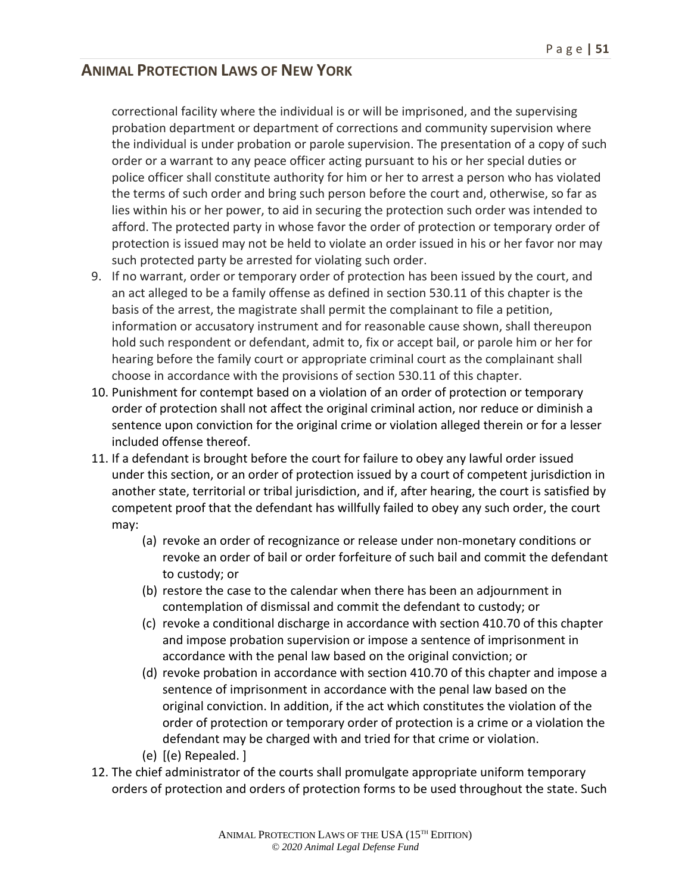correctional facility where the individual is or will be imprisoned, and the supervising probation department or department of corrections and community supervision where the individual is under probation or parole supervision. The presentation of a copy of such order or a warrant to any peace officer acting pursuant to his or her special duties or police officer shall constitute authority for him or her to arrest a person who has violated the terms of such order and bring such person before the court and, otherwise, so far as lies within his or her power, to aid in securing the protection such order was intended to afford. The protected party in whose favor the order of protection or temporary order of protection is issued may not be held to violate an order issued in his or her favor nor may such protected party be arrested for violating such order.

- 9. If no warrant, order or temporary order of protection has been issued by the court, and an act alleged to be a family offense as defined in section 530.11 of this chapter is the basis of the arrest, the magistrate shall permit the complainant to file a petition, information or accusatory instrument and for reasonable cause shown, shall thereupon hold such respondent or defendant, admit to, fix or accept bail, or parole him or her for hearing before the family court or appropriate criminal court as the complainant shall choose in accordance with the provisions of section 530.11 of this chapter.
- 10. Punishment for contempt based on a violation of an order of protection or temporary order of protection shall not affect the original criminal action, nor reduce or diminish a sentence upon conviction for the original crime or violation alleged therein or for a lesser included offense thereof.
- 11. If a defendant is brought before the court for failure to obey any lawful order issued under this section, or an order of protection issued by a court of competent jurisdiction in another state, territorial or tribal jurisdiction, and if, after hearing, the court is satisfied by competent proof that the defendant has willfully failed to obey any such order, the court may:
	- (a) revoke an order of recognizance or release under non-monetary conditions or revoke an order of bail or order forfeiture of such bail and commit the defendant to custody; or
	- (b) restore the case to the calendar when there has been an adjournment in contemplation of dismissal and commit the defendant to custody; or
	- (c) revoke a conditional discharge in accordance with section 410.70 of this chapter and impose probation supervision or impose a sentence of imprisonment in accordance with the penal law based on the original conviction; or
	- (d) revoke probation in accordance with section 410.70 of this chapter and impose a sentence of imprisonment in accordance with the penal law based on the original conviction. In addition, if the act which constitutes the violation of the order of protection or temporary order of protection is a crime or a violation the defendant may be charged with and tried for that crime or violation.
	- (e) [(e) Repealed. ]
- 12. The chief administrator of the courts shall promulgate appropriate uniform temporary orders of protection and orders of protection forms to be used throughout the state. Such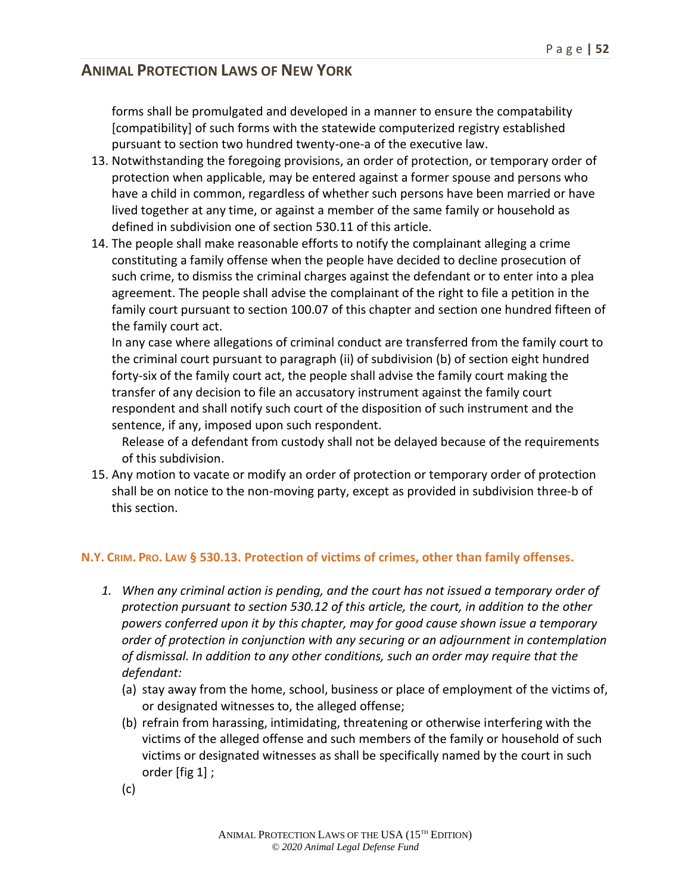forms shall be promulgated and developed in a manner to ensure the compatability [compatibility] of such forms with the statewide computerized registry established pursuant to section two hundred twenty-one-a of the executive law.

- 13. Notwithstanding the foregoing provisions, an order of protection, or temporary order of protection when applicable, may be entered against a former spouse and persons who have a child in common, regardless of whether such persons have been married or have lived together at any time, or against a member of the same family or household as defined in subdivision one of section 530.11 of this article.
- 14. The people shall make reasonable efforts to notify the complainant alleging a crime constituting a family offense when the people have decided to decline prosecution of such crime, to dismiss the criminal charges against the defendant or to enter into a plea agreement. The people shall advise the complainant of the right to file a petition in the family court pursuant to section 100.07 of this chapter and section one hundred fifteen of the family court act.

In any case where allegations of criminal conduct are transferred from the family court to the criminal court pursuant to paragraph (ii) of subdivision (b) of section eight hundred forty-six of the family court act, the people shall advise the family court making the transfer of any decision to file an accusatory instrument against the family court respondent and shall notify such court of the disposition of such instrument and the sentence, if any, imposed upon such respondent.

Release of a defendant from custody shall not be delayed because of the requirements of this subdivision.

15. Any motion to vacate or modify an order of protection or temporary order of protection shall be on notice to the non-moving party, except as provided in subdivision three-b of this section.

#### **N.Y. CRIM. PRO. LAW § 530.13. Protection of victims of crimes, other than family offenses.**

- *1. When any criminal action is pending, and the court has not issued a temporary order of protection pursuant to section 530.12 of this article, the court, in addition to the other powers conferred upon it by this chapter, may for good cause shown issue a temporary order of protection in conjunction with any securing or an adjournment in contemplation of dismissal. In addition to any other conditions, such an order may require that the defendant:*
	- (a) stay away from the home, school, business or place of employment of the victims of, or designated witnesses to, the alleged offense;
	- (b) refrain from harassing, intimidating, threatening or otherwise interfering with the victims of the alleged offense and such members of the family or household of such victims or designated witnesses as shall be specifically named by the court in such order [fig 1] ;
	- (c)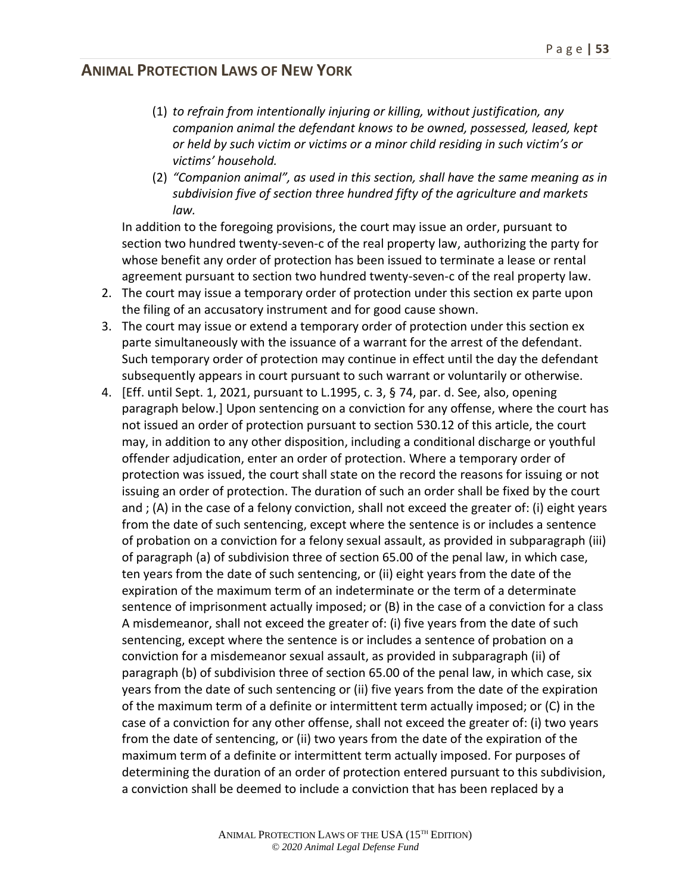- (1) *to refrain from intentionally injuring or killing, without justification, any companion animal the defendant knows to be owned, possessed, leased, kept or held by such victim or victims or a minor child residing in such victim's or victims' household.*
- (2) *"Companion animal", as used in this section, shall have the same meaning as in subdivision five of section three hundred fifty of the agriculture and markets law.*

In addition to the foregoing provisions, the court may issue an order, pursuant to section two hundred twenty-seven-c of the real property law, authorizing the party for whose benefit any order of protection has been issued to terminate a lease or rental agreement pursuant to section two hundred twenty-seven-c of the real property law.

- 2. The court may issue a temporary order of protection under this section ex parte upon the filing of an accusatory instrument and for good cause shown.
- 3. The court may issue or extend a temporary order of protection under this section ex parte simultaneously with the issuance of a warrant for the arrest of the defendant. Such temporary order of protection may continue in effect until the day the defendant subsequently appears in court pursuant to such warrant or voluntarily or otherwise.
- 4. [Eff. until Sept. 1, 2021, pursuant to L.1995, c. 3, § 74, par. d. See, also, opening paragraph below.] Upon sentencing on a conviction for any offense, where the court has not issued an order of protection pursuant to section 530.12 of this article, the court may, in addition to any other disposition, including a conditional discharge or youthful offender adjudication, enter an order of protection. Where a temporary order of protection was issued, the court shall state on the record the reasons for issuing or not issuing an order of protection. The duration of such an order shall be fixed by the court and ; (A) in the case of a felony conviction, shall not exceed the greater of: (i) eight years from the date of such sentencing, except where the sentence is or includes a sentence of probation on a conviction for a felony sexual assault, as provided in subparagraph (iii) of paragraph (a) of subdivision three of section 65.00 of the penal law, in which case, ten years from the date of such sentencing, or (ii) eight years from the date of the expiration of the maximum term of an indeterminate or the term of a determinate sentence of imprisonment actually imposed; or (B) in the case of a conviction for a class A misdemeanor, shall not exceed the greater of: (i) five years from the date of such sentencing, except where the sentence is or includes a sentence of probation on a conviction for a misdemeanor sexual assault, as provided in subparagraph (ii) of paragraph (b) of subdivision three of section 65.00 of the penal law, in which case, six years from the date of such sentencing or (ii) five years from the date of the expiration of the maximum term of a definite or intermittent term actually imposed; or (C) in the case of a conviction for any other offense, shall not exceed the greater of: (i) two years from the date of sentencing, or (ii) two years from the date of the expiration of the maximum term of a definite or intermittent term actually imposed. For purposes of determining the duration of an order of protection entered pursuant to this subdivision, a conviction shall be deemed to include a conviction that has been replaced by a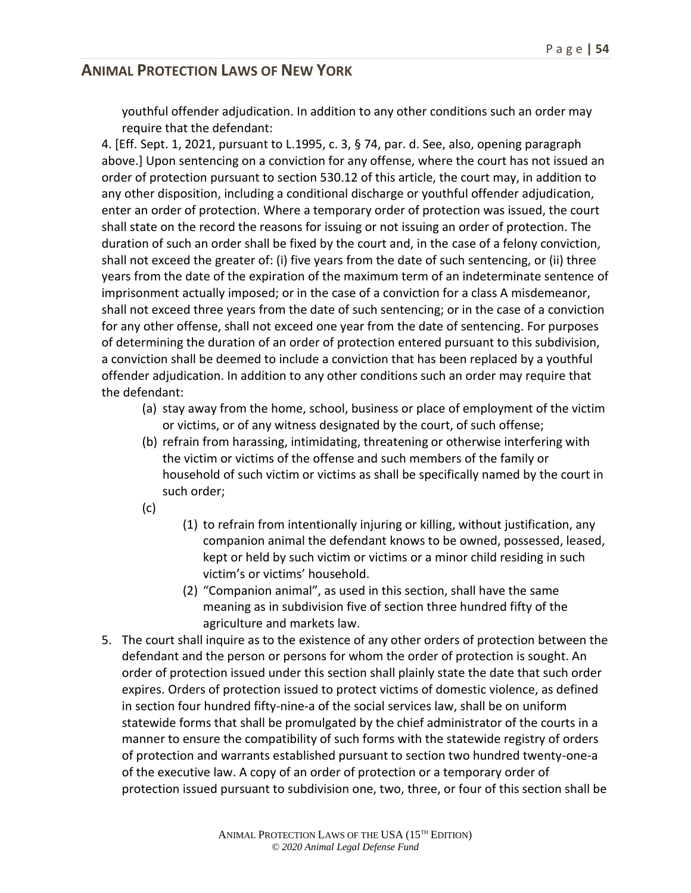youthful offender adjudication. In addition to any other conditions such an order may require that the defendant:

4. [Eff. Sept. 1, 2021, pursuant to L.1995, c. 3, § 74, par. d. See, also, opening paragraph above.] Upon sentencing on a conviction for any offense, where the court has not issued an order of protection pursuant to section 530.12 of this article, the court may, in addition to any other disposition, including a conditional discharge or youthful offender adjudication, enter an order of protection. Where a temporary order of protection was issued, the court shall state on the record the reasons for issuing or not issuing an order of protection. The duration of such an order shall be fixed by the court and, in the case of a felony conviction, shall not exceed the greater of: (i) five years from the date of such sentencing, or (ii) three years from the date of the expiration of the maximum term of an indeterminate sentence of imprisonment actually imposed; or in the case of a conviction for a class A misdemeanor, shall not exceed three years from the date of such sentencing; or in the case of a conviction for any other offense, shall not exceed one year from the date of sentencing. For purposes of determining the duration of an order of protection entered pursuant to this subdivision, a conviction shall be deemed to include a conviction that has been replaced by a youthful offender adjudication. In addition to any other conditions such an order may require that the defendant:

- (a) stay away from the home, school, business or place of employment of the victim or victims, or of any witness designated by the court, of such offense;
- (b) refrain from harassing, intimidating, threatening or otherwise interfering with the victim or victims of the offense and such members of the family or household of such victim or victims as shall be specifically named by the court in such order;
- (c)
- (1) to refrain from intentionally injuring or killing, without justification, any companion animal the defendant knows to be owned, possessed, leased, kept or held by such victim or victims or a minor child residing in such victim's or victims' household.
- (2) "Companion animal", as used in this section, shall have the same meaning as in subdivision five of section three hundred fifty of the agriculture and markets law.
- 5. The court shall inquire as to the existence of any other orders of protection between the defendant and the person or persons for whom the order of protection is sought. An order of protection issued under this section shall plainly state the date that such order expires. Orders of protection issued to protect victims of domestic violence, as defined in section four hundred fifty-nine-a of the social services law, shall be on uniform statewide forms that shall be promulgated by the chief administrator of the courts in a manner to ensure the compatibility of such forms with the statewide registry of orders of protection and warrants established pursuant to section two hundred twenty-one-a of the executive law. A copy of an order of protection or a temporary order of protection issued pursuant to subdivision one, two, three, or four of this section shall be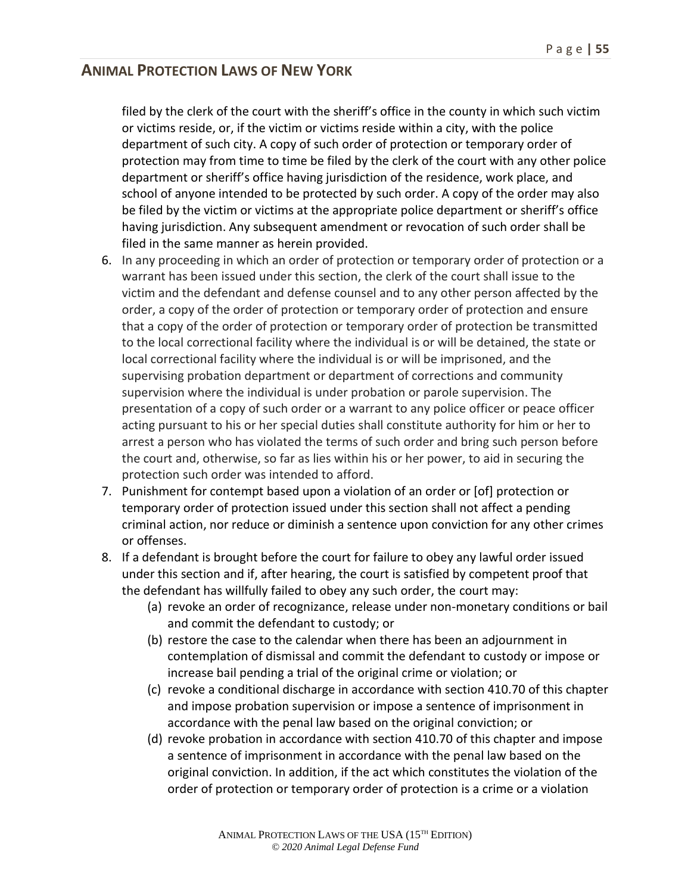filed by the clerk of the court with the sheriff's office in the county in which such victim or victims reside, or, if the victim or victims reside within a city, with the police department of such city. A copy of such order of protection or temporary order of protection may from time to time be filed by the clerk of the court with any other police department or sheriff's office having jurisdiction of the residence, work place, and school of anyone intended to be protected by such order. A copy of the order may also be filed by the victim or victims at the appropriate police department or sheriff's office having jurisdiction. Any subsequent amendment or revocation of such order shall be filed in the same manner as herein provided.

- 6. In any proceeding in which an order of protection or temporary order of protection or a warrant has been issued under this section, the clerk of the court shall issue to the victim and the defendant and defense counsel and to any other person affected by the order, a copy of the order of protection or temporary order of protection and ensure that a copy of the order of protection or temporary order of protection be transmitted to the local correctional facility where the individual is or will be detained, the state or local correctional facility where the individual is or will be imprisoned, and the supervising probation department or department of corrections and community supervision where the individual is under probation or parole supervision. The presentation of a copy of such order or a warrant to any police officer or peace officer acting pursuant to his or her special duties shall constitute authority for him or her to arrest a person who has violated the terms of such order and bring such person before the court and, otherwise, so far as lies within his or her power, to aid in securing the protection such order was intended to afford.
- 7. Punishment for contempt based upon a violation of an order or [of] protection or temporary order of protection issued under this section shall not affect a pending criminal action, nor reduce or diminish a sentence upon conviction for any other crimes or offenses.
- 8. If a defendant is brought before the court for failure to obey any lawful order issued under this section and if, after hearing, the court is satisfied by competent proof that the defendant has willfully failed to obey any such order, the court may:
	- (a) revoke an order of recognizance, release under non-monetary conditions or bail and commit the defendant to custody; or
	- (b) restore the case to the calendar when there has been an adjournment in contemplation of dismissal and commit the defendant to custody or impose or increase bail pending a trial of the original crime or violation; or
	- (c) revoke a conditional discharge in accordance with section 410.70 of this chapter and impose probation supervision or impose a sentence of imprisonment in accordance with the penal law based on the original conviction; or
	- (d) revoke probation in accordance with section 410.70 of this chapter and impose a sentence of imprisonment in accordance with the penal law based on the original conviction. In addition, if the act which constitutes the violation of the order of protection or temporary order of protection is a crime or a violation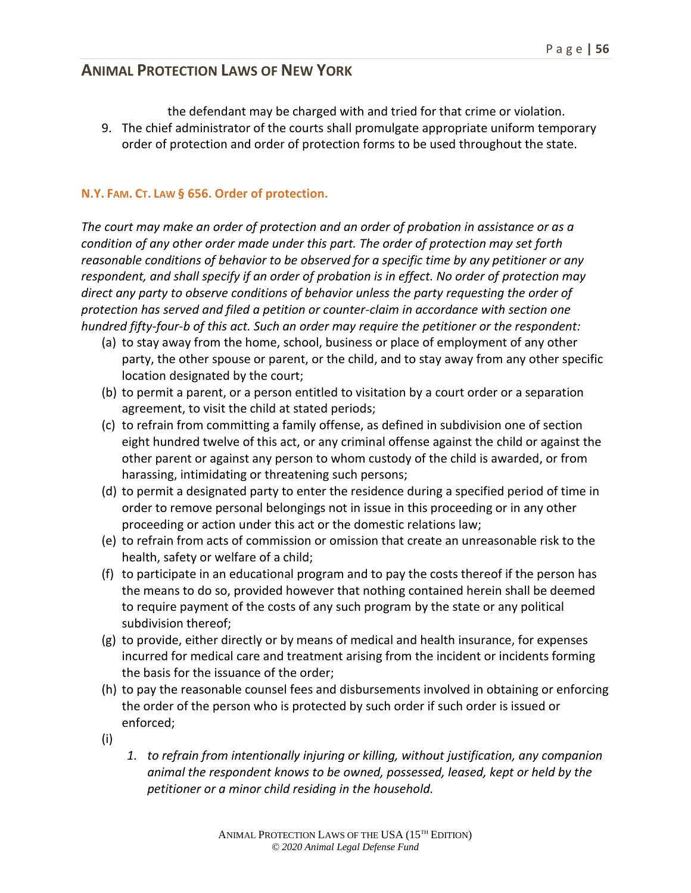- the defendant may be charged with and tried for that crime or violation.
- 9. The chief administrator of the courts shall promulgate appropriate uniform temporary order of protection and order of protection forms to be used throughout the state.

### **N.Y. FAM. CT. LAW § 656. Order of protection.**

*The court may make an order of protection and an order of probation in assistance or as a condition of any other order made under this part. The order of protection may set forth reasonable conditions of behavior to be observed for a specific time by any petitioner or any respondent, and shall specify if an order of probation is in effect. No order of protection may direct any party to observe conditions of behavior unless the party requesting the order of protection has served and filed a petition or counter-claim in accordance with section one hundred fifty-four-b of this act. Such an order may require the petitioner or the respondent:*

- (a) to stay away from the home, school, business or place of employment of any other party, the other spouse or parent, or the child, and to stay away from any other specific location designated by the court;
- (b) to permit a parent, or a person entitled to visitation by a court order or a separation agreement, to visit the child at stated periods;
- (c) to refrain from committing a family offense, as defined in subdivision one of section eight hundred twelve of this act, or any criminal offense against the child or against the other parent or against any person to whom custody of the child is awarded, or from harassing, intimidating or threatening such persons;
- (d) to permit a designated party to enter the residence during a specified period of time in order to remove personal belongings not in issue in this proceeding or in any other proceeding or action under this act or the domestic relations law;
- (e) to refrain from acts of commission or omission that create an unreasonable risk to the health, safety or welfare of a child;
- (f) to participate in an educational program and to pay the costs thereof if the person has the means to do so, provided however that nothing contained herein shall be deemed to require payment of the costs of any such program by the state or any political subdivision thereof;
- (g) to provide, either directly or by means of medical and health insurance, for expenses incurred for medical care and treatment arising from the incident or incidents forming the basis for the issuance of the order;
- (h) to pay the reasonable counsel fees and disbursements involved in obtaining or enforcing the order of the person who is protected by such order if such order is issued or enforced;
- (i)
- *1. to refrain from intentionally injuring or killing, without justification, any companion animal the respondent knows to be owned, possessed, leased, kept or held by the petitioner or a minor child residing in the household.*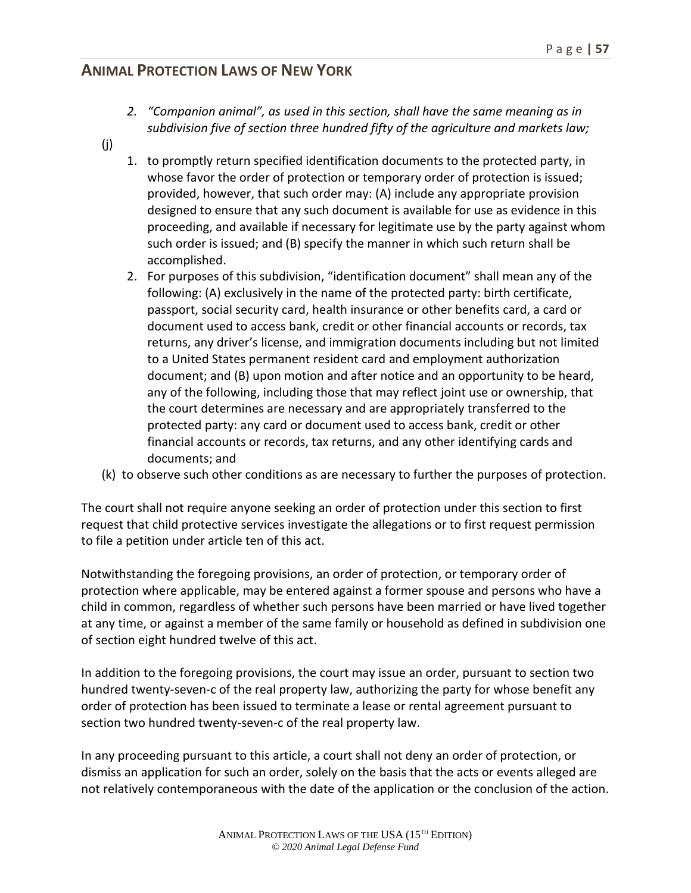- *2. "Companion animal", as used in this section, shall have the same meaning as in subdivision five of section three hundred fifty of the agriculture and markets law;*
- (j)
- 1. to promptly return specified identification documents to the protected party, in whose favor the order of protection or temporary order of protection is issued; provided, however, that such order may: (A) include any appropriate provision designed to ensure that any such document is available for use as evidence in this proceeding, and available if necessary for legitimate use by the party against whom such order is issued; and (B) specify the manner in which such return shall be accomplished.
- 2. For purposes of this subdivision, "identification document" shall mean any of the following: (A) exclusively in the name of the protected party: birth certificate, passport, social security card, health insurance or other benefits card, a card or document used to access bank, credit or other financial accounts or records, tax returns, any driver's license, and immigration documents including but not limited to a United States permanent resident card and employment authorization document; and (B) upon motion and after notice and an opportunity to be heard, any of the following, including those that may reflect joint use or ownership, that the court determines are necessary and are appropriately transferred to the protected party: any card or document used to access bank, credit or other financial accounts or records, tax returns, and any other identifying cards and documents; and
- (k) to observe such other conditions as are necessary to further the purposes of protection.

The court shall not require anyone seeking an order of protection under this section to first request that child protective services investigate the allegations or to first request permission to file a petition under article ten of this act.

Notwithstanding the foregoing provisions, an order of protection, or temporary order of protection where applicable, may be entered against a former spouse and persons who have a child in common, regardless of whether such persons have been married or have lived together at any time, or against a member of the same family or household as defined in subdivision one of section eight hundred twelve of this act.

In addition to the foregoing provisions, the court may issue an order, pursuant to section two hundred twenty-seven-c of the real property law, authorizing the party for whose benefit any order of protection has been issued to terminate a lease or rental agreement pursuant to section two hundred twenty-seven-c of the real property law.

In any proceeding pursuant to this article, a court shall not deny an order of protection, or dismiss an application for such an order, solely on the basis that the acts or events alleged are not relatively contemporaneous with the date of the application or the conclusion of the action.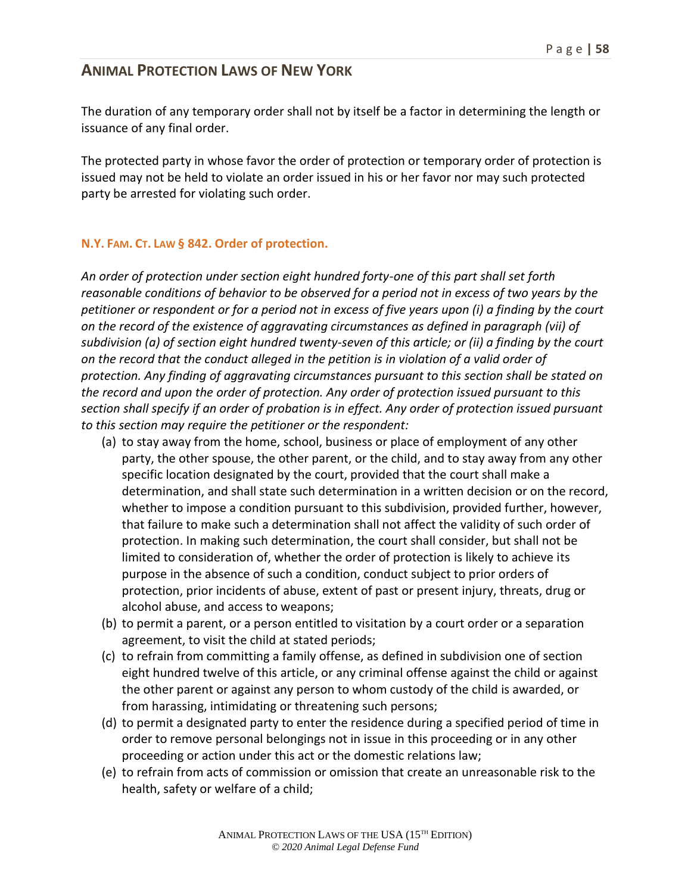The duration of any temporary order shall not by itself be a factor in determining the length or issuance of any final order.

The protected party in whose favor the order of protection or temporary order of protection is issued may not be held to violate an order issued in his or her favor nor may such protected party be arrested for violating such order.

#### **N.Y. FAM. CT. LAW § 842. Order of protection.**

*An order of protection under section eight hundred forty-one of this part shall set forth reasonable conditions of behavior to be observed for a period not in excess of two years by the petitioner or respondent or for a period not in excess of five years upon (i) a finding by the court on the record of the existence of aggravating circumstances as defined in paragraph (vii) of subdivision (a) of section eight hundred twenty-seven of this article; or (ii) a finding by the court on the record that the conduct alleged in the petition is in violation of a valid order of protection. Any finding of aggravating circumstances pursuant to this section shall be stated on the record and upon the order of protection. Any order of protection issued pursuant to this section shall specify if an order of probation is in effect. Any order of protection issued pursuant to this section may require the petitioner or the respondent:*

- (a) to stay away from the home, school, business or place of employment of any other party, the other spouse, the other parent, or the child, and to stay away from any other specific location designated by the court, provided that the court shall make a determination, and shall state such determination in a written decision or on the record, whether to impose a condition pursuant to this subdivision, provided further, however, that failure to make such a determination shall not affect the validity of such order of protection. In making such determination, the court shall consider, but shall not be limited to consideration of, whether the order of protection is likely to achieve its purpose in the absence of such a condition, conduct subject to prior orders of protection, prior incidents of abuse, extent of past or present injury, threats, drug or alcohol abuse, and access to weapons;
- (b) to permit a parent, or a person entitled to visitation by a court order or a separation agreement, to visit the child at stated periods;
- (c) to refrain from committing a family offense, as defined in subdivision one of section eight hundred twelve of this article, or any criminal offense against the child or against the other parent or against any person to whom custody of the child is awarded, or from harassing, intimidating or threatening such persons;
- (d) to permit a designated party to enter the residence during a specified period of time in order to remove personal belongings not in issue in this proceeding or in any other proceeding or action under this act or the domestic relations law;
- (e) to refrain from acts of commission or omission that create an unreasonable risk to the health, safety or welfare of a child;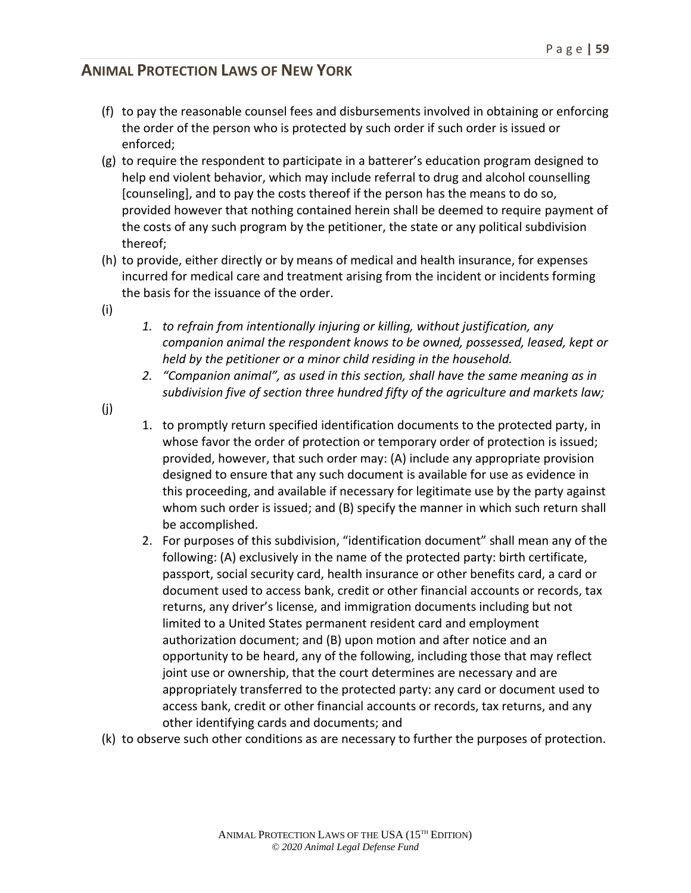- (f) to pay the reasonable counsel fees and disbursements involved in obtaining or enforcing the order of the person who is protected by such order if such order is issued or enforced;
- (g) to require the respondent to participate in a batterer's education program designed to help end violent behavior, which may include referral to drug and alcohol counselling [counseling], and to pay the costs thereof if the person has the means to do so, provided however that nothing contained herein shall be deemed to require payment of the costs of any such program by the petitioner, the state or any political subdivision thereof;
- (h) to provide, either directly or by means of medical and health insurance, for expenses incurred for medical care and treatment arising from the incident or incidents forming the basis for the issuance of the order.
- (i)
- *1. to refrain from intentionally injuring or killing, without justification, any companion animal the respondent knows to be owned, possessed, leased, kept or held by the petitioner or a minor child residing in the household.*
- *2. "Companion animal", as used in this section, shall have the same meaning as in subdivision five of section three hundred fifty of the agriculture and markets law;*

(j)

- 1. to promptly return specified identification documents to the protected party, in whose favor the order of protection or temporary order of protection is issued; provided, however, that such order may: (A) include any appropriate provision designed to ensure that any such document is available for use as evidence in this proceeding, and available if necessary for legitimate use by the party against whom such order is issued; and (B) specify the manner in which such return shall be accomplished.
- 2. For purposes of this subdivision, "identification document" shall mean any of the following: (A) exclusively in the name of the protected party: birth certificate, passport, social security card, health insurance or other benefits card, a card or document used to access bank, credit or other financial accounts or records, tax returns, any driver's license, and immigration documents including but not limited to a United States permanent resident card and employment authorization document; and (B) upon motion and after notice and an opportunity to be heard, any of the following, including those that may reflect joint use or ownership, that the court determines are necessary and are appropriately transferred to the protected party: any card or document used to access bank, credit or other financial accounts or records, tax returns, and any other identifying cards and documents; and
- (k) to observe such other conditions as are necessary to further the purposes of protection.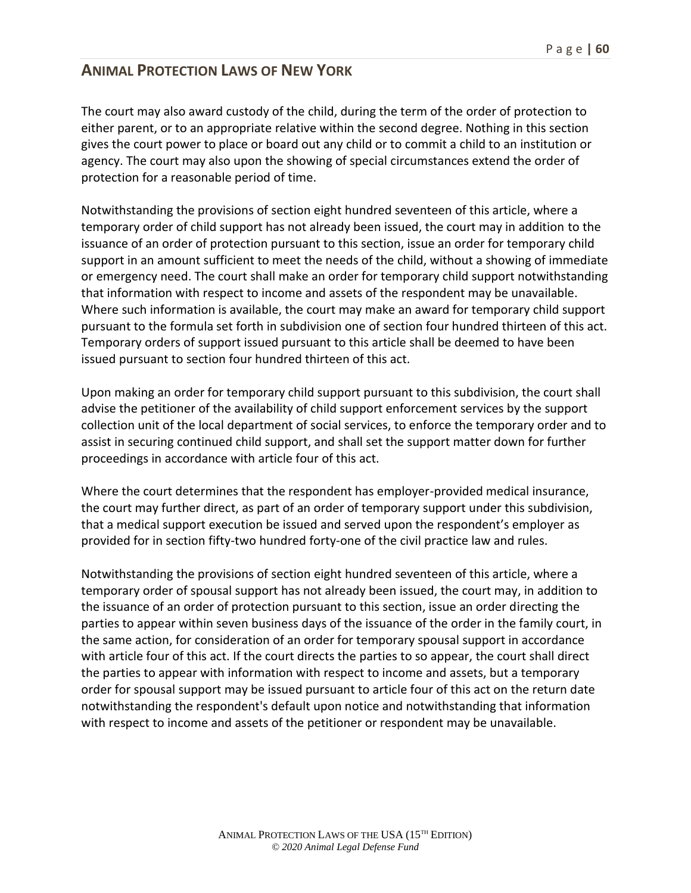The court may also award custody of the child, during the term of the order of protection to either parent, or to an appropriate relative within the second degree. Nothing in this section gives the court power to place or board out any child or to commit a child to an institution or agency. The court may also upon the showing of special circumstances extend the order of protection for a reasonable period of time.

Notwithstanding the provisions of section eight hundred seventeen of this article, where a temporary order of child support has not already been issued, the court may in addition to the issuance of an order of protection pursuant to this section, issue an order for temporary child support in an amount sufficient to meet the needs of the child, without a showing of immediate or emergency need. The court shall make an order for temporary child support notwithstanding that information with respect to income and assets of the respondent may be unavailable. Where such information is available, the court may make an award for temporary child support pursuant to the formula set forth in subdivision one of section four hundred thirteen of this act. Temporary orders of support issued pursuant to this article shall be deemed to have been issued pursuant to section four hundred thirteen of this act.

Upon making an order for temporary child support pursuant to this subdivision, the court shall advise the petitioner of the availability of child support enforcement services by the support collection unit of the local department of social services, to enforce the temporary order and to assist in securing continued child support, and shall set the support matter down for further proceedings in accordance with article four of this act.

Where the court determines that the respondent has employer-provided medical insurance, the court may further direct, as part of an order of temporary support under this subdivision, that a medical support execution be issued and served upon the respondent's employer as provided for in section fifty-two hundred forty-one of the civil practice law and rules.

Notwithstanding the provisions of section eight hundred seventeen of this article, where a temporary order of spousal support has not already been issued, the court may, in addition to the issuance of an order of protection pursuant to this section, issue an order directing the parties to appear within seven business days of the issuance of the order in the family court, in the same action, for consideration of an order for temporary spousal support in accordance with article four of this act. If the court directs the parties to so appear, the court shall direct the parties to appear with information with respect to income and assets, but a temporary order for spousal support may be issued pursuant to article four of this act on the return date notwithstanding the respondent's default upon notice and notwithstanding that information with respect to income and assets of the petitioner or respondent may be unavailable.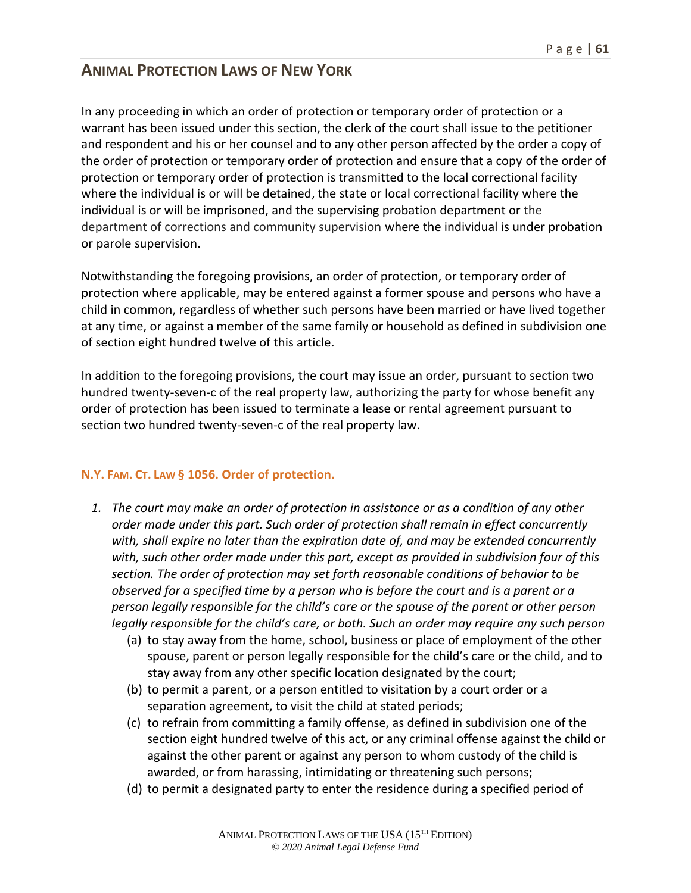In any proceeding in which an order of protection or temporary order of protection or a warrant has been issued under this section, the clerk of the court shall issue to the petitioner and respondent and his or her counsel and to any other person affected by the order a copy of the order of protection or temporary order of protection and ensure that a copy of the order of protection or temporary order of protection is transmitted to the local correctional facility where the individual is or will be detained, the state or local correctional facility where the individual is or will be imprisoned, and the supervising probation department or the department of corrections and community supervision where the individual is under probation or parole supervision.

Notwithstanding the foregoing provisions, an order of protection, or temporary order of protection where applicable, may be entered against a former spouse and persons who have a child in common, regardless of whether such persons have been married or have lived together at any time, or against a member of the same family or household as defined in subdivision one of section eight hundred twelve of this article.

In addition to the foregoing provisions, the court may issue an order, pursuant to section two hundred twenty-seven-c of the real property law, authorizing the party for whose benefit any order of protection has been issued to terminate a lease or rental agreement pursuant to section two hundred twenty-seven-c of the real property law.

#### **N.Y. FAM. CT. LAW § 1056. Order of protection.**

- *1. The court may make an order of protection in assistance or as a condition of any other order made under this part. Such order of protection shall remain in effect concurrently with, shall expire no later than the expiration date of, and may be extended concurrently with, such other order made under this part, except as provided in subdivision four of this section. The order of protection may set forth reasonable conditions of behavior to be observed for a specified time by a person who is before the court and is a parent or a person legally responsible for the child's care or the spouse of the parent or other person legally responsible for the child's care, or both. Such an order may require any such person*
	- (a) to stay away from the home, school, business or place of employment of the other spouse, parent or person legally responsible for the child's care or the child, and to stay away from any other specific location designated by the court;
	- (b) to permit a parent, or a person entitled to visitation by a court order or a separation agreement, to visit the child at stated periods;
	- (c) to refrain from committing a family offense, as defined in subdivision one of the section eight hundred twelve of this act, or any criminal offense against the child or against the other parent or against any person to whom custody of the child is awarded, or from harassing, intimidating or threatening such persons;
	- (d) to permit a designated party to enter the residence during a specified period of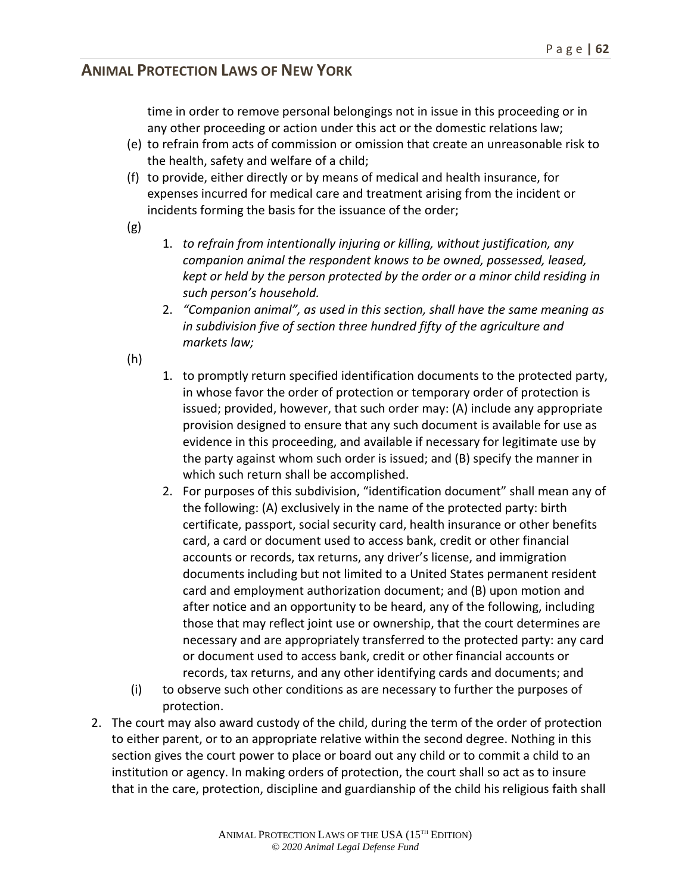time in order to remove personal belongings not in issue in this proceeding or in any other proceeding or action under this act or the domestic relations law;

- (e) to refrain from acts of commission or omission that create an unreasonable risk to the health, safety and welfare of a child;
- (f) to provide, either directly or by means of medical and health insurance, for expenses incurred for medical care and treatment arising from the incident or incidents forming the basis for the issuance of the order;
- (g)
- 1. *to refrain from intentionally injuring or killing, without justification, any companion animal the respondent knows to be owned, possessed, leased, kept or held by the person protected by the order or a minor child residing in such person's household.*
- 2. *"Companion animal", as used in this section, shall have the same meaning as in subdivision five of section three hundred fifty of the agriculture and markets law;*

(h)

- 1. to promptly return specified identification documents to the protected party, in whose favor the order of protection or temporary order of protection is issued; provided, however, that such order may: (A) include any appropriate provision designed to ensure that any such document is available for use as evidence in this proceeding, and available if necessary for legitimate use by the party against whom such order is issued; and (B) specify the manner in which such return shall be accomplished.
- 2. For purposes of this subdivision, "identification document" shall mean any of the following: (A) exclusively in the name of the protected party: birth certificate, passport, social security card, health insurance or other benefits card, a card or document used to access bank, credit or other financial accounts or records, tax returns, any driver's license, and immigration documents including but not limited to a United States permanent resident card and employment authorization document; and (B) upon motion and after notice and an opportunity to be heard, any of the following, including those that may reflect joint use or ownership, that the court determines are necessary and are appropriately transferred to the protected party: any card or document used to access bank, credit or other financial accounts or records, tax returns, and any other identifying cards and documents; and
- (i) to observe such other conditions as are necessary to further the purposes of protection.
- 2. The court may also award custody of the child, during the term of the order of protection to either parent, or to an appropriate relative within the second degree. Nothing in this section gives the court power to place or board out any child or to commit a child to an institution or agency. In making orders of protection, the court shall so act as to insure that in the care, protection, discipline and guardianship of the child his religious faith shall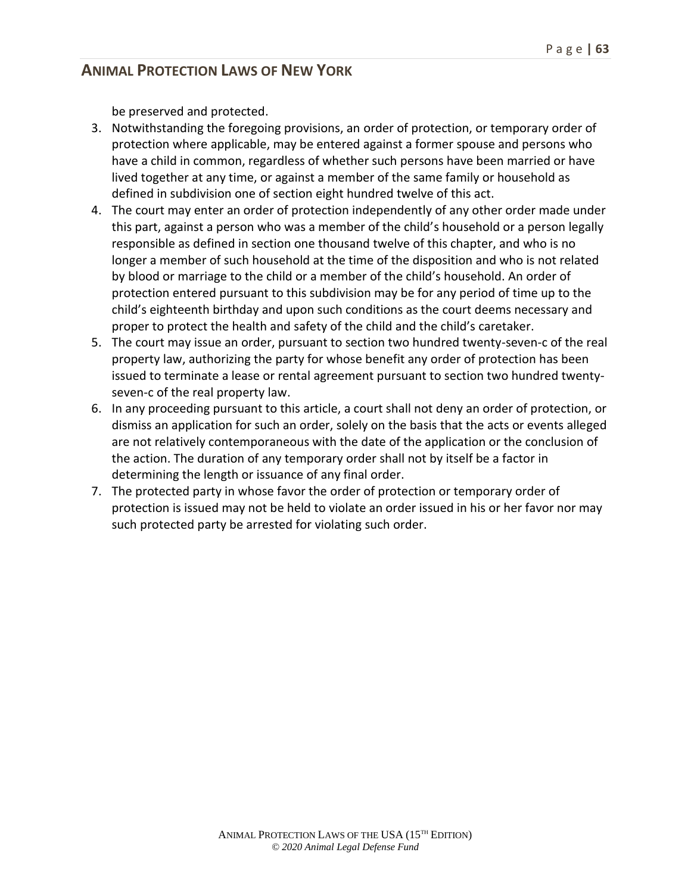be preserved and protected.

- 3. Notwithstanding the foregoing provisions, an order of protection, or temporary order of protection where applicable, may be entered against a former spouse and persons who have a child in common, regardless of whether such persons have been married or have lived together at any time, or against a member of the same family or household as defined in subdivision one of section eight hundred twelve of this act.
- 4. The court may enter an order of protection independently of any other order made under this part, against a person who was a member of the child's household or a person legally responsible as defined in section one thousand twelve of this chapter, and who is no longer a member of such household at the time of the disposition and who is not related by blood or marriage to the child or a member of the child's household. An order of protection entered pursuant to this subdivision may be for any period of time up to the child's eighteenth birthday and upon such conditions as the court deems necessary and proper to protect the health and safety of the child and the child's caretaker.
- 5. The court may issue an order, pursuant to section two hundred twenty-seven-c of the real property law, authorizing the party for whose benefit any order of protection has been issued to terminate a lease or rental agreement pursuant to section two hundred twentyseven-c of the real property law.
- 6. In any proceeding pursuant to this article, a court shall not deny an order of protection, or dismiss an application for such an order, solely on the basis that the acts or events alleged are not relatively contemporaneous with the date of the application or the conclusion of the action. The duration of any temporary order shall not by itself be a factor in determining the length or issuance of any final order.
- 7. The protected party in whose favor the order of protection or temporary order of protection is issued may not be held to violate an order issued in his or her favor nor may such protected party be arrested for violating such order.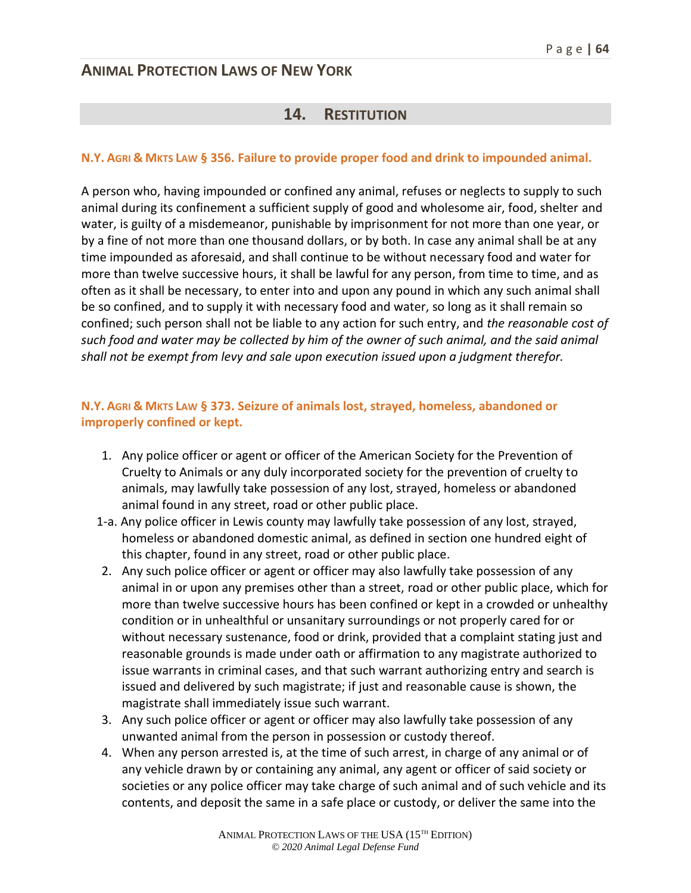# **14. RESTITUTION**

#### **N.Y. AGRI & MKTS LAW § 356. Failure to provide proper food and drink to impounded animal.**

A person who, having impounded or confined any animal, refuses or neglects to supply to such animal during its confinement a sufficient supply of good and wholesome air, food, shelter and water, is guilty of a misdemeanor, punishable by imprisonment for not more than one year, or by a fine of not more than one thousand dollars, or by both. In case any animal shall be at any time impounded as aforesaid, and shall continue to be without necessary food and water for more than twelve successive hours, it shall be lawful for any person, from time to time, and as often as it shall be necessary, to enter into and upon any pound in which any such animal shall be so confined, and to supply it with necessary food and water, so long as it shall remain so confined; such person shall not be liable to any action for such entry, and *the reasonable cost of such food and water may be collected by him of the owner of such animal, and the said animal shall not be exempt from levy and sale upon execution issued upon a judgment therefor.*

#### **N.Y. AGRI & MKTS LAW § 373. Seizure of animals lost, strayed, homeless, abandoned or improperly confined or kept.**

- 1. Any police officer or agent or officer of the American Society for the Prevention of Cruelty to Animals or any duly incorporated society for the prevention of cruelty to animals, may lawfully take possession of any lost, strayed, homeless or abandoned animal found in any street, road or other public place.
- 1-a. Any police officer in Lewis county may lawfully take possession of any lost, strayed, homeless or abandoned domestic animal, as defined in section one hundred eight of this chapter, found in any street, road or other public place.
- 2. Any such police officer or agent or officer may also lawfully take possession of any animal in or upon any premises other than a street, road or other public place, which for more than twelve successive hours has been confined or kept in a crowded or unhealthy condition or in unhealthful or unsanitary surroundings or not properly cared for or without necessary sustenance, food or drink, provided that a complaint stating just and reasonable grounds is made under oath or affirmation to any magistrate authorized to issue warrants in criminal cases, and that such warrant authorizing entry and search is issued and delivered by such magistrate; if just and reasonable cause is shown, the magistrate shall immediately issue such warrant.
- 3. Any such police officer or agent or officer may also lawfully take possession of any unwanted animal from the person in possession or custody thereof.
- 4. When any person arrested is, at the time of such arrest, in charge of any animal or of any vehicle drawn by or containing any animal, any agent or officer of said society or societies or any police officer may take charge of such animal and of such vehicle and its contents, and deposit the same in a safe place or custody, or deliver the same into the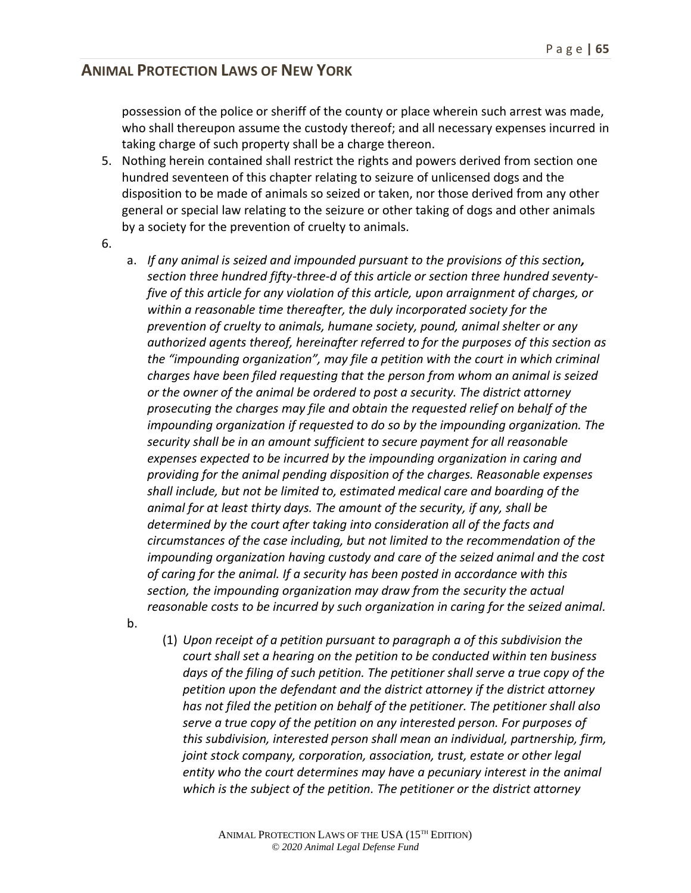possession of the police or sheriff of the county or place wherein such arrest was made, who shall thereupon assume the custody thereof; and all necessary expenses incurred in taking charge of such property shall be a charge thereon.

- 5. Nothing herein contained shall restrict the rights and powers derived from section one hundred seventeen of this chapter relating to seizure of unlicensed dogs and the disposition to be made of animals so seized or taken, nor those derived from any other general or special law relating to the seizure or other taking of dogs and other animals by a society for the prevention of cruelty to animals.
- 6.
- a. *If any animal is seized and impounded pursuant to the provisions of this section, section three hundred fifty-three-d of this article or section three hundred seventyfive of this article for any violation of this article, upon arraignment of charges, or within a reasonable time thereafter, the duly incorporated society for the prevention of cruelty to animals, humane society, pound, animal shelter or any authorized agents thereof, hereinafter referred to for the purposes of this section as the "impounding organization", may file a petition with the court in which criminal charges have been filed requesting that the person from whom an animal is seized or the owner of the animal be ordered to post a security. The district attorney prosecuting the charges may file and obtain the requested relief on behalf of the impounding organization if requested to do so by the impounding organization. The security shall be in an amount sufficient to secure payment for all reasonable expenses expected to be incurred by the impounding organization in caring and providing for the animal pending disposition of the charges. Reasonable expenses shall include, but not be limited to, estimated medical care and boarding of the animal for at least thirty days. The amount of the security, if any, shall be determined by the court after taking into consideration all of the facts and circumstances of the case including, but not limited to the recommendation of the impounding organization having custody and care of the seized animal and the cost of caring for the animal. If a security has been posted in accordance with this section, the impounding organization may draw from the security the actual reasonable costs to be incurred by such organization in caring for the seized animal.*
- b.

(1) *Upon receipt of a petition pursuant to paragraph a of this subdivision the court shall set a hearing on the petition to be conducted within ten business days of the filing of such petition. The petitioner shall serve a true copy of the petition upon the defendant and the district attorney if the district attorney has not filed the petition on behalf of the petitioner. The petitioner shall also serve a true copy of the petition on any interested person. For purposes of this subdivision, interested person shall mean an individual, partnership, firm, joint stock company, corporation, association, trust, estate or other legal entity who the court determines may have a pecuniary interest in the animal which is the subject of the petition. The petitioner or the district attorney*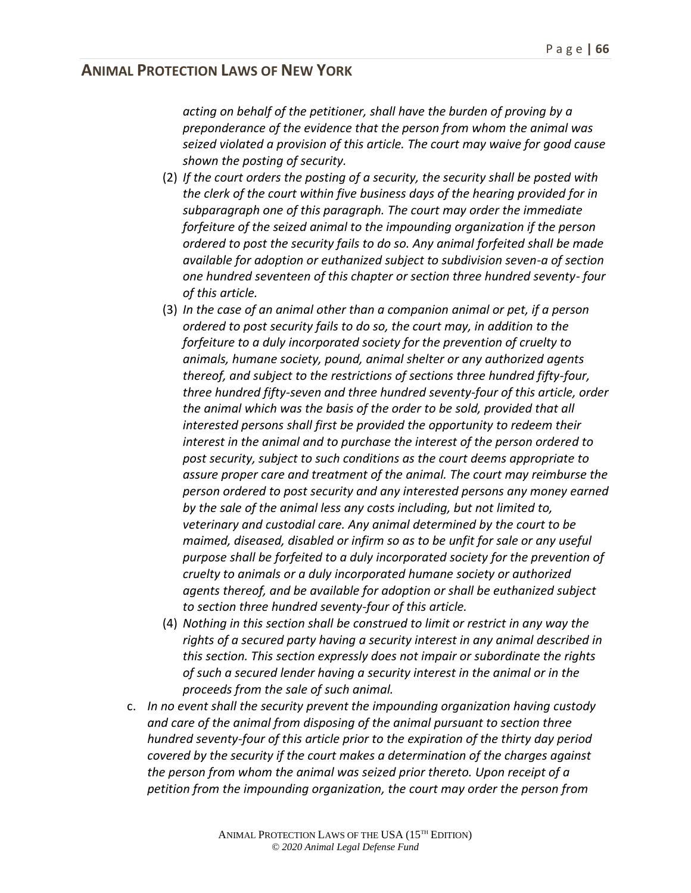*acting on behalf of the petitioner, shall have the burden of proving by a preponderance of the evidence that the person from whom the animal was seized violated a provision of this article. The court may waive for good cause shown the posting of security.*

- (2) *If the court orders the posting of a security, the security shall be posted with the clerk of the court within five business days of the hearing provided for in subparagraph one of this paragraph. The court may order the immediate forfeiture of the seized animal to the impounding organization if the person ordered to post the security fails to do so. Any animal forfeited shall be made available for adoption or euthanized subject to subdivision seven-a of section one hundred seventeen of this chapter or section three hundred seventy- four of this article.*
- (3) *In the case of an animal other than a companion animal or pet, if a person ordered to post security fails to do so, the court may, in addition to the forfeiture to a duly incorporated society for the prevention of cruelty to animals, humane society, pound, animal shelter or any authorized agents thereof, and subject to the restrictions of sections three hundred fifty-four, three hundred fifty-seven and three hundred seventy-four of this article, order the animal which was the basis of the order to be sold, provided that all interested persons shall first be provided the opportunity to redeem their interest in the animal and to purchase the interest of the person ordered to post security, subject to such conditions as the court deems appropriate to assure proper care and treatment of the animal. The court may reimburse the person ordered to post security and any interested persons any money earned by the sale of the animal less any costs including, but not limited to, veterinary and custodial care. Any animal determined by the court to be maimed, diseased, disabled or infirm so as to be unfit for sale or any useful purpose shall be forfeited to a duly incorporated society for the prevention of cruelty to animals or a duly incorporated humane society or authorized agents thereof, and be available for adoption or shall be euthanized subject to section three hundred seventy-four of this article.*
- (4) *Nothing in this section shall be construed to limit or restrict in any way the rights of a secured party having a security interest in any animal described in this section. This section expressly does not impair or subordinate the rights of such a secured lender having a security interest in the animal or in the proceeds from the sale of such animal.*
- c. *In no event shall the security prevent the impounding organization having custody and care of the animal from disposing of the animal pursuant to section three hundred seventy-four of this article prior to the expiration of the thirty day period covered by the security if the court makes a determination of the charges against the person from whom the animal was seized prior thereto. Upon receipt of a petition from the impounding organization, the court may order the person from*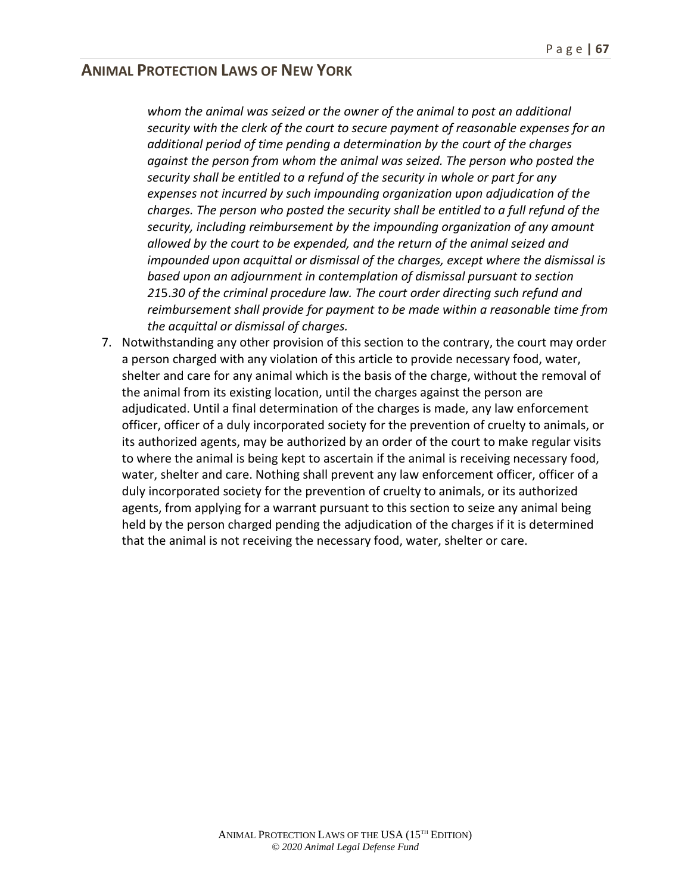*whom the animal was seized or the owner of the animal to post an additional security with the clerk of the court to secure payment of reasonable expenses for an additional period of time pending a determination by the court of the charges against the person from whom the animal was seized. The person who posted the security shall be entitled to a refund of the security in whole or part for any expenses not incurred by such impounding organization upon adjudication of the charges. The person who posted the security shall be entitled to a full refund of the security, including reimbursement by the impounding organization of any amount allowed by the court to be expended, and the return of the animal seized and impounded upon acquittal or dismissal of the charges, except where the dismissal is based upon an adjournment in contemplation of dismissal pursuant to section 21*5.*30 of the criminal procedure law. The court order directing such refund and reimbursement shall provide for payment to be made within a reasonable time from the acquittal or dismissal of charges.*

7. Notwithstanding any other provision of this section to the contrary, the court may order a person charged with any violation of this article to provide necessary food, water, shelter and care for any animal which is the basis of the charge, without the removal of the animal from its existing location, until the charges against the person are adjudicated. Until a final determination of the charges is made, any law enforcement officer, officer of a duly incorporated society for the prevention of cruelty to animals, or its authorized agents, may be authorized by an order of the court to make regular visits to where the animal is being kept to ascertain if the animal is receiving necessary food, water, shelter and care. Nothing shall prevent any law enforcement officer, officer of a duly incorporated society for the prevention of cruelty to animals, or its authorized agents, from applying for a warrant pursuant to this section to seize any animal being held by the person charged pending the adjudication of the charges if it is determined that the animal is not receiving the necessary food, water, shelter or care.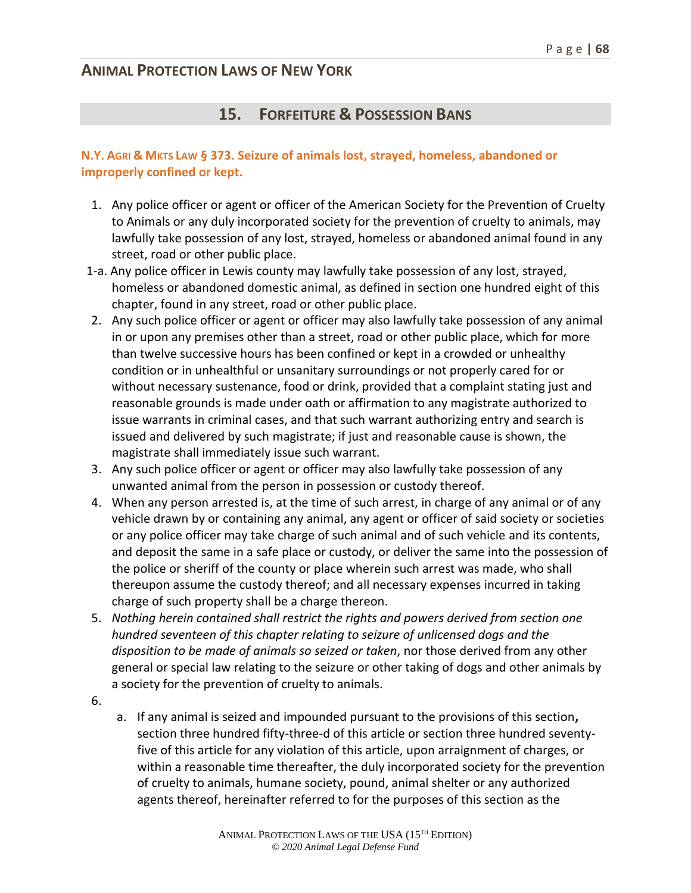# **15. FORFEITURE & POSSESSION BANS**

#### **N.Y. AGRI & MKTS LAW § 373. Seizure of animals lost, strayed, homeless, abandoned or improperly confined or kept.**

- 1. Any police officer or agent or officer of the American Society for the Prevention of Cruelty to Animals or any duly incorporated society for the prevention of cruelty to animals, may lawfully take possession of any lost, strayed, homeless or abandoned animal found in any street, road or other public place.
- 1-a. Any police officer in Lewis county may lawfully take possession of any lost, strayed, homeless or abandoned domestic animal, as defined in section one hundred eight of this chapter, found in any street, road or other public place.
- 2. Any such police officer or agent or officer may also lawfully take possession of any animal in or upon any premises other than a street, road or other public place, which for more than twelve successive hours has been confined or kept in a crowded or unhealthy condition or in unhealthful or unsanitary surroundings or not properly cared for or without necessary sustenance, food or drink, provided that a complaint stating just and reasonable grounds is made under oath or affirmation to any magistrate authorized to issue warrants in criminal cases, and that such warrant authorizing entry and search is issued and delivered by such magistrate; if just and reasonable cause is shown, the magistrate shall immediately issue such warrant.
- 3. Any such police officer or agent or officer may also lawfully take possession of any unwanted animal from the person in possession or custody thereof.
- 4. When any person arrested is, at the time of such arrest, in charge of any animal or of any vehicle drawn by or containing any animal, any agent or officer of said society or societies or any police officer may take charge of such animal and of such vehicle and its contents, and deposit the same in a safe place or custody, or deliver the same into the possession of the police or sheriff of the county or place wherein such arrest was made, who shall thereupon assume the custody thereof; and all necessary expenses incurred in taking charge of such property shall be a charge thereon.
- 5. *Nothing herein contained shall restrict the rights and powers derived from section one hundred seventeen of this chapter relating to seizure of unlicensed dogs and the disposition to be made of animals so seized or taken*, nor those derived from any other general or special law relating to the seizure or other taking of dogs and other animals by a society for the prevention of cruelty to animals.
- 6.
- a. If any animal is seized and impounded pursuant to the provisions of this section**,**  section three hundred fifty-three-d of this article or section three hundred seventyfive of this article for any violation of this article, upon arraignment of charges, or within a reasonable time thereafter, the duly incorporated society for the prevention of cruelty to animals, humane society, pound, animal shelter or any authorized agents thereof, hereinafter referred to for the purposes of this section as the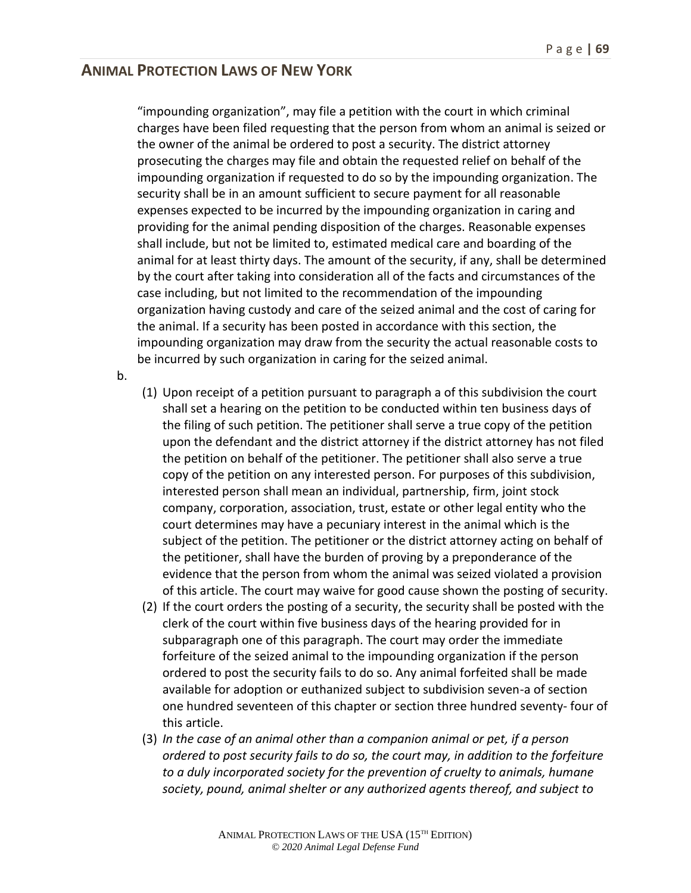"impounding organization", may file a petition with the court in which criminal charges have been filed requesting that the person from whom an animal is seized or the owner of the animal be ordered to post a security. The district attorney prosecuting the charges may file and obtain the requested relief on behalf of the impounding organization if requested to do so by the impounding organization. The security shall be in an amount sufficient to secure payment for all reasonable expenses expected to be incurred by the impounding organization in caring and providing for the animal pending disposition of the charges. Reasonable expenses shall include, but not be limited to, estimated medical care and boarding of the animal for at least thirty days. The amount of the security, if any, shall be determined by the court after taking into consideration all of the facts and circumstances of the case including, but not limited to the recommendation of the impounding organization having custody and care of the seized animal and the cost of caring for the animal. If a security has been posted in accordance with this section, the impounding organization may draw from the security the actual reasonable costs to be incurred by such organization in caring for the seized animal.

b.

- (1) Upon receipt of a petition pursuant to paragraph a of this subdivision the court shall set a hearing on the petition to be conducted within ten business days of the filing of such petition. The petitioner shall serve a true copy of the petition upon the defendant and the district attorney if the district attorney has not filed the petition on behalf of the petitioner. The petitioner shall also serve a true copy of the petition on any interested person. For purposes of this subdivision, interested person shall mean an individual, partnership, firm, joint stock company, corporation, association, trust, estate or other legal entity who the court determines may have a pecuniary interest in the animal which is the subject of the petition. The petitioner or the district attorney acting on behalf of the petitioner, shall have the burden of proving by a preponderance of the evidence that the person from whom the animal was seized violated a provision of this article. The court may waive for good cause shown the posting of security.
- (2) If the court orders the posting of a security, the security shall be posted with the clerk of the court within five business days of the hearing provided for in subparagraph one of this paragraph. The court may order the immediate forfeiture of the seized animal to the impounding organization if the person ordered to post the security fails to do so. Any animal forfeited shall be made available for adoption or euthanized subject to subdivision seven-a of section one hundred seventeen of this chapter or section three hundred seventy- four of this article.
- (3) *In the case of an animal other than a companion animal or pet, if a person ordered to post security fails to do so, the court may, in addition to the forfeiture to a duly incorporated society for the prevention of cruelty to animals, humane society, pound, animal shelter or any authorized agents thereof, and subject to*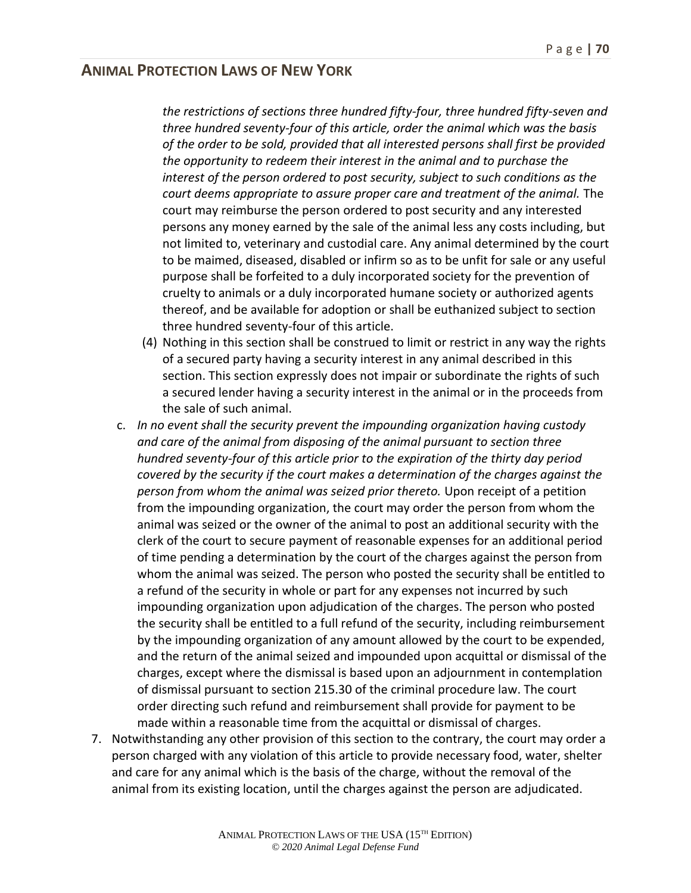*the restrictions of sections three hundred fifty-four, three hundred fifty-seven and three hundred seventy-four of this article, order the animal which was the basis of the order to be sold, provided that all interested persons shall first be provided the opportunity to redeem their interest in the animal and to purchase the interest of the person ordered to post security, subject to such conditions as the court deems appropriate to assure proper care and treatment of the animal.* The court may reimburse the person ordered to post security and any interested persons any money earned by the sale of the animal less any costs including, but not limited to, veterinary and custodial care. Any animal determined by the court to be maimed, diseased, disabled or infirm so as to be unfit for sale or any useful purpose shall be forfeited to a duly incorporated society for the prevention of cruelty to animals or a duly incorporated humane society or authorized agents thereof, and be available for adoption or shall be euthanized subject to section three hundred seventy-four of this article.

- (4) Nothing in this section shall be construed to limit or restrict in any way the rights of a secured party having a security interest in any animal described in this section. This section expressly does not impair or subordinate the rights of such a secured lender having a security interest in the animal or in the proceeds from the sale of such animal.
- c. *In no event shall the security prevent the impounding organization having custody and care of the animal from disposing of the animal pursuant to section three hundred seventy-four of this article prior to the expiration of the thirty day period covered by the security if the court makes a determination of the charges against the person from whom the animal was seized prior thereto.* Upon receipt of a petition from the impounding organization, the court may order the person from whom the animal was seized or the owner of the animal to post an additional security with the clerk of the court to secure payment of reasonable expenses for an additional period of time pending a determination by the court of the charges against the person from whom the animal was seized. The person who posted the security shall be entitled to a refund of the security in whole or part for any expenses not incurred by such impounding organization upon adjudication of the charges. The person who posted the security shall be entitled to a full refund of the security, including reimbursement by the impounding organization of any amount allowed by the court to be expended, and the return of the animal seized and impounded upon acquittal or dismissal of the charges, except where the dismissal is based upon an adjournment in contemplation of dismissal pursuant to section 215.30 of the criminal procedure law. The court order directing such refund and reimbursement shall provide for payment to be made within a reasonable time from the acquittal or dismissal of charges.
- 7. Notwithstanding any other provision of this section to the contrary, the court may order a person charged with any violation of this article to provide necessary food, water, shelter and care for any animal which is the basis of the charge, without the removal of the animal from its existing location, until the charges against the person are adjudicated.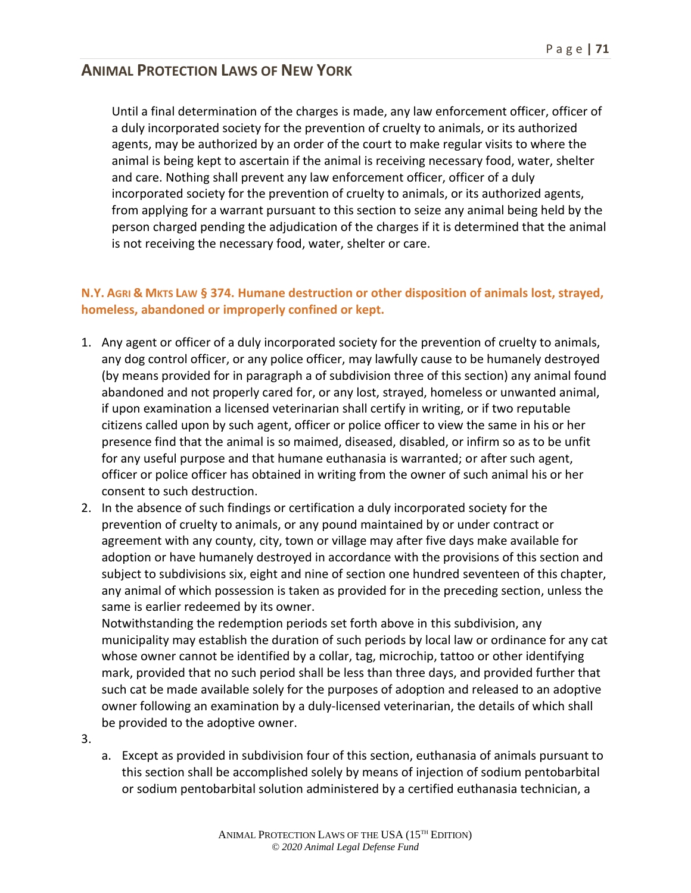Until a final determination of the charges is made, any law enforcement officer, officer of a duly incorporated society for the prevention of cruelty to animals, or its authorized agents, may be authorized by an order of the court to make regular visits to where the animal is being kept to ascertain if the animal is receiving necessary food, water, shelter and care. Nothing shall prevent any law enforcement officer, officer of a duly incorporated society for the prevention of cruelty to animals, or its authorized agents, from applying for a warrant pursuant to this section to seize any animal being held by the person charged pending the adjudication of the charges if it is determined that the animal is not receiving the necessary food, water, shelter or care.

### **N.Y. AGRI & MKTS LAW § 374. Humane destruction or other disposition of animals lost, strayed, homeless, abandoned or improperly confined or kept.**

- 1. Any agent or officer of a duly incorporated society for the prevention of cruelty to animals, any dog control officer, or any police officer, may lawfully cause to be humanely destroyed (by means provided for in paragraph a of subdivision three of this section) any animal found abandoned and not properly cared for, or any lost, strayed, homeless or unwanted animal, if upon examination a licensed veterinarian shall certify in writing, or if two reputable citizens called upon by such agent, officer or police officer to view the same in his or her presence find that the animal is so maimed, diseased, disabled, or infirm so as to be unfit for any useful purpose and that humane euthanasia is warranted; or after such agent, officer or police officer has obtained in writing from the owner of such animal his or her consent to such destruction.
- 2. In the absence of such findings or certification a duly incorporated society for the prevention of cruelty to animals, or any pound maintained by or under contract or agreement with any county, city, town or village may after five days make available for adoption or have humanely destroyed in accordance with the provisions of this section and subject to subdivisions six, eight and nine of section one hundred seventeen of this chapter, any animal of which possession is taken as provided for in the preceding section, unless the same is earlier redeemed by its owner.

Notwithstanding the redemption periods set forth above in this subdivision, any municipality may establish the duration of such periods by local law or ordinance for any cat whose owner cannot be identified by a collar, tag, microchip, tattoo or other identifying mark, provided that no such period shall be less than three days, and provided further that such cat be made available solely for the purposes of adoption and released to an adoptive owner following an examination by a duly-licensed veterinarian, the details of which shall be provided to the adoptive owner.

- 3.
- a. Except as provided in subdivision four of this section, euthanasia of animals pursuant to this section shall be accomplished solely by means of injection of sodium pentobarbital or sodium pentobarbital solution administered by a certified euthanasia technician, a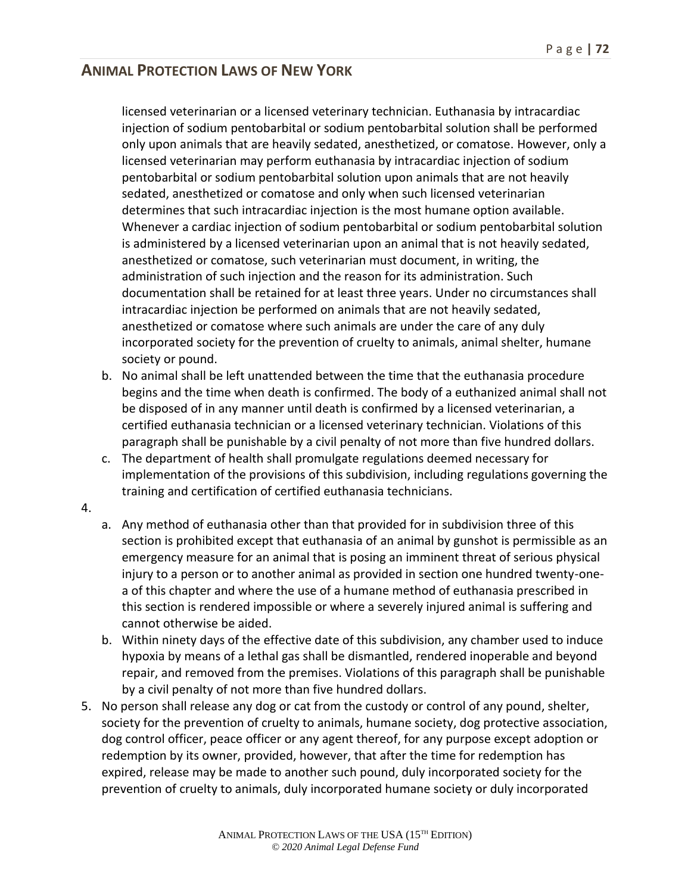licensed veterinarian or a licensed veterinary technician. Euthanasia by intracardiac injection of sodium pentobarbital or sodium pentobarbital solution shall be performed only upon animals that are heavily sedated, anesthetized, or comatose. However, only a licensed veterinarian may perform euthanasia by intracardiac injection of sodium pentobarbital or sodium pentobarbital solution upon animals that are not heavily sedated, anesthetized or comatose and only when such licensed veterinarian determines that such intracardiac injection is the most humane option available. Whenever a cardiac injection of sodium pentobarbital or sodium pentobarbital solution is administered by a licensed veterinarian upon an animal that is not heavily sedated, anesthetized or comatose, such veterinarian must document, in writing, the administration of such injection and the reason for its administration. Such documentation shall be retained for at least three years. Under no circumstances shall intracardiac injection be performed on animals that are not heavily sedated, anesthetized or comatose where such animals are under the care of any duly incorporated society for the prevention of cruelty to animals, animal shelter, humane society or pound.

- b. No animal shall be left unattended between the time that the euthanasia procedure begins and the time when death is confirmed. The body of a euthanized animal shall not be disposed of in any manner until death is confirmed by a licensed veterinarian, a certified euthanasia technician or a licensed veterinary technician. Violations of this paragraph shall be punishable by a civil penalty of not more than five hundred dollars.
- c. The department of health shall promulgate regulations deemed necessary for implementation of the provisions of this subdivision, including regulations governing the training and certification of certified euthanasia technicians.
- 4.
- a. Any method of euthanasia other than that provided for in subdivision three of this section is prohibited except that euthanasia of an animal by gunshot is permissible as an emergency measure for an animal that is posing an imminent threat of serious physical injury to a person or to another animal as provided in section one hundred twenty-onea of this chapter and where the use of a humane method of euthanasia prescribed in this section is rendered impossible or where a severely injured animal is suffering and cannot otherwise be aided.
- b. Within ninety days of the effective date of this subdivision, any chamber used to induce hypoxia by means of a lethal gas shall be dismantled, rendered inoperable and beyond repair, and removed from the premises. Violations of this paragraph shall be punishable by a civil penalty of not more than five hundred dollars.
- 5. No person shall release any dog or cat from the custody or control of any pound, shelter, society for the prevention of cruelty to animals, humane society, dog protective association, dog control officer, peace officer or any agent thereof, for any purpose except adoption or redemption by its owner, provided, however, that after the time for redemption has expired, release may be made to another such pound, duly incorporated society for the prevention of cruelty to animals, duly incorporated humane society or duly incorporated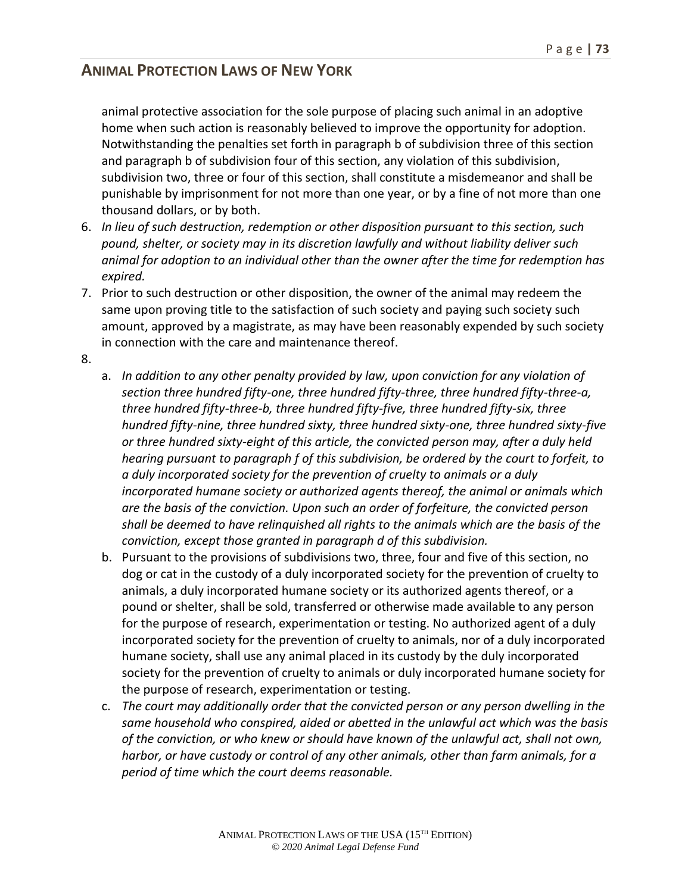animal protective association for the sole purpose of placing such animal in an adoptive home when such action is reasonably believed to improve the opportunity for adoption. Notwithstanding the penalties set forth in paragraph b of subdivision three of this section and paragraph b of subdivision four of this section, any violation of this subdivision, subdivision two, three or four of this section, shall constitute a misdemeanor and shall be punishable by imprisonment for not more than one year, or by a fine of not more than one thousand dollars, or by both.

- 6. *In lieu of such destruction, redemption or other disposition pursuant to this section, such pound, shelter, or society may in its discretion lawfully and without liability deliver such animal for adoption to an individual other than the owner after the time for redemption has expired.*
- 7. Prior to such destruction or other disposition, the owner of the animal may redeem the same upon proving title to the satisfaction of such society and paying such society such amount, approved by a magistrate, as may have been reasonably expended by such society in connection with the care and maintenance thereof.
- 8.
- a. *In addition to any other penalty provided by law, upon conviction for any violation of section three hundred fifty-one, three hundred fifty-three, three hundred fifty-three-a, three hundred fifty-three-b, three hundred fifty-five, three hundred fifty-six, three hundred fifty-nine, three hundred sixty, three hundred sixty-one, three hundred sixty-five or three hundred sixty-eight of this article, the convicted person may, after a duly held hearing pursuant to paragraph f of this subdivision, be ordered by the court to forfeit, to a duly incorporated society for the prevention of cruelty to animals or a duly incorporated humane society or authorized agents thereof, the animal or animals which are the basis of the conviction. Upon such an order of forfeiture, the convicted person shall be deemed to have relinquished all rights to the animals which are the basis of the conviction, except those granted in paragraph d of this subdivision.*
- b. Pursuant to the provisions of subdivisions two, three, four and five of this section, no dog or cat in the custody of a duly incorporated society for the prevention of cruelty to animals, a duly incorporated humane society or its authorized agents thereof, or a pound or shelter, shall be sold, transferred or otherwise made available to any person for the purpose of research, experimentation or testing. No authorized agent of a duly incorporated society for the prevention of cruelty to animals, nor of a duly incorporated humane society, shall use any animal placed in its custody by the duly incorporated society for the prevention of cruelty to animals or duly incorporated humane society for the purpose of research, experimentation or testing.
- c. *The court may additionally order that the convicted person or any person dwelling in the same household who conspired, aided or abetted in the unlawful act which was the basis of the conviction, or who knew or should have known of the unlawful act, shall not own, harbor, or have custody or control of any other animals, other than farm animals, for a period of time which the court deems reasonable.*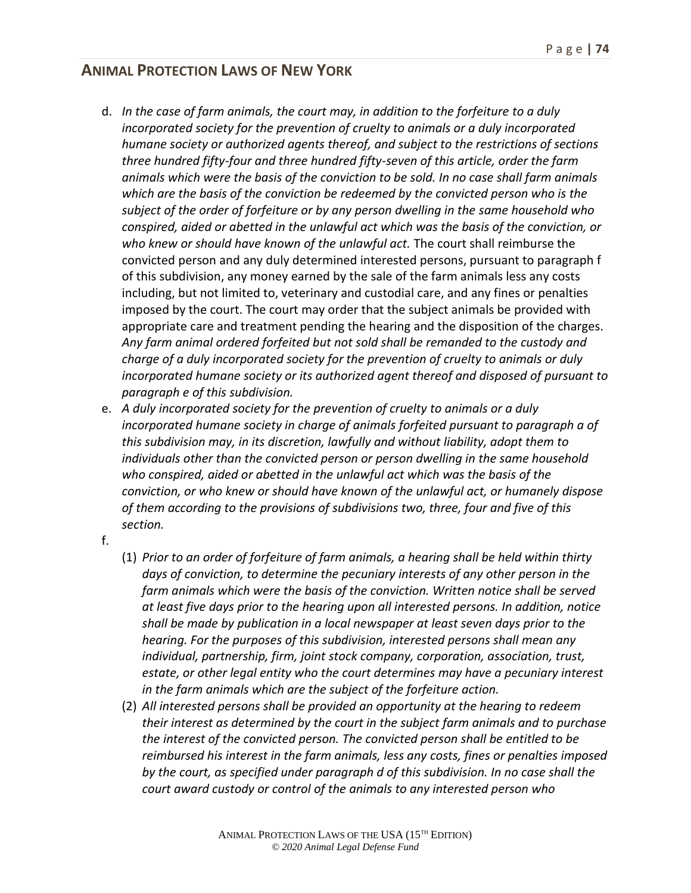- d. *In the case of farm animals, the court may, in addition to the forfeiture to a duly incorporated society for the prevention of cruelty to animals or a duly incorporated humane society or authorized agents thereof, and subject to the restrictions of sections three hundred fifty-four and three hundred fifty-seven of this article, order the farm animals which were the basis of the conviction to be sold. In no case shall farm animals which are the basis of the conviction be redeemed by the convicted person who is the subject of the order of forfeiture or by any person dwelling in the same household who conspired, aided or abetted in the unlawful act which was the basis of the conviction, or who knew or should have known of the unlawful act.* The court shall reimburse the convicted person and any duly determined interested persons, pursuant to paragraph f of this subdivision, any money earned by the sale of the farm animals less any costs including, but not limited to, veterinary and custodial care, and any fines or penalties imposed by the court. The court may order that the subject animals be provided with appropriate care and treatment pending the hearing and the disposition of the charges. *Any farm animal ordered forfeited but not sold shall be remanded to the custody and charge of a duly incorporated society for the prevention of cruelty to animals or duly incorporated humane society or its authorized agent thereof and disposed of pursuant to paragraph e of this subdivision.*
- e. *A duly incorporated society for the prevention of cruelty to animals or a duly incorporated humane society in charge of animals forfeited pursuant to paragraph a of this subdivision may, in its discretion, lawfully and without liability, adopt them to individuals other than the convicted person or person dwelling in the same household who conspired, aided or abetted in the unlawful act which was the basis of the conviction, or who knew or should have known of the unlawful act, or humanely dispose of them according to the provisions of subdivisions two, three, four and five of this section.*
- f.
- (1) *Prior to an order of forfeiture of farm animals, a hearing shall be held within thirty days of conviction, to determine the pecuniary interests of any other person in the farm animals which were the basis of the conviction. Written notice shall be served at least five days prior to the hearing upon all interested persons. In addition, notice shall be made by publication in a local newspaper at least seven days prior to the hearing. For the purposes of this subdivision, interested persons shall mean any individual, partnership, firm, joint stock company, corporation, association, trust, estate, or other legal entity who the court determines may have a pecuniary interest in the farm animals which are the subject of the forfeiture action.*
- (2) *All interested persons shall be provided an opportunity at the hearing to redeem their interest as determined by the court in the subject farm animals and to purchase the interest of the convicted person. The convicted person shall be entitled to be reimbursed his interest in the farm animals, less any costs, fines or penalties imposed by the court, as specified under paragraph d of this subdivision. In no case shall the court award custody or control of the animals to any interested person who*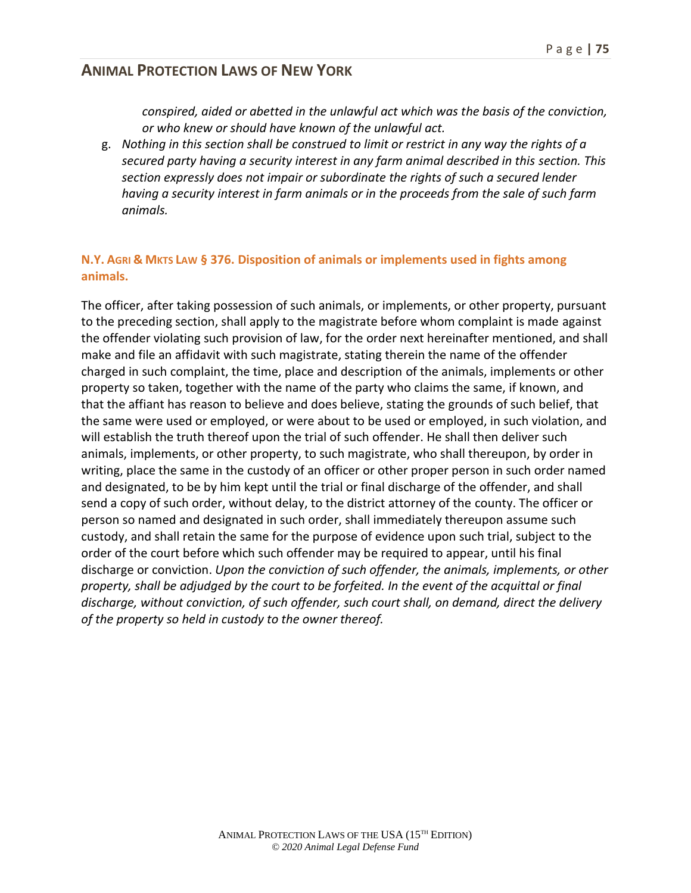*conspired, aided or abetted in the unlawful act which was the basis of the conviction, or who knew or should have known of the unlawful act.*

g. *Nothing in this section shall be construed to limit or restrict in any way the rights of a secured party having a security interest in any farm animal described in this section. This section expressly does not impair or subordinate the rights of such a secured lender having a security interest in farm animals or in the proceeds from the sale of such farm animals.*

### **N.Y. AGRI & MKTS LAW § 376. Disposition of animals or implements used in fights among animals.**

The officer, after taking possession of such animals, or implements, or other property, pursuant to the preceding section, shall apply to the magistrate before whom complaint is made against the offender violating such provision of law, for the order next hereinafter mentioned, and shall make and file an affidavit with such magistrate, stating therein the name of the offender charged in such complaint, the time, place and description of the animals, implements or other property so taken, together with the name of the party who claims the same, if known, and that the affiant has reason to believe and does believe, stating the grounds of such belief, that the same were used or employed, or were about to be used or employed, in such violation, and will establish the truth thereof upon the trial of such offender. He shall then deliver such animals, implements, or other property, to such magistrate, who shall thereupon, by order in writing, place the same in the custody of an officer or other proper person in such order named and designated, to be by him kept until the trial or final discharge of the offender, and shall send a copy of such order, without delay, to the district attorney of the county. The officer or person so named and designated in such order, shall immediately thereupon assume such custody, and shall retain the same for the purpose of evidence upon such trial, subject to the order of the court before which such offender may be required to appear, until his final discharge or conviction. *Upon the conviction of such offender, the animals, implements, or other property, shall be adjudged by the court to be forfeited. In the event of the acquittal or final discharge, without conviction, of such offender, such court shall, on demand, direct the delivery of the property so held in custody to the owner thereof.*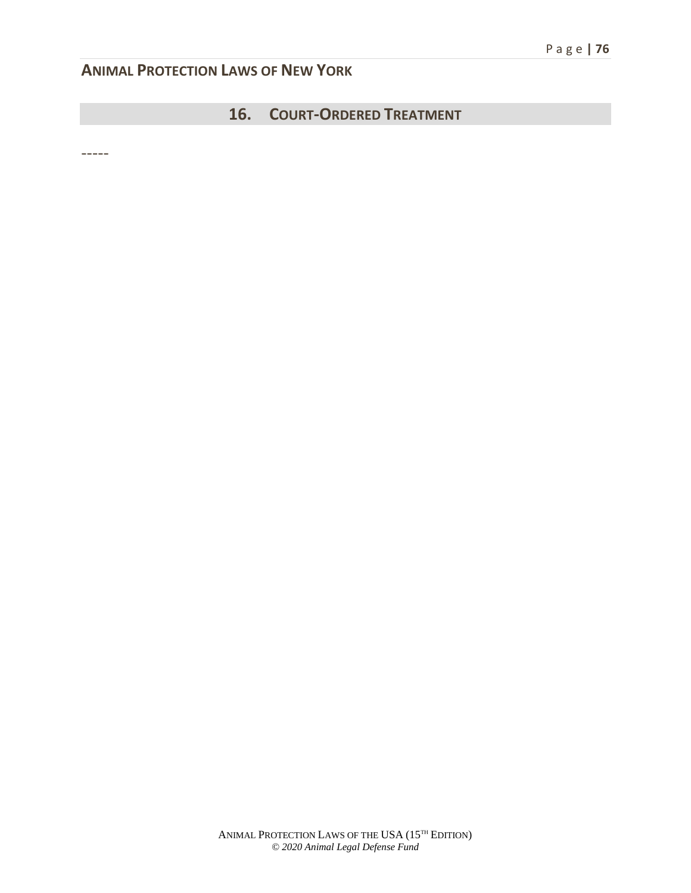# **16. COURT-ORDERED TREATMENT**

-----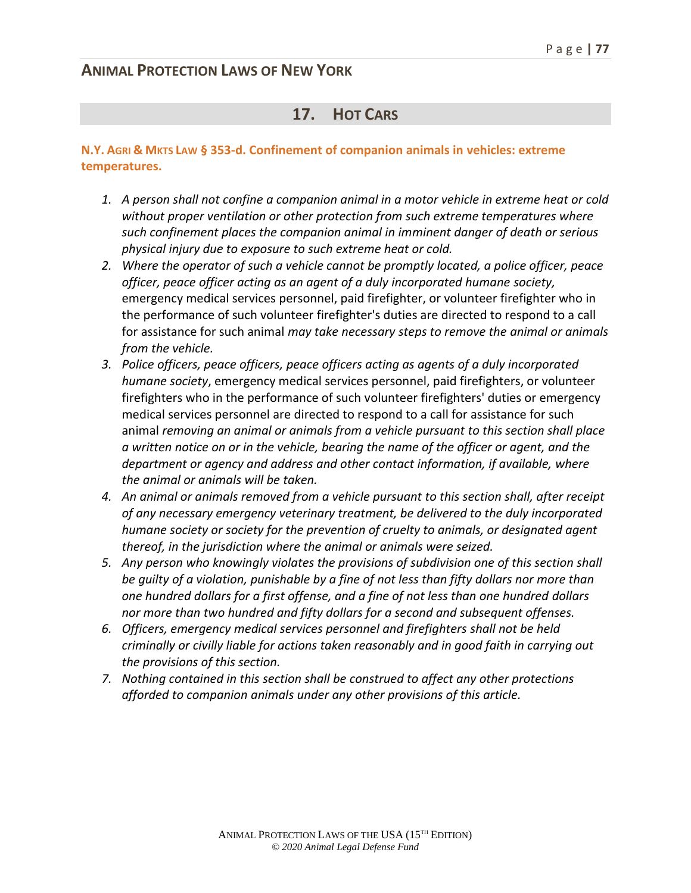### **17. HOT CARS**

#### **N.Y. AGRI & MKTS LAW § 353-d. Confinement of companion animals in vehicles: extreme temperatures.**

- *1. A person shall not confine a companion animal in a motor vehicle in extreme heat or cold without proper ventilation or other protection from such extreme temperatures where such confinement places the companion animal in imminent danger of death or serious physical injury due to exposure to such extreme heat or cold.*
- *2. Where the operator of such a vehicle cannot be promptly located, a police officer, peace officer, peace officer acting as an agent of a duly incorporated humane society,*  emergency medical services personnel, paid firefighter, or volunteer firefighter who in the performance of such volunteer firefighter's duties are directed to respond to a call for assistance for such animal *may take necessary steps to remove the animal or animals from the vehicle.*
- *3. Police officers, peace officers, peace officers acting as agents of a duly incorporated humane society*, emergency medical services personnel, paid firefighters, or volunteer firefighters who in the performance of such volunteer firefighters' duties or emergency medical services personnel are directed to respond to a call for assistance for such animal *removing an animal or animals from a vehicle pursuant to this section shall place a written notice on or in the vehicle, bearing the name of the officer or agent, and the department or agency and address and other contact information, if available, where the animal or animals will be taken.*
- *4. An animal or animals removed from a vehicle pursuant to this section shall, after receipt of any necessary emergency veterinary treatment, be delivered to the duly incorporated humane society or society for the prevention of cruelty to animals, or designated agent thereof, in the jurisdiction where the animal or animals were seized.*
- *5. Any person who knowingly violates the provisions of subdivision one of this section shall be guilty of a violation, punishable by a fine of not less than fifty dollars nor more than one hundred dollars for a first offense, and a fine of not less than one hundred dollars nor more than two hundred and fifty dollars for a second and subsequent offenses.*
- *6. Officers, emergency medical services personnel and firefighters shall not be held criminally or civilly liable for actions taken reasonably and in good faith in carrying out the provisions of this section.*
- *7. Nothing contained in this section shall be construed to affect any other protections afforded to companion animals under any other provisions of this article.*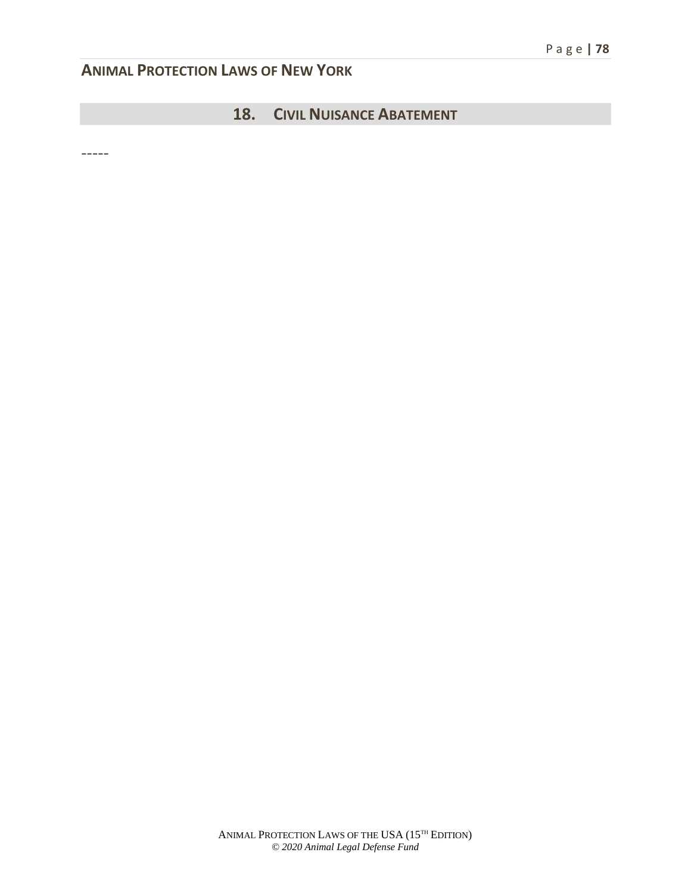# **18. CIVIL NUISANCE ABATEMENT**

-----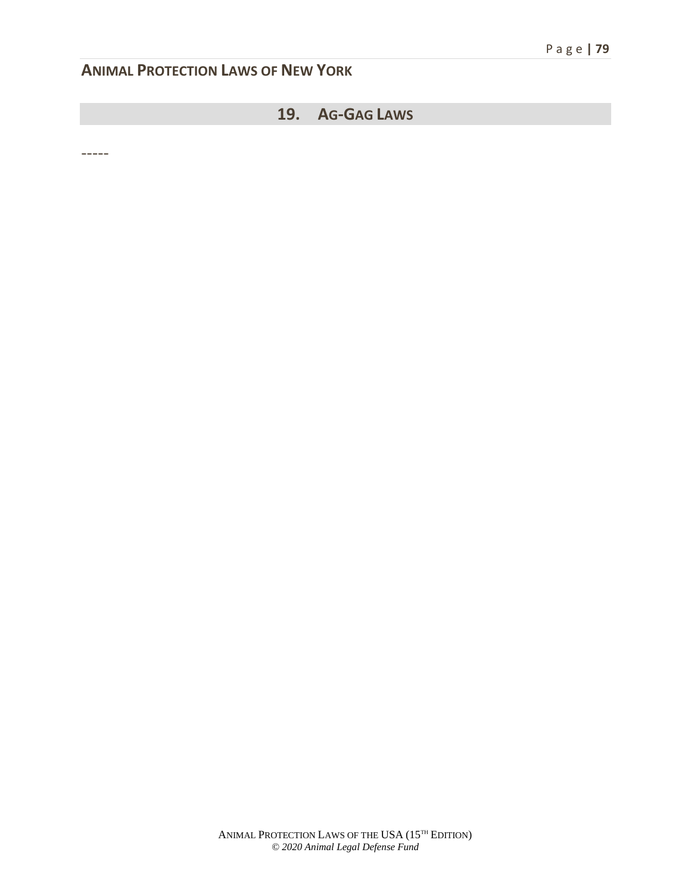# **19. AG-GAG LAWS**

-----